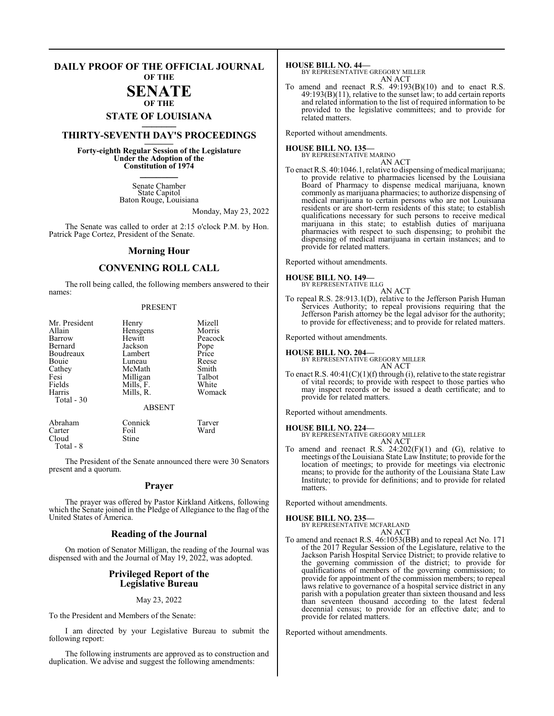#### **DAILY PROOF OF THE OFFICIAL JOURNAL OF THE**

## **SENATE OF THE**

# **STATE OF LOUISIANA \_\_\_\_\_\_\_**

# **THIRTY-SEVENTH DAY'S PROCEEDINGS \_\_\_\_\_\_\_**

**Forty-eighth Regular Session of the Legislature Under the Adoption of the Constitution of 1974 \_\_\_\_\_\_\_**

> Senate Chamber State Capitol Baton Rouge, Louisiana

> > Monday, May 23, 2022

The Senate was called to order at 2:15 o'clock P.M. by Hon. Patrick Page Cortez, President of the Senate.

#### **Morning Hour**

### **CONVENING ROLL CALL**

The roll being called, the following members answered to their names:

#### PRESENT

| Mr. President<br>Allain<br>Barrow<br>Bernard<br>Boudreaux<br>Bouie<br>Cathey<br>Fesi<br>Fields<br>Harris<br>Total - 30 | Henry<br>Hensgens<br>Hewitt<br>Jackson<br>Lambert<br>Luneau<br>McMath<br>Milligan<br>Mills, F.<br>Mills, R.<br><b>ABSENT</b> | Mizell<br>Morris<br>Peacock<br>Pope<br>Price<br>Reese<br>Smith<br>Talbot<br>White<br>Womack |
|------------------------------------------------------------------------------------------------------------------------|------------------------------------------------------------------------------------------------------------------------------|---------------------------------------------------------------------------------------------|
|                                                                                                                        |                                                                                                                              |                                                                                             |
| Abraham                                                                                                                | Connick                                                                                                                      | Tarver                                                                                      |

Carter Foil Ward

Cloud Stine

Total - 8

The President of the Senate announced there were 30 Senators present and a quorum.

#### **Prayer**

The prayer was offered by Pastor Kirkland Aitkens, following which the Senate joined in the Pledge of Allegiance to the flag of the United States of America.

#### **Reading of the Journal**

On motion of Senator Milligan, the reading of the Journal was dispensed with and the Journal of May 19, 2022, was adopted.

#### **Privileged Report of the Legislative Bureau**

May 23, 2022

To the President and Members of the Senate:

I am directed by your Legislative Bureau to submit the following report:

The following instruments are approved as to construction and duplication. We advise and suggest the following amendments:

- **HOUSE BILL NO. 44—** BY REPRESENTATIVE GREGORY MILLER
- AN ACT To amend and reenact R.S.  $49:193(B)(10)$  and to enact R.S.  $49:193(B)(11)$ , relative to the sunset law; to add certain reports and related information to the list of required information to be provided to the legislative committees; and to provide for related matters.

Reported without amendments.

**HOUSE BILL NO. 135—** BY REPRESENTATIVE MARINO

- AN ACT
- To enact R.S. 40:1046.1, relative to dispensing of medical marijuana; to provide relative to pharmacies licensed by the Louisiana Board of Pharmacy to dispense medical marijuana, known commonly as marijuana pharmacies; to authorize dispensing of medical marijuana to certain persons who are not Louisiana residents or are short-term residents of this state; to establish qualifications necessary for such persons to receive medical marijuana in this state; to establish duties of marijuana pharmacies with respect to such dispensing; to prohibit the dispensing of medical marijuana in certain instances; and to provide for related matters.

Reported without amendments.

#### **HOUSE BILL NO. 149—**

- BY REPRESENTATIVE ILLG AN ACT
- To repeal R.S. 28:913.1(D), relative to the Jefferson Parish Human Services Authority; to repeal provisions requiring that the Jefferson Parish attorney be the legal advisor for the authority; to provide for effectiveness; and to provide for related matters.

Reported without amendments.

**HOUSE BILL NO. 204—** BY REPRESENTATIVE GREGORY MILLER AN ACT

To enact R.S.  $40:41(C)(1)(f)$  through (i), relative to the state registrar of vital records; to provide with respect to those parties who may inspect records or be issued a death certificate; and to provide for related matters.

Reported without amendments.

#### **HOUSE BILL NO. 224—**

BY REPRESENTATIVE GREGORY MILLER AN ACT

To amend and reenact R.S. 24:202(F)(1) and (G), relative to meetings of the Louisiana State Law Institute; to provide for the location of meetings; to provide for meetings via electronic means; to provide for the authority of the Louisiana State Law Institute; to provide for definitions; and to provide for related matters.

Reported without amendments.

#### **HOUSE BILL NO. 235—**

BY REPRESENTATIVE MCFARLAND AN ACT

To amend and reenact R.S. 46:1053(BB) and to repeal Act No. 171 of the 2017 Regular Session of the Legislature, relative to the Jackson Parish Hospital Service District; to provide relative to the governing commission of the district; to provide for qualifications of members of the governing commission; to provide for appointment of the commission members; to repeal laws relative to governance of a hospital service district in any parish with a population greater than sixteen thousand and less than seventeen thousand according to the latest federal decennial census; to provide for an effective date; and to provide for related matters.

Reported without amendments.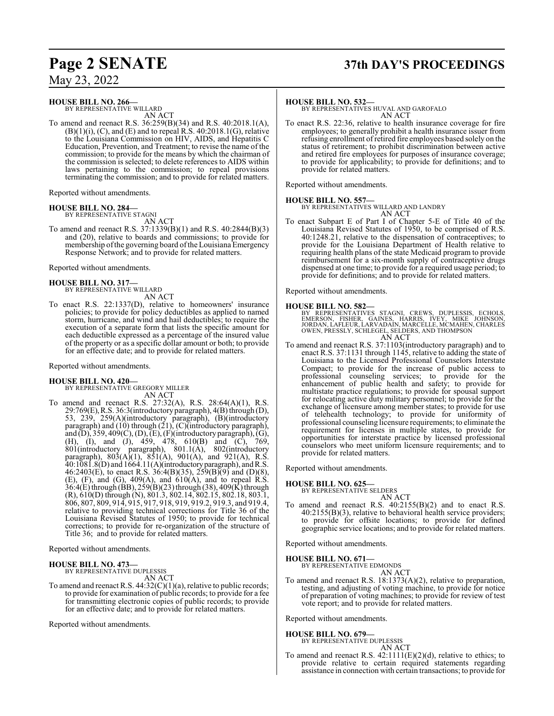# **Page 2 SENATE 37th DAY'S PROCEEDINGS**

May 23, 2022

**HOUSE BILL NO. 266—**

BY REPRESENTATIVE WILLARD AN ACT

To amend and reenact R.S. 36:259(B)(34) and R.S. 40:2018.1(A),  $(B)(1)(i)$ ,  $(C)$ , and  $(E)$  and to repeal R.S. 40:2018.1 $(G)$ , relative to the Louisiana Commission on HIV, AIDS, and Hepatitis C Education, Prevention, and Treatment; to revise the name of the commission; to provide for the means by which the chairman of the commission is selected; to delete references to AIDS within laws pertaining to the commission; to repeal provisions terminating the commission; and to provide for related matters.

Reported without amendments.

#### **HOUSE BILL NO. 284—** BY REPRESENTATIVE STAGNI

AN ACT

To amend and reenact R.S. 37:1339(B)(1) and R.S. 40:2844(B)(3) and (20), relative to boards and commissions; to provide for membership ofthe governing board ofthe Louisiana Emergency Response Network; and to provide for related matters.

Reported without amendments.

#### **HOUSE BILL NO. 317—**

BY REPRESENTATIVE WILLARD AN ACT

To enact R.S. 22:1337(D), relative to homeowners' insurance policies; to provide for policy deductibles as applied to named storm, hurricane, and wind and hail deductibles; to require the execution of a separate form that lists the specific amount for each deductible expressed as a percentage of the insured value of the property or as a specific dollar amount or both; to provide for an effective date; and to provide for related matters.

Reported without amendments.

#### **HOUSE BILL NO. 420—**

BY REPRESENTATIVE GREGORY MILLER

AN ACT To amend and reenact R.S. 27:32(A), R.S. 28:64(A)(1), R.S. 29:769(E),R.S. 36:3(introductory paragraph), 4(B) through (D), 53, 239, 259(A)(introductory paragraph), (B)(introductory paragraph) and  $(10)$  through  $(21)$ ,  $(C)$ (introductory paragraph), and (D), 359, 409(C), (D), (E), (F)(introductory paragraph), (G), (H), (I), and (J), 459, 478, 610(B) and (C), 769, 801(introductory paragraph), 801.1(A), 802(introductory paragraph),  $803(A)(1)$ ,  $851(A)$ ,  $901(A)$ , and  $921(A)$ , R.S. 40:1081.8(D) and 1664.11(A)(introductoryparagraph), andR.S. 46:2403(E), to enact R.S. 36:4(B)(35), 259(B)(9) and (D)(8), (E), (F), and (G), 409(A), and 610(A), and to repeal R.S. 36:4(E) through (BB), 259(B)(23)through (38), 409(K) through (R), 610(D) through (N), 801.3, 802.14, 802.15, 802.18, 803.1, 806, 807, 809, 914, 915, 917, 918, 919, 919.2, 919.3, and 919.4, relative to providing technical corrections for Title 36 of the Louisiana Revised Statutes of 1950; to provide for technical corrections; to provide for re-organization of the structure of Title 36; and to provide for related matters.

Reported without amendments.

#### **HOUSE BILL NO. 473—**

BY REPRESENTATIVE DUPLESSIS

AN ACT

To amend and reenact R.S. 44:32(C)(1)(a), relative to public records; to provide for examination of public records; to provide for a fee for transmitting electronic copies of public records; to provide for an effective date; and to provide for related matters.

Reported without amendments.

#### **HOUSE BILL NO. 532—**

BY REPRESENTATIVES HUVAL AND GAROFALO AN ACT

To enact R.S. 22:36, relative to health insurance coverage for fire employees; to generally prohibit a health insurance issuer from refusing enrollment of retired fire employees based solely on the status of retirement; to prohibit discrimination between active and retired fire employees for purposes of insurance coverage; to provide for applicability; to provide for definitions; and to provide for related matters.

Reported without amendments.

#### **HOUSE BILL NO. 557—**

BY REPRESENTATIVES WILLARD AND LANDRY AN ACT

To enact Subpart E of Part I of Chapter 5-E of Title 40 of the Louisiana Revised Statutes of 1950, to be comprised of R.S. 40:1248.21, relative to the dispensation of contraceptives; to provide for the Louisiana Department of Health relative to requiring health plans of the state Medicaid program to provide reimbursement for a six-month supply of contraceptive drugs dispensed at one time; to provide for a required usage period; to provide for definitions; and to provide for related matters.

Reported without amendments.

## **HOUSE BILL NO. 582—**

BY REPRESENTATIVES STAGNI, CREWS, DUPLESSIS, ECHOLS,<br>EMERSON, FISHER, GAINES, HARRIS, IVEY, MIKE JOHNSON,<br>JORDAN,LAFLEUR,LARVADAIN,MARCELLE,MCMAHEN,CHARLES OWEN, PRESSLY, SCHLEGEL, SELDERS, AND THOMPSON AN ACT

To amend and reenact R.S. 37:1103(introductory paragraph) and to enact R.S. 37:1131 through 1145, relative to adding the state of Louisiana to the Licensed Professional Counselors Interstate Compact; to provide for the increase of public access to professional counseling services; to provide for the enhancement of public health and safety; to provide for multistate practice regulations; to provide for spousal support for relocating active duty military personnel; to provide for the exchange of licensure among member states; to provide for use of telehealth technology; to provide for uniformity of professional counseling licensure requirements; to eliminate the requirement for licenses in multiple states, to provide for opportunities for interstate practice by licensed professional counselors who meet uniform licensure requirements; and to provide for related matters.

Reported without amendments.

#### **HOUSE BILL NO. 625—**

BY REPRESENTATIVE SELDERS AN ACT

To amend and reenact R.S. 40:2155(B)(2) and to enact R.S. 40:2155(B)(3), relative to behavioral health service providers; to provide for offsite locations; to provide for defined geographic service locations; and to provide for related matters.

Reported without amendments.

#### **HOUSE BILL NO. 671—**

BY REPRESENTATIVE EDMONDS

$$
AN ACT
$$

To amend and reenact R.S. 18:1373(A)(2), relative to preparation, testing, and adjusting of voting machine, to provide for notice of preparation of voting machines; to provide for review of test vote report; and to provide for related matters.

Reported without amendments.

#### **HOUSE BILL NO. 679—**

BY REPRESENTATIVE DUPLESSIS AN ACT

To amend and reenact R.S.  $42:1111(E)(2)(d)$ , relative to ethics; to provide relative to certain required statements regarding assistance in connection with certain transactions; to provide for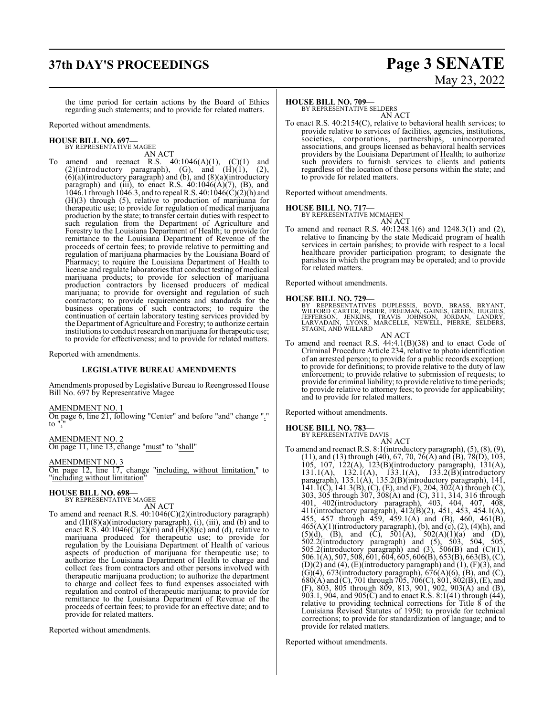# **37th DAY'S PROCEEDINGS Page 3 SENATE**

the time period for certain actions by the Board of Ethics regarding such statements; and to provide for related matters.

Reported without amendments.

#### **HOUSE BILL NO. 697—** BY REPRESENTATIVE MAGEE

AN ACT

To amend and reenact R.S.  $40:1046(A)(1)$ ,  $(C)(1)$  and  $(2)(introducing paragram), (G), and (H)(1), (2),$ (6)(a)(introductory paragraph) and (b), and (8)(a)(introductory paragraph) and (iii), to enact R.S.  $40:1046(A)(7)$ , (B), and 1046.1 through 1046.3, and to repeal R.S. 40:1046(C)(2)(h) and (H)(3) through (5), relative to production of marijuana for therapeutic use; to provide for regulation of medical marijuana production by the state; to transfer certain duties with respect to such regulation from the Department of Agriculture and Forestry to the Louisiana Department of Health; to provide for remittance to the Louisiana Department of Revenue of the proceeds of certain fees; to provide relative to permitting and regulation of marijuana pharmacies by the Louisiana Board of Pharmacy; to require the Louisiana Department of Health to license and regulate laboratories that conduct testing of medical marijuana products; to provide for selection of marijuana production contractors by licensed producers of medical marijuana; to provide for oversight and regulation of such contractors; to provide requirements and standards for the business operations of such contractors; to require the continuation of certain laboratory testing services provided by the Department of Agriculture and Forestry; to authorize certain institutions to conduct research on marijuana for therapeutic use; to provide for effectiveness; and to provide for related matters.

Reported with amendments.

#### **LEGISLATIVE BUREAU AMENDMENTS**

Amendments proposed by Legislative Bureau to Reengrossed House Bill No. 697 by Representative Magee

AMENDMENT NO. 1

On page 6, line 21, following "Center" and before "and" change "." to  $"$ ,

AMENDMENT NO. 2 On page 11, line 13, change "must" to "shall"

AMENDMENT NO. 3

On page 12, line 17, change "including, without limitation," to "including without limitation"

#### **HOUSE BILL NO. 698—**

BY REPRESENTATIVE MAGEE AN ACT

To amend and reenact R.S. 40:1046(C)(2)(introductory paragraph) and (H)(8)(a)(introductory paragraph), (i), (iii), and (b) and to enact R.S.  $40:1046(C)(2)(m)$  and  $(H)(8)(c)$  and (d), relative to marijuana produced for therapeutic use; to provide for regulation by the Louisiana Department of Health of various aspects of production of marijuana for therapeutic use; to authorize the Louisiana Department of Health to charge and collect fees from contractors and other persons involved with therapeutic marijuana production; to authorize the department to charge and collect fees to fund expenses associated with regulation and control of therapeutic marijuana; to provide for remittance to the Louisiana Department of Revenue of the proceeds of certain fees; to provide for an effective date; and to provide for related matters.

Reported without amendments.

#### **HOUSE BILL NO. 709—**

BY REPRESENTATIVE SELDERS AN ACT

To enact R.S. 40:2154(C), relative to behavioral health services; to provide relative to services of facilities, agencies, institutions, societies, corporations, partnerships, unincorporated associations, and groups licensed as behavioral health services providers by the Louisiana Department of Health; to authorize such providers to furnish services to clients and patients regardless of the location of those persons within the state; and to provide for related matters.

Reported without amendments.

#### **HOUSE BILL NO. 717—**

BY REPRESENTATIVE MCMAHEN AN ACT

To amend and reenact R.S. 40:1248.1(6) and 1248.3(1) and (2), relative to financing by the state Medicaid program of health services in certain parishes; to provide with respect to a local healthcare provider participation program; to designate the parishes in which the program may be operated; and to provide for related matters.

Reported without amendments.

#### **HOUSE BILL NO. 729—**

BY REPRESENTATIVES DUPLESSIS, BOYD, BRASS, BRYANT,<br>WILFORD CARTER, FISHER, FREEMAN, GAINES, GREEN, HUGHES,<br>JEFFERSON, JENKINS, TRAVIS JOHNSON, JORDAN, LANDRY,<br>LARVADAIN, LYONS, MARCELLE, NEWELL, PIERRE, SELDERS, STAGNI, AND WILLARD

AN ACT

To amend and reenact R.S. 44:4.1(B)(38) and to enact Code of Criminal Procedure Article 234, relative to photo identification of an arrested person; to provide for a public records exception; to provide for definitions; to provide relative to the duty of law enforcement; to provide relative to submission of requests; to provide for criminal liability; to provide relative to time periods; to provide relative to attorney fees; to provide for applicability; and to provide for related matters.

Reported without amendments.

#### **HOUSE BILL NO. 783—**

BY REPRESENTATIVE DAVIS AN ACT

To amend and reenact R.S. 8:1(introductory paragraph), (5), (8), (9), (11), and (13) through (40), 67, 70, 76(A) and (B), 78(D), 103, 105, 107, 122(A), 123(B)(introductory paragraph), 131(A), 131.1(A), 132.1(A), 133.1(A), 133.2(B)(introductory paragraph), 135.1(A), 135.2(B)(introductory paragraph), 141,  $141.\overline{1}$ (C),  $141.3$ (B), (C), (E), and (F), 204, 302(A) through (C), 303, 305 through 307, 308(A) and (C), 311, 314, 316 through 401, 402(introductory paragraph), 403, 404, 407, 408, 411(introductory paragraph), 412(B)(2), 451, 453, 454.1(A), 455, 457 through 459, 459.1(A) and (B), 460, 461(B),  $465(A)(1)$ (introductory paragraph), (b), and (c), (2), (4)(h), and  $(5)(d)$ ,  $(B)$ , and  $(C)$ ,  $501(A)$ ,  $502(A)(1)(a)$  and  $(D)$ , 502.2(introductory paragraph) and (5), 503, 504, 505, 505.2(introductory paragraph) and  $(3)$ , 506 $(B)$  and  $(C)(1)$ , 506.1(A), 507, 508, 601, 604, 605, 606(B), 653(B), 663(B), (C),  $(D)(2)$  and  $(4)$ ,  $(E)$ (introductory paragraph) and  $(1)$ ,  $(F)(3)$ , and  $(G)(4)$ , 673(introductory paragraph), 676(A)(6), (B), and (C), 680(A) and (C), 701 through 705, 706(C), 801, 802(B), (E), and (F), 803, 805 through 809, 813, 901, 902, 903(A) and (B), 903.1, 904, and 905 $(C)$  and to enact R.S. 8:1(41) through (44), relative to providing technical corrections for Title 8 of the Louisiana Revised Statutes of 1950; to provide for technical corrections; to provide for standardization of language; and to provide for related matters.

Reported without amendments.

# May 23, 2022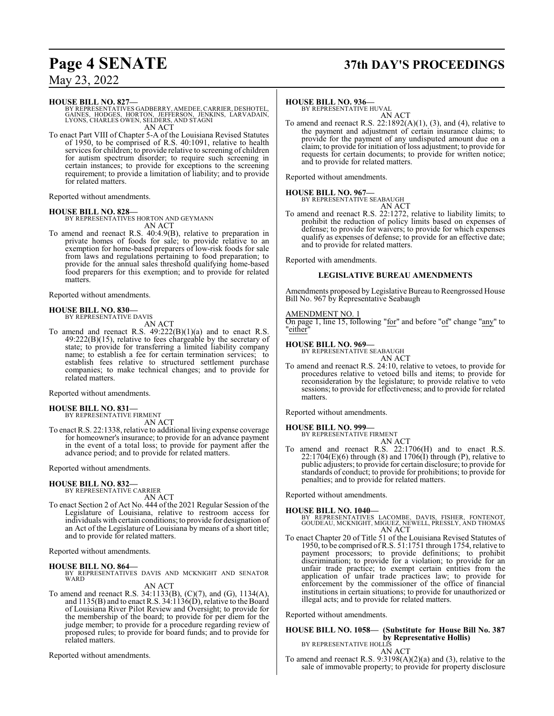# **Page 4 SENATE 37th DAY'S PROCEEDINGS**

## May 23, 2022

#### **HOUSE BILL NO. 827—**

BY REPRESENTATIVES GADBERRY, AMEDEE, CARRIER, DESHOTEL,<br>GAINES, HODGES, HORTON, JEFFERSON, JENKINS, LARVADAIN,<br>LYONS, CHARLES OWEN, SELDERS, AND STAGNI<br>AN ACT

To enact Part VIII of Chapter 5-A of the Louisiana Revised Statutes of 1950, to be comprised of R.S. 40:1091, relative to health services for children; to provide relative to screening of children for autism spectrum disorder; to require such screening in certain instances; to provide for exceptions to the screening requirement; to provide a limitation of liability; and to provide for related matters.

Reported without amendments.

#### **HOUSE BILL NO. 828—**

BY REPRESENTATIVES HORTON AND GEYMANN AN ACT

To amend and reenact R.S. 40:4.9(B), relative to preparation in private homes of foods for sale; to provide relative to an exemption for home-based preparers of low-risk foods for sale from laws and regulations pertaining to food preparation; to provide for the annual sales threshold qualifying home-based food preparers for this exemption; and to provide for related matters.

Reported without amendments.

#### **HOUSE BILL NO. 830—** BY REPRESENTATIVE DAVIS

AN ACT

To amend and reenact R.S. 49:222(B)(1)(a) and to enact R.S. 49:222(B)(15), relative to fees chargeable by the secretary of state; to provide for transferring a limited liability company name; to establish a fee for certain termination services; to establish fees relative to structured settlement purchase companies; to make technical changes; and to provide for related matters.

Reported without amendments.

# **HOUSE BILL NO. 831—** BY REPRESENTATIVE FIRMENT

AN ACT

To enact R.S. 22:1338, relative to additional living expense coverage for homeowner's insurance; to provide for an advance payment in the event of a total loss; to provide for payment after the advance period; and to provide for related matters.

#### Reported without amendments.

#### **HOUSE BILL NO. 832—**

BY REPRESENTATIVE CARRIER AN ACT

To enact Section 2 of Act No. 444 of the 2021 Regular Session of the Legislature of Louisiana, relative to restroom access for individuals with certain conditions; to provide for designation of an Act of the Legislature of Louisiana by means of a short title; and to provide for related matters.

Reported without amendments.

**HOUSE BILL NO. 864—** BY REPRESENTATIVES DAVIS AND MCKNIGHT AND SENATOR WARD

## AN ACT

To amend and reenact R.S. 34:1133(B), (C)(7), and (G), 1134(A), and 1135(B) and to enact R.S. 34:1136(D), relative to the Board of Louisiana River Pilot Review and Oversight; to provide for the membership of the board; to provide for per diem for the judge member; to provide for a procedure regarding review of proposed rules; to provide for board funds; and to provide for related matters.

Reported without amendments.

**HOUSE BILL NO. 936—** BY REPRESENTATIVE HUVAL AN ACT

To amend and reenact R.S.  $22:1892(A)(1)$ ,  $(3)$ , and  $(4)$ , relative to the payment and adjustment of certain insurance claims; to provide for the payment of any undisputed amount due on a claim; to provide for initiation of loss adjustment; to provide for requests for certain documents; to provide for written notice; and to provide for related matters.

Reported without amendments.

**HOUSE BILL NO. 967—** BY REPRESENTATIVE SEABAUGH

AN ACT

To amend and reenact R.S. 22:1272, relative to liability limits; to prohibit the reduction of policy limits based on expenses of defense; to provide for waivers; to provide for which expenses qualify as expenses of defense; to provide for an effective date; and to provide for related matters.

Reported with amendments.

## **LEGISLATIVE BUREAU AMENDMENTS**

Amendments proposed by Legislative Bureau to Reengrossed House Bill No. 967 by Representative Seabaugh

#### AMENDMENT NO. 1

On page 1, line 15, following "for" and before "of" change "any" to "either"

#### **HOUSE BILL NO. 969—**

BY REPRESENTATIVE SEABAUGH AN ACT

To amend and reenact R.S. 24:10, relative to vetoes, to provide for procedures relative to vetoed bills and items; to provide for reconsideration by the legislature; to provide relative to veto sessions; to provide for effectiveness; and to provide for related matters.

Reported without amendments.

#### **HOUSE BILL NO. 999—**

BY REPRESENTATIVE FIRMENT AN ACT

To amend and reenact R.S. 22:1706(H) and to enact R.S.  $22:1704(E)(6)$  through  $(8)$  and  $1706(I)$  through  $(P)$ , relative to public adjusters; to provide for certain disclosure; to provide for standards of conduct; to provide for prohibitions; to provide for penalties; and to provide for related matters.

Reported without amendments.

**HOUSE BILL NO. 1040—** BY REPRESENTATIVES LACOMBE, DAVIS, FISHER, FONTENOT, GOUDEAU, MCKNIGHT, MIGUEZ, NEWELL, PRESSLY, AND THOMAS AN ACT

To enact Chapter 20 of Title 51 of the Louisiana Revised Statutes of 1950, to be comprised ofR.S. 51:1751 through 1754, relative to payment processors; to provide definitions; to prohibit discrimination; to provide for a violation; to provide for an unfair trade practice; to exempt certain entities from the application of unfair trade practices law; to provide for enforcement by the commissioner of the office of financial institutions in certain situations; to provide for unauthorized or illegal acts; and to provide for related matters.

Reported without amendments.

## **HOUSE BILL NO. 1058— (Substitute for House Bill No. 387 by Representative Hollis)**<br>BY REPRESENTATIVE HOLLIS

AN ACT

To amend and reenact R.S. 9:3198(A)(2)(a) and (3), relative to the sale of immovable property; to provide for property disclosure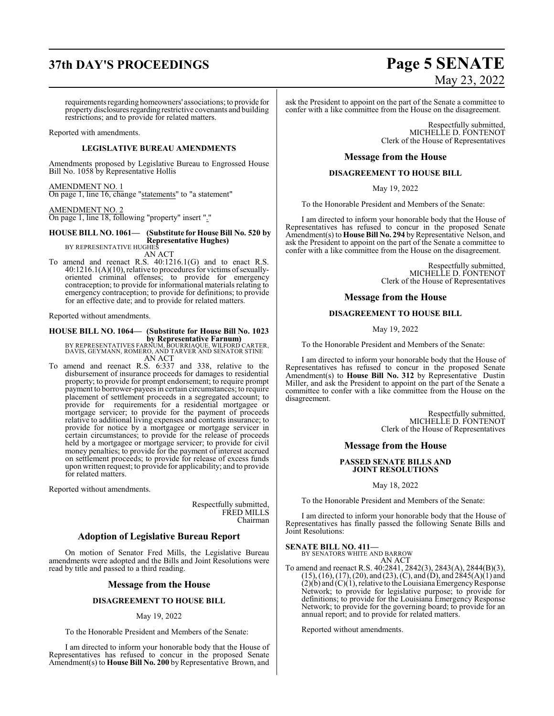# **37th DAY'S PROCEEDINGS Page 5 SENATE**

requirements regarding homeowners' associations; to provide for property disclosures regarding restrictive covenants and building restrictions; and to provide for related matters.

Reported with amendments.

#### **LEGISLATIVE BUREAU AMENDMENTS**

Amendments proposed by Legislative Bureau to Engrossed House Bill No. 1058 by Representative Hollis

#### AMENDMENT NO. 1

On page 1, line 16, change "statements" to "a statement"

## AMENDMENT NO. 2

On page 1, line 18, following "property" insert "."

## **HOUSE BILL NO. 1061— (Substitute for House Bill No. 520 by Representative Hughes)**<br>BY REPRESENTATIVE HUGHES

AN ACT

To amend and reenact R.S. 40:1216.1(G) and to enact R.S.  $40:1216.1(A)(10)$ , relative to procedures for victims of sexuallyoriented criminal offenses; to provide for emergency contraception; to provide for informational materials relating to emergency contraception; to provide for definitions; to provide for an effective date; and to provide for related matters.

Reported without amendments.

#### **HOUSE BILL NO. 1064— (Substitute for House Bill No. 1023 by Representative Farnum)**

BY REPRESENTATIVES FARNUM, BOURRIAQUE, WILFORD CARTER,<br>DAVIS, GEYMANN, ROMERO, AND TARVER AND SENATOR STINE<br>AN ACT

To amend and reenact R.S. 6:337 and 338, relative to the disbursement of insurance proceeds for damages to residential property; to provide for prompt endorsement; to require prompt payment to borrower-payees in certain circumstances; to require placement of settlement proceeds in a segregated account; to provide for requirements for a residential mortgagee or mortgage servicer; to provide for the payment of proceeds relative to additional living expenses and contents insurance; to provide for notice by a mortgagee or mortgage servicer in certain circumstances; to provide for the release of proceeds held by a mortgagee or mortgage servicer; to provide for civil money penalties; to provide for the payment of interest accrued on settlement proceeds; to provide for release of excess funds upon written request; to provide for applicability; and to provide for related matters.

Reported without amendments.

Respectfully submitted, FRED MILLS Chairman

#### **Adoption of Legislative Bureau Report**

On motion of Senator Fred Mills, the Legislative Bureau amendments were adopted and the Bills and Joint Resolutions were read by title and passed to a third reading.

#### **Message from the House**

#### **DISAGREEMENT TO HOUSE BILL**

#### May 19, 2022

To the Honorable President and Members of the Senate:

I am directed to inform your honorable body that the House of Representatives has refused to concur in the proposed Senate Amendment(s) to **House Bill No. 200** by Representative Brown, and

# May 23, 2022

ask the President to appoint on the part of the Senate a committee to confer with a like committee from the House on the disagreement.

> Respectfully submitted, MICHELLE D. FONTENOT Clerk of the House of Representatives

#### **Message from the House**

#### **DISAGREEMENT TO HOUSE BILL**

May 19, 2022

To the Honorable President and Members of the Senate:

I am directed to inform your honorable body that the House of Representatives has refused to concur in the proposed Senate Amendment(s) to **House Bill No. 294** by Representative Nelson, and ask the President to appoint on the part of the Senate a committee to confer with a like committee from the House on the disagreement.

> Respectfully submitted, MICHELLE D. FONTENOT Clerk of the House of Representatives

#### **Message from the House**

#### **DISAGREEMENT TO HOUSE BILL**

May 19, 2022

To the Honorable President and Members of the Senate:

I am directed to inform your honorable body that the House of Representatives has refused to concur in the proposed Senate Amendment(s) to **House Bill No. 312** by Representative Dustin Miller, and ask the President to appoint on the part of the Senate a committee to confer with a like committee from the House on the disagreement.

> Respectfully submitted, MICHELLE D. FONTENOT Clerk of the House of Representatives

#### **Message from the House**

#### **PASSED SENATE BILLS AND JOINT RESOLUTIONS**

#### May 18, 2022

To the Honorable President and Members of the Senate:

I am directed to inform your honorable body that the House of Representatives has finally passed the following Senate Bills and Joint Resolutions:

#### **SENATE BILL NO. 411—**

BY SENATORS WHITE AND BARROW AN ACT

To amend and reenact R.S. 40:2841, 2842(3), 2843(A), 2844(B)(3),  $(15)$ ,  $(16)$ ,  $(17)$ ,  $(20)$ , and  $(23)$ ,  $(C)$ , and  $(D)$ , and  $2845(A)(1)$  and  $(2)(b)$  and  $(C)(1)$ , relative to the Louisiana Emergency Response Network; to provide for legislative purpose; to provide for definitions; to provide for the Louisiana Emergency Response Network; to provide for the governing board; to provide for an annual report; and to provide for related matters.

Reported without amendments.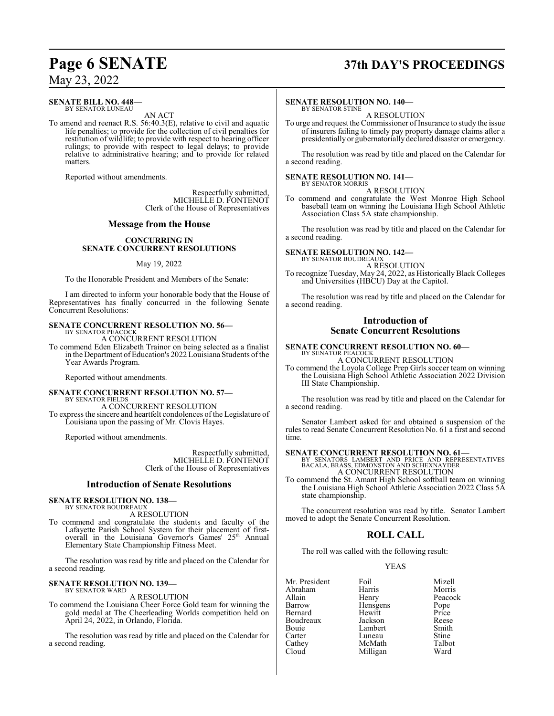#### **SENATE BILL NO. 448—** BY SENATOR LUNEAU

AN ACT

To amend and reenact R.S. 56:40.3(E), relative to civil and aquatic life penalties; to provide for the collection of civil penalties for restitution of wildlife; to provide with respect to hearing officer rulings; to provide with respect to legal delays; to provide relative to administrative hearing; and to provide for related matters.

Reported without amendments.

Respectfully submitted, MICHELLE D. FONTENOT Clerk of the House of Representatives

#### **Message from the House**

#### **CONCURRING IN SENATE CONCURRENT RESOLUTIONS**

#### May 19, 2022

To the Honorable President and Members of the Senate:

I am directed to inform your honorable body that the House of Representatives has finally concurred in the following Senate Concurrent Resolutions:

# **SENATE CONCURRENT RESOLUTION NO. 56—** BY SENATOR PEACOCK

A CONCURRENT RESOLUTION

To commend Eden Elizabeth Trainor on being selected as a finalist in the Department of Education's 2022 Louisiana Students of the Year Awards Program.

Reported without amendments.

#### **SENATE CONCURRENT RESOLUTION NO. 57—** BY SENATOR FIELDS

A CONCURRENT RESOLUTION To express the sincere and heartfelt condolences of the Legislature of Louisiana upon the passing of Mr. Clovis Hayes.

Reported without amendments.

Respectfully submitted, MICHELLE D. FONTENOT Clerk of the House of Representatives

#### **Introduction of Senate Resolutions**

#### **SENATE RESOLUTION NO. 138—** BY SENATOR BOUDREAUX

A RESOLUTION

To commend and congratulate the students and faculty of the Lafayette Parish School System for their placement of firstoverall in the Louisiana Governor's Games' 25<sup>th</sup> Annual Elementary State Championship Fitness Meet.

The resolution was read by title and placed on the Calendar for a second reading.

#### **SENATE RESOLUTION NO. 139—** BY SENATOR WARD

A RESOLUTION

To commend the Louisiana Cheer Force Gold team for winning the gold medal at The Cheerleading Worlds competition held on April 24, 2022, in Orlando, Florida.

The resolution was read by title and placed on the Calendar for a second reading.

# **Page 6 SENATE 37th DAY'S PROCEEDINGS**

#### **SENATE RESOLUTION NO. 140—**

BY SENATOR STINE A RESOLUTION

To urge and request the Commissioner of Insurance to study the issue of insurers failing to timely pay property damage claims after a presidentially or gubernatorially declared disaster or emergency.

The resolution was read by title and placed on the Calendar for a second reading.

#### **SENATE RESOLUTION NO. 141—** BY SENATOR MORRIS

A RESOLUTION

To commend and congratulate the West Monroe High School baseball team on winning the Louisiana High School Athletic Association Class 5A state championship.

The resolution was read by title and placed on the Calendar for a second reading.

**SENATE RESOLUTION NO. 142—**

BY SENATOR BOUDREAUX A RESOLUTION

To recognize Tuesday, May 24, 2022, as Historically Black Colleges and Universities (HBCU) Day at the Capitol.

The resolution was read by title and placed on the Calendar for a second reading.

#### **Introduction of Senate Concurrent Resolutions**

# **SENATE CONCURRENT RESOLUTION NO. 60—** BY SENATOR PEACOCK

A CONCURRENT RESOLUTION

To commend the Loyola College Prep Girls soccer team on winning the Louisiana High School Athletic Association 2022 Division III State Championship.

The resolution was read by title and placed on the Calendar for a second reading.

Senator Lambert asked for and obtained a suspension of the rules to read Senate Concurrent Resolution No. 61 a first and second time.

#### **SENATE CONCURRENT RESOLUTION NO. 61—**

BY SENATORS LAMBERT AND PRICE AND REPRESENTATIVES BACALA, BRASS, EDMONSTON AND SCHEXNAYDER A CONCURRENT RESOLUTION

To commend the St. Amant High School softball team on winning the Louisiana High School Athletic Association 2022 Class 5A state championship.

The concurrent resolution was read by title. Senator Lambert moved to adopt the Senate Concurrent Resolution.

#### **ROLL CALL**

The roll was called with the following result:

#### YEAS

| Mr. President | Foil     | Mizell        |
|---------------|----------|---------------|
| Abraham       | Harris   | Morris        |
| Allain        | Henry    | Peacock       |
| Barrow        | Hensgens |               |
| Bernard       | Hewitt   | Pope<br>Price |
| Boudreaux     | Jackson  | Reese         |
| Bouie         | Lambert  | Smith         |
| Carter        | Luneau   | Stine         |
| Cathey        | McMath   | Talbot        |
| Cloud         | Milligan | Ward          |
|               |          |               |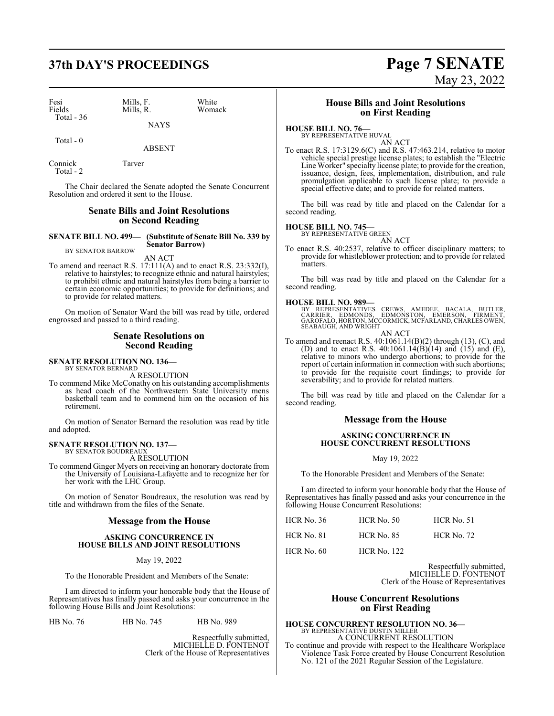# **37th DAY'S PROCEEDINGS Page 7 SENATE**

| Fesi<br>Fields<br>Total $-36$ | Mills, F.<br>Mills, R. | White<br>Womack |
|-------------------------------|------------------------|-----------------|
|                               | <b>NAYS</b>            |                 |

Total - 0

ABSENT Connick Tarver

Total - 2

The Chair declared the Senate adopted the Senate Concurrent Resolution and ordered it sent to the House.

#### **Senate Bills and Joint Resolutions on Second Reading**

**SENATE BILL NO. 499— (Substitute of Senate Bill No. 339 by**

**Senator Barrow)**

BY SENATOR BARROW AN ACT

To amend and reenact R.S. 17:111(A) and to enact R.S. 23:332(I), relative to hairstyles; to recognize ethnic and natural hairstyles; to prohibit ethnic and natural hairstyles from being a barrier to certain economic opportunities; to provide for definitions; and to provide for related matters.

On motion of Senator Ward the bill was read by title, ordered engrossed and passed to a third reading.

#### **Senate Resolutions on Second Reading**

**SENATE RESOLUTION NO. 136—** BY SENATOR BERNARD

A RESOLUTION

To commend Mike McConathy on his outstanding accomplishments as head coach of the Northwestern State University mens basketball team and to commend him on the occasion of his retirement.

On motion of Senator Bernard the resolution was read by title and adopted.

# **SENATE RESOLUTION NO. 137—** BY SENATOR BOUDREAUX

A RESOLUTION

To commend Ginger Myers on receiving an honorary doctorate from the University of Louisiana-Lafayette and to recognize her for her work with the LHC Group.

On motion of Senator Boudreaux, the resolution was read by title and withdrawn from the files of the Senate.

#### **Message from the House**

#### **ASKING CONCURRENCE IN HOUSE BILLS AND JOINT RESOLUTIONS**

May 19, 2022

To the Honorable President and Members of the Senate:

I am directed to inform your honorable body that the House of Representatives has finally passed and asks your concurrence in the following House Bills and Joint Resolutions:

HB No. 76 HB No. 745 HB No. 989

Respectfully submitted, MICHELLE D. FONTENOT Clerk of the House of Representatives

### **House Bills and Joint Resolutions on First Reading**

# **HOUSE BILL NO. 76—** BY REPRESENTATIVE HUVAL

AN ACT

To enact R.S. 17:3129.6(C) and R.S. 47:463.214, relative to motor vehicle special prestige license plates; to establish the "Electric Line Worker" specialty license plate; to provide for the creation, issuance, design, fees, implementation, distribution, and rule promulgation applicable to such license plate; to provide a special effective date; and to provide for related matters.

The bill was read by title and placed on the Calendar for a second reading.

## **HOUSE BILL NO. 745—**

BY REPRESENTATIVE GREEN AN ACT

To enact R.S. 40:2537, relative to officer disciplinary matters; to provide for whistleblower protection; and to provide for related matters.

The bill was read by title and placed on the Calendar for a second reading.

#### **HOUSE BILL NO. 989—**

BY REPRESENTATIVES CREWS, AMEDEE, BACALA, BUTLER,<br>CARRIER, EDMONDS, EDMONSTON, EMERSON, FIRMENT,<br>GAROFALO,HORTON,MCCORMICK,MCFARLAND,CHARLESOWEN, SEABAUGH, AND WRIGHT AN ACT

To amend and reenact R.S. 40:1061.14(B)(2) through (13), (C), and (D) and to enact R.S.  $40:1061.14(B)(14)$  and  $(15)$  and  $(E)$ , relative to minors who undergo abortions; to provide for the report of certain information in connection with such abortions; to provide for the requisite court findings; to provide for severability; and to provide for related matters.

The bill was read by title and placed on the Calendar for a second reading.

#### **Message from the House**

#### **ASKING CONCURRENCE IN HOUSE CONCURRENT RESOLUTIONS**

May 19, 2022

To the Honorable President and Members of the Senate:

I am directed to inform your honorable body that the House of Representatives has finally passed and asks your concurrence in the following House Concurrent Resolutions:

| <b>HCR No. 36</b> | $HCR$ No. 50       | <b>HCR</b> No. 51 |
|-------------------|--------------------|-------------------|
| <b>HCR No. 81</b> | <b>HCR No. 85</b>  | <b>HCR No. 72</b> |
| <b>HCR</b> No. 60 | <b>HCR No. 122</b> |                   |

Respectfully submitted, MICHELLE D. FONTENOT Clerk of the House of Representatives

#### **House Concurrent Resolutions on First Reading**

**HOUSE CONCURRENT RESOLUTION NO. 36—** BY REPRESENTATIVE DUSTIN MILLER A CONCURRENT RESOLUTION To continue and provide with respect to the Healthcare Workplace Violence Task Force created by House Concurrent Resolution

No. 121 of the 2021 Regular Session of the Legislature.

May 23, 2022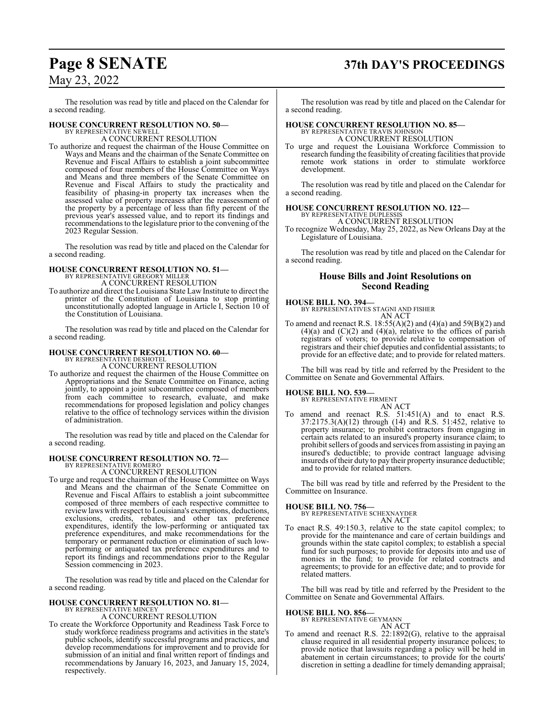# **Page 8 SENATE 37th DAY'S PROCEEDINGS**

## May 23, 2022

The resolution was read by title and placed on the Calendar for a second reading.

# **HOUSE CONCURRENT RESOLUTION NO. 50—**<br>BY REPRESENTATIVE NEWELL<br>A CONCURRENT RESOLUTION

To authorize and request the chairman of the House Committee on Ways and Means and the chairman of the Senate Committee on Revenue and Fiscal Affairs to establish a joint subcommittee composed of four members of the House Committee on Ways and Means and three members of the Senate Committee on Revenue and Fiscal Affairs to study the practicality and feasibility of phasing-in property tax increases when the assessed value of property increases after the reassessment of the property by a percentage of less than fifty percent of the previous year's assessed value, and to report its findings and recommendations to the legislature prior to the convening of the 2023 Regular Session.

The resolution was read by title and placed on the Calendar for a second reading.

#### **HOUSE CONCURRENT RESOLUTION NO. 51—** BY REPRESENTATIVE GREGORY MILLER A CONCURRENT RESOLUTION

To authorize and direct the Louisiana State Law Institute to direct the printer of the Constitution of Louisiana to stop printing unconstitutionally adopted language in Article I, Section 10 of the Constitution of Louisiana.

The resolution was read by title and placed on the Calendar for a second reading.

#### **HOUSE CONCURRENT RESOLUTION NO. 60—**

BY REPRESENTATIVE DESHOTEL A CONCURRENT RESOLUTION

To authorize and request the chairmen of the House Committee on Appropriations and the Senate Committee on Finance, acting jointly, to appoint a joint subcommittee composed of members from each committee to research, evaluate, and make recommendations for proposed legislation and policy changes relative to the office of technology services within the division of administration.

The resolution was read by title and placed on the Calendar for a second reading.

#### **HOUSE CONCURRENT RESOLUTION NO. 72—** BY REPRESENTATIVE ROMERO

A CONCURRENT RESOLUTION

To urge and request the chairman of the House Committee on Ways and Means and the chairman of the Senate Committee on Revenue and Fiscal Affairs to establish a joint subcommittee composed of three members of each respective committee to review laws with respect to Louisiana's exemptions, deductions, exclusions, credits, rebates, and other tax preference expenditures, identify the low-performing or antiquated tax preference expenditures, and make recommendations for the temporary or permanent reduction or elimination of such lowperforming or antiquated tax preference expenditures and to report its findings and recommendations prior to the Regular Session commencing in 2023.

The resolution was read by title and placed on the Calendar for a second reading.

# **HOUSE CONCURRENT RESOLUTION NO. 81—** BY REPRESENTATIVE MINCEY

A CONCURRENT RESOLUTION

To create the Workforce Opportunity and Readiness Task Force to study workforce readiness programs and activities in the state's public schools, identify successful programs and practices, and develop recommendations for improvement and to provide for submission of an initial and final written report of findings and recommendations by January 16, 2023, and January 15, 2024, respectively.

The resolution was read by title and placed on the Calendar for a second reading.

#### **HOUSE CONCURRENT RESOLUTION NO. 85—** BY REPRESENTATIVE TRAVIS JOHNSON

A CONCURRENT RESOLUTION

To urge and request the Louisiana Workforce Commission to research funding the feasibility of creating facilities that provide remote work stations in order to stimulate workforce development.

The resolution was read by title and placed on the Calendar for a second reading.

# **HOUSE CONCURRENT RESOLUTION NO. 122—**<br>BY REPRESENTATIVE DUPLESSIS<br>A CONCURRENT RESOLUTION

To recognize Wednesday, May 25, 2022, as New Orleans Day at the Legislature of Louisiana.

The resolution was read by title and placed on the Calendar for a second reading.

## **House Bills and Joint Resolutions on Second Reading**

### **HOUSE BILL NO. 394—**

BY REPRESENTATIVES STAGNI AND FISHER AN ACT

To amend and reenact R.S. 18:55(A)(2) and (4)(a) and 59(B)(2) and  $(4)(a)$  and  $(C)(2)$  and  $(4)(a)$ , relative to the offices of parish registrars of voters; to provide relative to compensation of registrars and their chief deputies and confidential assistants; to provide for an effective date; and to provide for related matters.

The bill was read by title and referred by the President to the Committee on Senate and Governmental Affairs.

#### **HOUSE BILL NO. 539—**

BY REPRESENTATIVE FIRMENT

AN ACT To amend and reenact R.S. 51:451(A) and to enact R.S. 37:2175.3(A)(12) through (14) and R.S. 51:452, relative to property insurance; to prohibit contractors from engaging in certain acts related to an insured's property insurance claim; to prohibit sellers of goods and services fromassisting in paying an insured's deductible; to provide contract language advising insureds oftheir duty to pay their property insurance deductible; and to provide for related matters.

The bill was read by title and referred by the President to the Committee on Insurance.

#### **HOUSE BILL NO. 756—**

BY REPRESENTATIVE SCHEXNAYDER AN ACT

To enact R.S. 49:150.3, relative to the state capitol complex; to provide for the maintenance and care of certain buildings and grounds within the state capitol complex; to establish a special fund for such purposes; to provide for deposits into and use of monies in the fund; to provide for related contracts and agreements; to provide for an effective date; and to provide for related matters.

The bill was read by title and referred by the President to the Committee on Senate and Governmental Affairs.

#### **HOUSE BILL NO. 856—**

BY REPRESENTATIVE GEYMANN

#### AN ACT

To amend and reenact R.S. 22:1892(G), relative to the appraisal clause required in all residential property insurance polices; to provide notice that lawsuits regarding a policy will be held in abatement in certain circumstances; to provide for the courts' discretion in setting a deadline for timely demanding appraisal;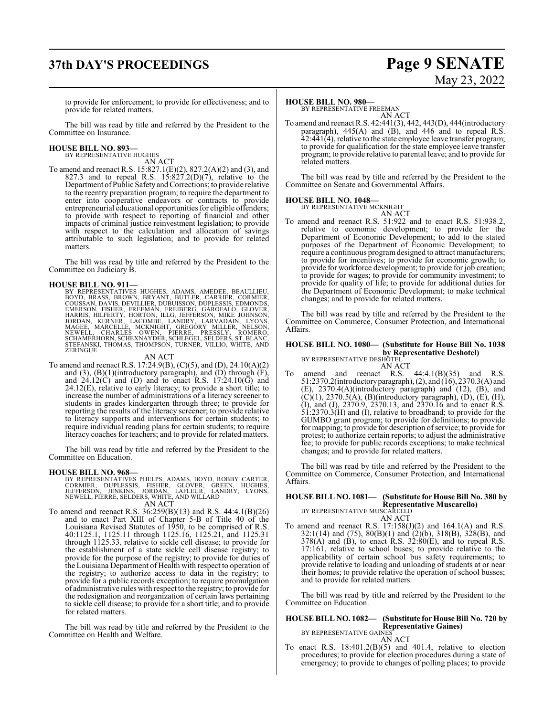# **37th DAY'S PROCEEDINGS Page 9 SENATE**

# May 23, 2022

to provide for enforcement; to provide for effectiveness; and to provide for related matters.

The bill was read by title and referred by the President to the Committee on Insurance.

#### **HOUSE BILL NO. 893—** BY REPRESENTATIVE HUGHES

AN ACT

To amend and reenact R.S. 15:827.1(E)(2), 827.2(A)(2) and (3), and 827.3 and to repeal R.S.  $15:827.2(D)(7)$ , relative to the Department ofPublic SafetyandCorrections; to provide relative to the reentry preparation program; to require the department to enter into cooperative endeavors or contracts to provide entrepreneurial educational opportunities for eligible offenders; to provide with respect to reporting of financial and other impacts of criminal justice reinvestment legislation; to provide with respect to the calculation and allocation of savings attributable to such legislation; and to provide for related matters.

The bill was read by title and referred by the President to the Committee on Judiciary B.

HOUSE BILL NO. 911—<br>BY REPRESENTATIVES HUGHES, ADAMS, AMEDEE, BEAULLIEU,<br>BOYD, BRASS, BROWN, BRYANT, BUTLER, CARRIER, CORMIER,<br>COUSSAN, DAVIS, DEVILLIER, DUBUISSON, DUPLESSIS, EDMONDS,<br>EMERSON, FISHER, FREEMAN, FREIBERG, G ZERINGUE

AN ACT

To amend and reenact R.S. 17:24.9(B), (C)(5), and (D), 24.10(A)(2) and  $(3)$ ,  $(B)(1)$ (introductory paragraph), and  $(D)$  through  $(F)$ , and  $24.12(\overrightarrow{C})$  and (D) and to enact R.S.  $17:24.10(\overrightarrow{G})$  and 24.12(E), relative to early literacy; to provide a short title; to increase the number of administrations of a literacy screener to students in grades kindergarten through three; to provide for reporting the results of the literacy screener; to provide relative to literacy supports and interventions for certain students; to require individual reading plans for certain students; to require literacy coaches for teachers; and to provide for related matters.

The bill was read by title and referred by the President to the Committee on Education.

#### **HOUSE BILL NO. 968—**

- BY REPRESENTATIVES PHELPS, ADAMS, BOYD, ROBBY CARTER,<br>CORMIER, DUPLESSIS, FISHER, GLOVER, GREEN, HUGHES,<br>JEFFERSON, JENKINS, JORDAN, LAFLEUR, LADDRY, LYONS,<br>NEWELL, PIERRE, SELDERS, WHITE, AND WILLARD AN ACT
- To amend and reenact R.S. 36:259(B)(13) and R.S. 44:4.1(B)(26) and to enact Part XIII of Chapter 5-B of Title 40 of the Louisiana Revised Statutes of 1950, to be comprised of R.S. 40:1125.1, 1125.11 through 1125.16, 1125.21, and 1125.31 through 1125.33, relative to sickle cell disease; to provide for the establishment of a state sickle cell disease registry; to provide for the purpose of the registry; to provide for duties of the Louisiana Department of Health with respect to operation of the registry; to authorize access to data in the registry; to provide for a public records exception; to require promulgation of administrative rules with respect to the registry; to provide for the redesignation and reorganization of certain laws pertaining to sickle cell disease; to provide for a short title; and to provide for related matters.

The bill was read by title and referred by the President to the Committee on Health and Welfare.

#### **HOUSE BILL NO. 980—**

BY REPRESENTATIVE FREEMAN AN ACT

To amend and reenact R.S. 42:441(3), 442, 443(D), 444(introductory paragraph), 445(A) and (B), and 446 and to repeal R.S. 42:441(4), relative to the state employee leave transfer program; to provide for qualification for the state employee leave transfer program; to provide relative to parental leave; and to provide for related matters.

The bill was read by title and referred by the President to the Committee on Senate and Governmental Affairs.

#### **HOUSE BILL NO. 1048—**



To amend and reenact R.S. 51:922 and to enact R.S. 51:938.2, relative to economic development; to provide for the Department of Economic Development; to add to the stated purposes of the Department of Economic Development; to require a continuous program designed to attract manufacturers; to provide for incentives; to provide for economic growth; to provide for workforce development; to provide for job creation; to provide for wages; to provide for community investment; to provide for quality of life; to provide for additional duties for the Department of Economic Development; to make technical changes; and to provide for related matters.

The bill was read by title and referred by the President to the Committee on Commerce, Consumer Protection, and International Affairs.

#### **HOUSE BILL NO. 1080— (Substitute for House Bill No. 1038 by Representative Deshotel)** BY REPRESENTATIVE DESHOTEL

AN ACT To amend and reenact R.S. 44:4.1(B)(35) and R.S. 51:2370.2(introductoryparagraph), (2), and (16), 2370.3(A) and (E), 2370.4(A)(introductory paragraph) and (12), (B), and (C)(1), 2370.5(A), (B)(introductory paragraph), (D), (E), (H), (I), and (J), 2370.9, 2370.13, and 2370.16 and to enact R.S.  $\hat{5}1:2370.\hat{3}$ (H) and (I), relative to broadband; to provide for the GUMBO grant program; to provide for definitions; to provide for mapping; to provide for description of service; to provide for protest; to authorize certain reports; to adjust the administrative fee; to provide for public records exceptions; to make technical changes; and to provide for related matters.

The bill was read by title and referred by the President to the Committee on Commerce, Consumer Protection, and International Affairs.

# **HOUSE BILL NO. 1081— (Substitute for House Bill No. 380 by Representative Muscarello)**<br>BY REPRESENTATIVE MUSCARELLO<br>AN ACT

To amend and reenact R.S.  $17:158(J)(2)$  and  $164.1(A)$  and R.S. 32:1(14) and (75), 80(B)(1) and (2)(b), 318(B), 328(B), and  $378(A)$  and (B), to enact R.S.  $32:80(E)$ , and to repeal R.S. 17:161, relative to school buses; to provide relative to the applicability of certain school bus safety requirements; to provide relative to loading and unloading of students at or near their homes; to provide relative the operation of school busses; and to provide for related matters.

The bill was read by title and referred by the President to the Committee on Education.

#### **HOUSE BILL NO. 1082— (Substitute for House Bill No. 720 by Representative Gaines)** BY REPRESENTATIVE GAINES

AN ACT

To enact R.S. 18:401.2(B)(5) and 401.4, relative to election procedures; to provide for election procedures during a state of emergency; to provide to changes of polling places; to provide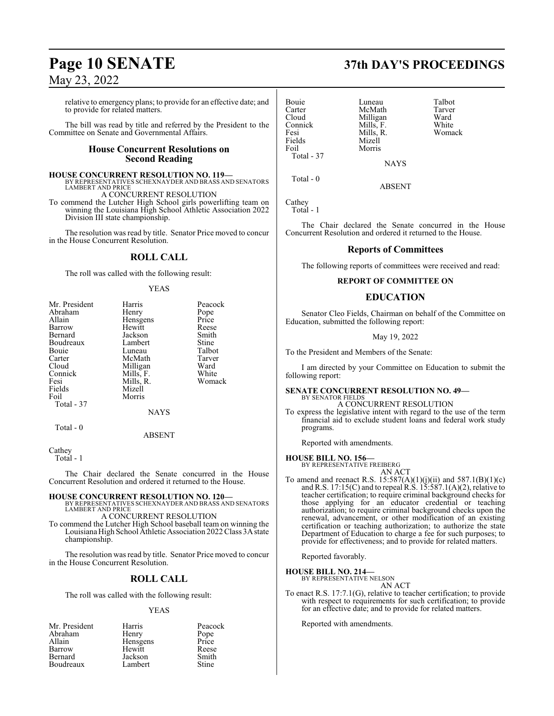# **Page 10 SENATE 37th DAY'S PROCEEDINGS**

## May 23, 2022

relative to emergency plans; to provide for an effective date; and to provide for related matters.

The bill was read by title and referred by the President to the Committee on Senate and Governmental Affairs.

#### **House Concurrent Resolutions on Second Reading**

**HOUSE CONCURRENT RESOLUTION NO. 119—** BY REPRESENTATIVES SCHEXNAYDER AND BRASS AND SENATORS LAMBERT AND PRICE

A CONCURRENT RESOLUTION

To commend the Lutcher High School girls powerlifting team on winning the Louisiana High School Athletic Association 2022 Division III state championship.

The resolution was read by title. Senator Price moved to concur in the House Concurrent Resolution.

#### **ROLL CALL**

The roll was called with the following result:

#### YEAS

| Mr. President<br>Abraham<br>Allain<br>Barrow<br>Bernard<br>Boudreaux<br>Bouie<br>Carter<br>Cloud<br>Connick<br>Fesi<br>Fields<br>Foil | Harris<br>Henry<br>Hensgens<br>Hewitt<br>Jackson<br>Lambert<br>Luneau<br>McMath<br>Milligan<br>Mills, F.<br>Mills, R.<br>Mizell<br>Morris | Peacock<br>Pope<br>Price<br>Reese<br>Smith<br>Stine<br>Talbot<br>Tarver<br>Ward<br>White<br>Womack |
|---------------------------------------------------------------------------------------------------------------------------------------|-------------------------------------------------------------------------------------------------------------------------------------------|----------------------------------------------------------------------------------------------------|
| Total - 37                                                                                                                            | <b>NAYS</b>                                                                                                                               |                                                                                                    |
| Total - 0                                                                                                                             |                                                                                                                                           |                                                                                                    |

ABSENT

Cathey Total - 1

The Chair declared the Senate concurred in the House Concurrent Resolution and ordered it returned to the House.

#### **HOUSE CONCURRENT RESOLUTION NO. 120—** BY REPRESENTATIVES SCHEXNAYDER AND BRASS AND SENATORS LAMBERT AND PRICE

A CONCURRENT RESOLUTION

To commend the Lutcher High School baseball team on winning the Louisiana High School Athletic Association 2022 Class 3A state championship.

The resolution was read by title. Senator Price moved to concur in the House Concurrent Resolution.

## **ROLL CALL**

The roll was called with the following result:

#### YEAS

| Mr. President | Harris   | Peacock      |
|---------------|----------|--------------|
| Abraham       | Henry    | Pope         |
| Allain        | Hensgens | Price        |
| Barrow        | Hewitt   | Reese        |
| Bernard       | Jackson  | Smith        |
| Boudreaux     | Lambert  | <b>Stine</b> |

Carter McMath Tarver<br>Cloud Milligan Ward Cloud Milligan Ward<br>
Mills, F. White<br>
Mills, F. White Connick Mills, F.<br>Fesi Mills, R. Fesi Mills, R. Womack<br>Fields Mizell Fields Mizell<br>Foil Morris Total - 37

Bouie Luneau Talbot<br>Carter McMath Tarver Morris

ABSENT

**NAYS** 

Cathey Total - 1

Total - 0

The Chair declared the Senate concurred in the House Concurrent Resolution and ordered it returned to the House.

#### **Reports of Committees**

The following reports of committees were received and read:

#### **REPORT OF COMMITTEE ON**

#### **EDUCATION**

Senator Cleo Fields, Chairman on behalf of the Committee on Education, submitted the following report:

#### May 19, 2022

To the President and Members of the Senate:

I am directed by your Committee on Education to submit the following report:

#### **SENATE CONCURRENT RESOLUTION NO. 49—**

BY SENATOR FIELDS A CONCURRENT RESOLUTION

To express the legislative intent with regard to the use of the term financial aid to exclude student loans and federal work study programs.

Reported with amendments.

#### **HOUSE BILL NO. 156—**

BY REPRESENTATIVE FREIBERG AN ACT

To amend and reenact R.S.  $15:587(A)(1)(j)(ii)$  and  $587.1(B)(1)(c)$ and R.S. 17:15(C) and to repeal R.S. 15:587.1(A)(2), relative to teacher certification; to require criminal background checks for those applying for an educator credential or teaching authorization; to require criminal background checks upon the renewal, advancement, or other modification of an existing certification or teaching authorization; to authorize the state Department of Education to charge a fee for such purposes; to provide for effectiveness; and to provide for related matters.

Reported favorably.

#### **HOUSE BILL NO. 214—**

BY REPRESENTATIVE NELSON

## AN ACT

To enact R.S. 17:7.1(G), relative to teacher certification; to provide with respect to requirements for such certification; to provide for an effective date; and to provide for related matters.

Reported with amendments.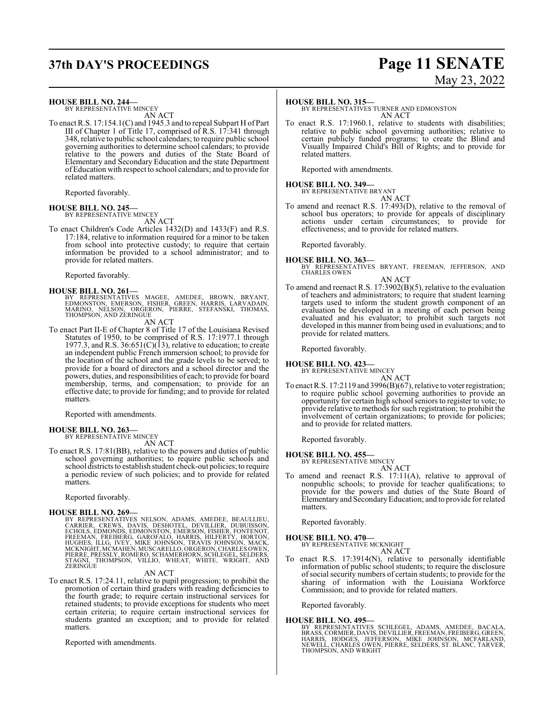# **37th DAY'S PROCEEDINGS Page 11 SENATE**

#### **HOUSE BILL NO. 244—**

BY REPRESENTATIVE MINCEY AN ACT

To enact R.S. 17:154.1(C) and 1945.3 and to repeal Subpart H of Part III of Chapter 1 of Title 17, comprised of R.S. 17:341 through 348, relative to public school calendars; to require public school governing authorities to determine school calendars; to provide relative to the powers and duties of the State Board of Elementary and Secondary Education and the state Department ofEducation with respect to school calendars; and to provide for related matters.

Reported favorably.

### **HOUSE BILL NO. 245—**

BY REPRESENTATIVE MINCEY AN ACT

To enact Children's Code Articles 1432(D) and 1433(F) and R.S. 17:184, relative to information required for a minor to be taken from school into protective custody; to require that certain information be provided to a school administrator; and to provide for related matters.

Reported favorably.

#### **HOUSE BILL NO. 261—**

BY REPRESENTATIVES MAGEE, AMEDEE, BROWN, BRYANT,<br>EDMONSTON, EMERSON, FISHER, GREEN, HARRIS, LARVADAIN,<br>MARINO, NELSON, ORGERON, PIERRE, STEFANSKI, THOMAS, THOMPSON, AND ZERINGUE

AN ACT

To enact Part II-E of Chapter 8 of Title 17 of the Louisiana Revised Statutes of 1950, to be comprised of R.S. 17:1977.1 through 1977.3, and R.S.  $36:651(C)(13)$ , relative to education; to create an independent public French immersion school; to provide for the location of the school and the grade levels to be served; to provide for a board of directors and a school director and the powers, duties, and responsibilities of each; to provide for board membership, terms, and compensation; to provide for an effective date; to provide for funding; and to provide for related matters.

Reported with amendments.

#### **HOUSE BILL NO. 263—**

BY REPRESENTATIVE MINCEY AN ACT

To enact R.S. 17:81(BB), relative to the powers and duties of public school governing authorities; to require public schools and school districts to establish student check-out policies; to require a periodic review of such policies; and to provide for related matters.

Reported favorably.

**HOUSE BILL NO. 269—**<br>BY REPRESENTATIVES NELSON, ADAMS, AMEDEE, BEAULLIEU,<br>CARRIER, CREWS, DAVIS, DESHOTEL, DEVILLIER, DUBUISSON,<br>ECHOLS, EDMONDS, EDMONSTON, EMERSON, FISHER, FONTENOT,<br>FREEMAN, FREIBERG, GAROFALO, HARRIS,

#### AN ACT

To enact R.S. 17:24.11, relative to pupil progression; to prohibit the promotion of certain third graders with reading deficiencies to the fourth grade; to require certain instructional services for retained students; to provide exceptions for students who meet certain criteria; to require certain instructional services for students granted an exception; and to provide for related matters.

Reported with amendments.

# May 23, 2022

#### **HOUSE BILL NO. 315—**

BY REPRESENTATIVES TURNER AND EDMONSTON AN ACT

To enact R.S. 17:1960.1, relative to students with disabilities; relative to public school governing authorities; relative to certain publicly funded programs; to create the Blind and Visually Impaired Child's Bill of Rights; and to provide for related matters.

Reported with amendments.

#### **HOUSE BILL NO. 349—**

BY REPRESENTATIVE BRYANT AN ACT

To amend and reenact R.S. 17:493(D), relative to the removal of school bus operators; to provide for appeals of disciplinary actions under certain circumstances; to provide for effectiveness; and to provide for related matters.

Reported favorably.

# **HOUSE BILL NO. 363—** BY REPRESENTATIVES BRYANT, FREEMAN, JEFFERSON, AND CHARLES OWEN

#### AN ACT

To amend and reenact R.S. 17:3902(B)(5), relative to the evaluation of teachers and administrators; to require that student learning targets used to inform the student growth component of an evaluation be developed in a meeting of each person being evaluated and his evaluator; to prohibit such targets not developed in this manner from being used in evaluations; and to provide for related matters.

Reported favorably.

#### **HOUSE BILL NO. 423—**

BY REPRESENTATIVE MINCEY AN ACT

To enact R.S. 17:2119 and 3996(B)(67), relative to voter registration; to require public school governing authorities to provide an opportunity for certain high school seniors to register to vote; to provide relative to methods for such registration; to prohibit the involvement of certain organizations; to provide for policies; and to provide for related matters.

Reported favorably.

#### **HOUSE BILL NO. 455—**

BY REPRESENTATIVE MINCEY AN ACT

To amend and reenact R.S. 17:11(A), relative to approval of nonpublic schools; to provide for teacher qualifications; to provide for the powers and duties of the State Board of Elementary and SecondaryEducation; and to provide for related matters.

Reported favorably.

## **HOUSE BILL NO. 470—**

BY REPRESENTATIVE MCKNIGHT AN ACT

To enact R.S. 17:3914(N), relative to personally identifiable information of public school students; to require the disclosure ofsocial security numbers of certain students; to provide for the sharing of information with the Louisiana Workforce Commission; and to provide for related matters.

Reported favorably.

#### **HOUSE BILL NO. 495—**

BY REPRESENTATIVES SCHLEGEL, ADAMS, AMEDEE, BACALA,<br>BRASS,CORMIER,DAVIS,DEVILLIER,FREEMAN,FREIBERG,GREEN,<br>HARRIS, HODGES, JEFFERSON, MIKE JOHNSON, MCFARLAND,<br>NEWELL,CHARLES OWEN,PIERRE,SELDERS,ST.BLANC,TARVER, THOMPSON, AND WRIGHT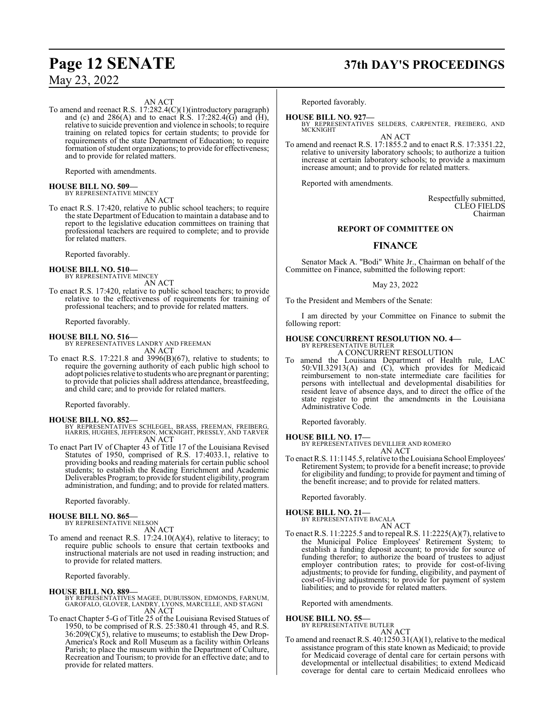#### AN ACT

To amend and reenact R.S. 17:282.4(C)(1)(introductory paragraph) and (c) and  $286(A)$  and to enact R.S. 17:282.4(G) and (H), relative to suicide prevention and violence in schools; to require training on related topics for certain students; to provide for requirements of the state Department of Education; to require formation of student organizations; to provide for effectiveness; and to provide for related matters.

Reported with amendments.

#### **HOUSE BILL NO. 509—**

BY REPRESENTATIVE MINCEY AN ACT

To enact R.S. 17:420, relative to public school teachers; to require the state Department of Education to maintain a database and to report to the legislative education committees on training that professional teachers are required to complete; and to provide for related matters.

Reported favorably.

#### **HOUSE BILL NO. 510—** BY REPRESENTATIVE MINCEY

AN ACT

To enact R.S. 17:420, relative to public school teachers; to provide relative to the effectiveness of requirements for training of professional teachers; and to provide for related matters.

Reported favorably.

#### **HOUSE BILL NO. 516—**

BY REPRESENTATIVES LANDRY AND FREEMAN AN ACT

To enact R.S. 17:221.8 and 3996(B)(67), relative to students; to require the governing authority of each public high school to adopt policies relative to students who are pregnant or parenting; to provide that policies shall address attendance, breastfeeding, and child care; and to provide for related matters.

Reported favorably.

#### **HOUSE BILL NO. 852—**

- BY REPRESENTATIVES SCHLEGEL, BRASS, FREEMAN, FREIBERG, HARRIS, HUGHES, JEFFERSON, MCKNIGHT, PRESSLY, AND TARVER AN ACT
- To enact Part IV of Chapter 43 of Title 17 of the Louisiana Revised Statutes of 1950, comprised of R.S. 17:4033.1, relative to providing books and reading materials for certain public school students; to establish the Reading Enrichment and Academic Deliverables Program; to provide forstudent eligibility, program administration, and funding; and to provide for related matters.

Reported favorably.

# **HOUSE BILL NO. 865—** BY REPRESENTATIVE NELSON

AN ACT

To amend and reenact R.S. 17:24.10(A)(4), relative to literacy; to require public schools to ensure that certain textbooks and instructional materials are not used in reading instruction; and to provide for related matters.

Reported favorably.

#### **HOUSE BILL NO. 889—**

BY REPRESENTATIVES MAGEE, DUBUISSON, EDMONDS, FARNUM, GAROFALO, GLOVER, LANDRY, LYONS, MARCELLE, AND STAGNI AN ACT

To enact Chapter 5-G of Title 25 of the Louisiana Revised Statues of 1950, to be comprised of R.S. 25:380.41 through 45, and R.S.  $36:209(C)(5)$ , relative to museums; to establish the Dew Drop-America's Rock and Roll Museum as a facility within Orleans Parish; to place the museum within the Department of Culture, Recreation and Tourism; to provide for an effective date; and to provide for related matters.

# **Page 12 SENATE 37th DAY'S PROCEEDINGS**

Reported favorably.

**HOUSE BILL NO. 927—**

BY REPRESENTATIVES SELDERS, CARPENTER, FREIBERG, AND MCKNIGHT

AN ACT To amend and reenact R.S. 17:1855.2 and to enact R.S. 17:3351.22, relative to university laboratory schools; to authorize a tuition increase at certain laboratory schools; to provide a maximum increase amount; and to provide for related matters.

Reported with amendments.

Respectfully submitted, CLEO FIELDS Chairman

#### **REPORT OF COMMITTEE ON**

#### **FINANCE**

Senator Mack A. "Bodi" White Jr., Chairman on behalf of the Committee on Finance, submitted the following report:

May 23, 2022

To the President and Members of the Senate:

I am directed by your Committee on Finance to submit the following report:

#### **HOUSE CONCURRENT RESOLUTION NO. 4—** BY REPRESENTATIVE BUTLER

A CONCURRENT RESOLUTION

To amend the Louisiana Department of Health rule, LAC 50:VII.32913(A) and (C), which provides for Medicaid reimbursement to non-state intermediate care facilities for persons with intellectual and developmental disabilities for resident leave of absence days, and to direct the office of the state register to print the amendments in the Louisiana Administrative Code.

Reported favorably.

**HOUSE BILL NO. 17—** BY REPRESENTATIVES DEVILLIER AND ROMERO

AN ACT

To enact R.S. 11:1145.5, relative to theLouisiana School Employees' Retirement System; to provide for a benefit increase; to provide for eligibility and funding; to provide for payment and timing of the benefit increase; and to provide for related matters.

Reported favorably.

**HOUSE BILL NO. 21—**

BY REPRESENTATIVE BACALA

AN ACT To enact R.S. 11:2225.5 and to repeal R.S. 11:2225(A)(7), relative to the Municipal Police Employees' Retirement System; to establish a funding deposit account; to provide for source of funding therefor; to authorize the board of trustees to adjust employer contribution rates; to provide for cost-of-living adjustments; to provide for funding, eligibility, and payment of cost-of-living adjustments; to provide for payment of system liabilities; and to provide for related matters.

Reported with amendments.

#### **HOUSE BILL NO. 55—**

BY REPRESENTATIVE BUTLER AN ACT

To amend and reenact R.S. 40:1250.31(A)(1), relative to the medical assistance program of this state known as Medicaid; to provide for Medicaid coverage of dental care for certain persons with developmental or intellectual disabilities; to extend Medicaid coverage for dental care to certain Medicaid enrollees who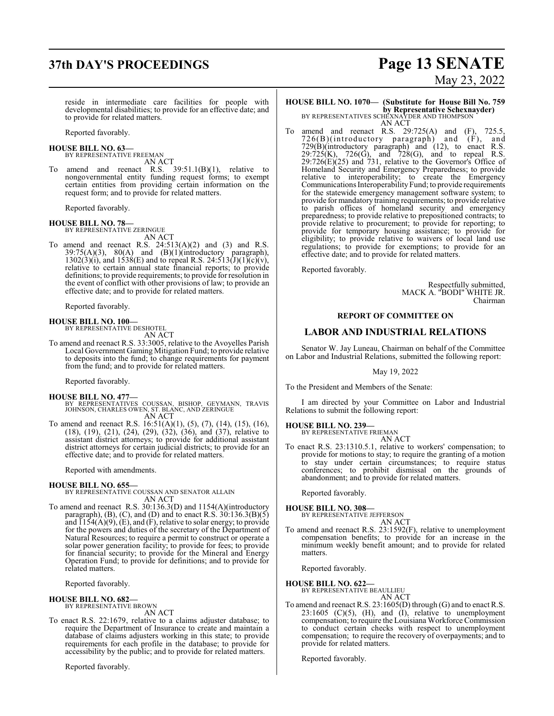# **37th DAY'S PROCEEDINGS Page 13 SENATE**

# May 23, 2022

reside in intermediate care facilities for people with developmental disabilities; to provide for an effective date; and to provide for related matters.

Reported favorably.

# **HOUSE BILL NO. 63—** BY REPRESENTATIVE FREEMAN

AN ACT

To amend and reenact R.S.  $39:51.1(B)(1)$ , relative to nongovernmental entity funding request forms; to exempt certain entities from providing certain information on the request form; and to provide for related matters.

Reported favorably.

#### **HOUSE BILL NO. 78—**

BY REPRESENTATIVE ZERINGUE AN ACT

To amend and reenact R.S.  $24:513(A)(2)$  and  $(3)$  and R.S.  $39:75(A)(3)$ ,  $80(A)$  and  $(B)(1)(introductory)$  paragraph),  $1302(3)(i)$ , and  $1538(E)$  and to repeal R.S.  $24:513(\text{J})(1)(\text{c})(\text{v})$ , relative to certain annual state financial reports; to provide definitions; to provide requirements; to provide for resolution in the event of conflict with other provisions of law; to provide an effective date; and to provide for related matters.

Reported favorably.

#### **HOUSE BILL NO. 100—**

BY REPRESENTATIVE DESHOTEL AN ACT

To amend and reenact R.S. 33:3005, relative to the Avoyelles Parish Local Government Gaming Mitigation Fund; to provide relative to deposits into the fund; to change requirements for payment from the fund; and to provide for related matters.

Reported favorably.

#### **HOUSE BILL NO. 477—**

- BY REPRESENTATIVES COUSSAN, BISHOP, GEYMANN, TRAVIS JOHNSON, CHARLES OWEN, ST. BLANC, AND ZERINGUE AN ACT
- To amend and reenact R.S. 16:51(A)(1), (5), (7), (14), (15), (16), (18), (19), (21), (24), (29), (32), (36), and (37), relative to assistant district attorneys; to provide for additional assistant district attorneys for certain judicial districts; to provide for an effective date; and to provide for related matters.

Reported with amendments.

## **HOUSE BILL NO. 655—** BY REPRESENTATIVE COUSSAN AND SENATOR ALLAIN AN ACT

To amend and reenact R.S. 30:136.3(D) and 1154(A)(introductory paragraph),  $(B)$ ,  $(C)$ , and  $(D)$  and to enact R.S. 30:136.3 $(B)(5)$ and  $\overline{1154(A)(9)}$ ,  $\overline{(E)}$ , and  $\overline{(F)}$ , relative to solar energy; to provide for the powers and duties of the secretary of the Department of Natural Resources; to require a permit to construct or operate a solar power generation facility; to provide for fees; to provide for financial security; to provide for the Mineral and Energy Operation Fund; to provide for definitions; and to provide for related matters.

Reported favorably.

#### **HOUSE BILL NO. 682—**

BY REPRESENTATIVE BROWN AN ACT

To enact R.S. 22:1679, relative to a claims adjuster database; to require the Department of Insurance to create and maintain a database of claims adjusters working in this state; to provide requirements for each profile in the database; to provide for accessibility by the public; and to provide for related matters.

Reported favorably.

## **HOUSE BILL NO. 1070— (Substitute for House Bill No. 759 by Representative Schexnayder)**<br>BY REPRESENTATIVES SCHEXNAYDER AND THOMPSON

AN ACT

To amend and reenact R.S. 29:725(A) and (F), 725.5, 726(B)(introductory paragraph) and (F), and 729(B)(introductory paragraph) and (12), to enact R.S. 29:725(K), 726(G), and 728(G), and to repeal R.S.  $29:726(E)(25)$  and 731, relative to the Governor's Office of Homeland Security and Emergency Preparedness; to provide relative to interoperability; to create the Emergency Communications Interoperability Fund; to provide requirements for the statewide emergency management software system; to provide for mandatory training requirements; to provide relative to parish offices of homeland security and emergency preparedness; to provide relative to prepositioned contracts; to provide relative to procurement; to provide for reporting; to provide for temporary housing assistance; to provide for eligibility; to provide relative to waivers of local land use regulations; to provide for exemptions; to provide for an effective date; and to provide for related matters.

Reported favorably.

Respectfully submitted, MACK A. "BODI" WHITE JR. Chairman

#### **REPORT OF COMMITTEE ON**

#### **LABOR AND INDUSTRIAL RELATIONS**

Senator W. Jay Luneau, Chairman on behalf of the Committee on Labor and Industrial Relations, submitted the following report:

May 19, 2022

To the President and Members of the Senate:

I am directed by your Committee on Labor and Industrial Relations to submit the following report:

# **HOUSE BILL NO. 239—** BY REPRESENTATIVE FRIEMAN

AN ACT

To enact R.S. 23:1310.5.1, relative to workers' compensation; to provide for motions to stay; to require the granting of a motion to stay under certain circumstances; to require status conferences; to prohibit dismissal on the grounds of abandonment; and to provide for related matters.

Reported favorably.

#### **HOUSE BILL NO. 308—**

BY REPRESENTATIVE JEFFERSON

AN ACT To amend and reenact R.S. 23:1592(F), relative to unemployment compensation benefits; to provide for an increase in the minimum weekly benefit amount; and to provide for related matters.

Reported favorably.

**HOUSE BILL NO. 622—** BY REPRESENTATIVE BEAULLIEU

AN ACT

To amend and reenact R.S. 23:1605(D) through (G) and to enact R.S.  $23:1605$  (C)(5), (H), and (I), relative to unemployment compensation; to require the Louisiana Workforce Commission to conduct certain checks with respect to unemployment compensation; to require the recovery of overpayments; and to provide for related matters.

Reported favorably.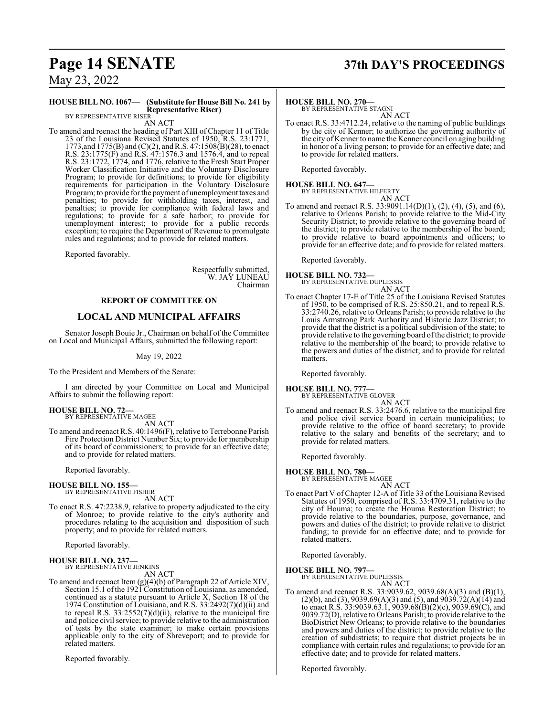# **Page 14 SENATE 37th DAY'S PROCEEDINGS**

May 23, 2022

#### **HOUSE BILL NO. 1067— (Substitute for House Bill No. 241 by Representative Riser)** BY REPRESENTATIVE RISER

AN ACT

To amend and reenact the heading of Part XIII of Chapter 11 of Title 23 of the Louisiana Revised Statutes of 1950, R.S. 23:1771, 1773, and 1775(B) and (C)(2), and R.S. 47:1508(B)(28), to enact R.S. 23:1775(F) and R.S. 47:1576.3 and 1576.4, and to repeal R.S. 23:1772, 1774, and 1776, relative to the Fresh Start Proper Worker Classification Initiative and the Voluntary Disclosure Program; to provide for definitions; to provide for eligibility requirements for participation in the Voluntary Disclosure Program; to provide for the payment of unemployment taxes and penalties; to provide for withholding taxes, interest, and penalties; to provide for compliance with federal laws and regulations; to provide for a safe harbor; to provide for unemployment interest; to provide for a public records exception; to require the Department of Revenue to promulgate rules and regulations; and to provide for related matters.

Reported favorably.

Respectfully submitted, W. JAY LUNEAU Chairman

#### **REPORT OF COMMITTEE ON**

#### **LOCAL AND MUNICIPAL AFFAIRS**

Senator Joseph Bouie Jr., Chairman on behalf of the Committee on Local and Municipal Affairs, submitted the following report:

May 19, 2022

To the President and Members of the Senate:

I am directed by your Committee on Local and Municipal Affairs to submit the following report:

#### **HOUSE BILL NO. 72—** BY REPRESENTATIVE MAGEE

AN ACT

To amend and reenact R.S. 40:1496(F), relative to Terrebonne Parish Fire Protection District Number Six; to provide for membership of its board of commissioners; to provide for an effective date; and to provide for related matters.

Reported favorably.

# **HOUSE BILL NO. 155—** BY REPRESENTATIVE FISHER

AN ACT

To enact R.S. 47:2238.9, relative to property adjudicated to the city of Monroe; to provide relative to the city's authority and procedures relating to the acquisition and disposition of such property; and to provide for related matters.

Reported favorably.

#### **HOUSE BILL NO. 237—** BY REPRESENTATIVE JENKINS

AN ACT

To amend and reenact Item (g)(4)(b) of Paragraph 22 of Article XIV, Section 15.1 of the 1921 Constitution of Louisiana, as amended, continued as a statute pursuant to Article X, Section 18 of the 1974 Constitution of Louisiana, and R.S. 33:2492(7)(d)(ii) and to repeal R.S.  $33:2552(7)(d)(ii)$ , relative to the municipal fire and police civil service; to provide relative to the administration of tests by the state examiner; to make certain provisions applicable only to the city of Shreveport; and to provide for related matters.

Reported favorably.

#### **HOUSE BILL NO. 270—**

BY REPRESENTATIVE STAGNI AN ACT

To enact R.S. 33:4712.24, relative to the naming of public buildings by the city of Kenner; to authorize the governing authority of the city of Kenner to name the Kenner council on aging building in honor of a living person; to provide for an effective date; and to provide for related matters.

Reported favorably.

# **HOUSE BILL NO. 647—** BY REPRESENTATIVE HILFERTY

AN ACT To amend and reenact R.S. 33:9091.14(D)(1), (2), (4), (5), and (6), relative to Orleans Parish; to provide relative to the Mid-City Security District; to provide relative to the governing board of the district; to provide relative to the membership of the board; to provide relative to board appointments and officers; to provide for an effective date; and to provide for related matters.

Reported favorably.

**HOUSE BILL NO. 732—** BY REPRESENTATIVE DUPLESSIS AN ACT

To enact Chapter 17-E of Title 25 of the Louisiana Revised Statutes of 1950, to be comprised of R.S. 25:850.21, and to repeal R.S. 33:2740.26, relative to Orleans Parish; to provide relative to the Louis Armstrong Park Authority and Historic Jazz District; to provide that the district is a political subdivision of the state; to provide relative to the governing board ofthe district; to provide relative to the membership of the board; to provide relative to the powers and duties of the district; and to provide for related matters.

Reported favorably.

**HOUSE BILL NO. 777—**

BY REPRESENTATIVE GLOVER

AN ACT To amend and reenact R.S. 33:2476.6, relative to the municipal fire and police civil service board in certain municipalities; to provide relative to the office of board secretary; to provide relative to the salary and benefits of the secretary; and to provide for related matters.

Reported favorably.

# **HOUSE BILL NO. 780—** BY REPRESENTATIVE MAGEE

AN ACT To enact Part V of Chapter 12-A of Title 33 of the Louisiana Revised Statutes of 1950, comprised of R.S. 33:4709.31, relative to the city of Houma; to create the Houma Restoration District; to provide relative to the boundaries, purpose, governance, and powers and duties of the district; to provide relative to district funding; to provide for an effective date; and to provide for related matters.

Reported favorably.

**HOUSE BILL NO. 797—**

BY REPRESENTATIVE DUPLESSIS AN ACT

To amend and reenact R.S. 33:9039.62, 9039.68(A)(3) and (B)(1),  $(2)(b)$ , and  $(3)$ , 9039.69 $(A)(3)$  and  $(5)$ , and 9039.72 $(A)(14)$  and to enact R.S. 33:9039.63.1, 9039.68(B)(2)(c), 9039.69(C), and 9039.72(D), relative to Orleans Parish; to provide relative to the BioDistrict New Orleans; to provide relative to the boundaries and powers and duties of the district; to provide relative to the creation of subdistricts; to require that district projects be in compliance with certain rules and regulations; to provide for an effective date; and to provide for related matters.

Reported favorably.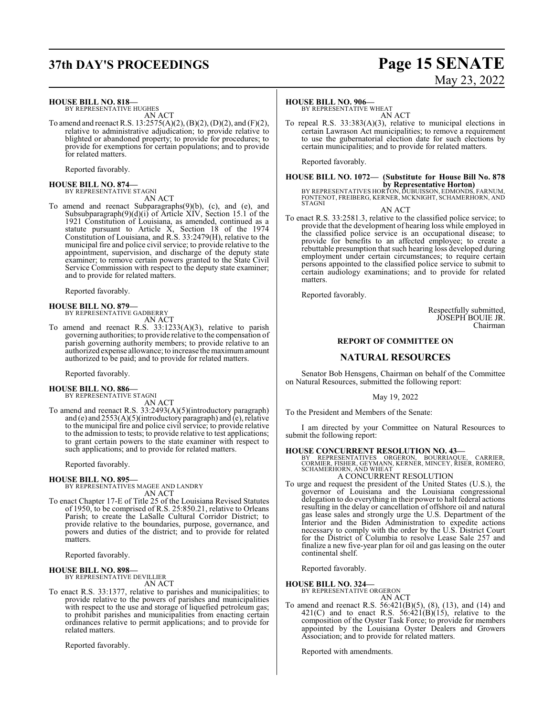# **37th DAY'S PROCEEDINGS Page 15 SENATE**

#### **HOUSE BILL NO. 818—**

BY REPRESENTATIVE HUGHES AN ACT

To amend and reenact R.S. 13:2575(A)(2), (B)(2), (D)(2), and (F)(2), relative to administrative adjudication; to provide relative to blighted or abandoned property; to provide for procedures; to provide for exemptions for certain populations; and to provide for related matters.

Reported favorably.

#### **HOUSE BILL NO. 874—** BY REPRESENTATIVE STAGNI

AN ACT

To amend and reenact Subparagraphs(9)(b), (c), and (e), and Subsubparagraph(9)(d)(i) of Article XIV, Section 15.1 of the 1921 Constitution of Louisiana, as amended, continued as a statute pursuant to Article X, Section 18 of the 1974 Constitution of Louisiana, and R.S. 33:2479(H), relative to the municipal fire and police civil service; to provide relative to the appointment, supervision, and discharge of the deputy state examiner; to remove certain powers granted to the State Civil Service Commission with respect to the deputy state examiner; and to provide for related matters.

Reported favorably.

# **HOUSE BILL NO. 879—** BY REPRESENTATIVE GADBERRY

AN ACT

To amend and reenact R.S. 33:1233(A)(3), relative to parish governing authorities; to provide relative to the compensation of parish governing authority members; to provide relative to an authorized expense allowance; to increase the maximumamount authorized to be paid; and to provide for related matters.

Reported favorably.

#### **HOUSE BILL NO. 886—**

BY REPRESENTATIVE STAGNI AN ACT

To amend and reenact R.S. 33:2493(A)(5)(introductory paragraph) and (e) and 2553(A)(5)(introductory paragraph) and (e), relative to the municipal fire and police civil service; to provide relative to the admission to tests; to provide relative to test applications; to grant certain powers to the state examiner with respect to such applications; and to provide for related matters.

Reported favorably.

#### **HOUSE BILL NO. 895—**

BY REPRESENTATIVES MAGEE AND LANDRY AN ACT

To enact Chapter 17-E of Title 25 of the Louisiana Revised Statutes of 1950, to be comprised of R.S. 25:850.21, relative to Orleans Parish; to create the LaSalle Cultural Corridor District; to provide relative to the boundaries, purpose, governance, and powers and duties of the district; and to provide for related matters.

Reported favorably.

#### **HOUSE BILL NO. 898—**

BY REPRESENTATIVE DEVILLIER AN ACT

To enact R.S. 33:1377, relative to parishes and municipalities; to provide relative to the powers of parishes and municipalities with respect to the use and storage of liquefied petroleum gas; to prohibit parishes and municipalities from enacting certain ordinances relative to permit applications; and to provide for related matters.

Reported favorably.

### **HOUSE BILL NO. 906—**

BY REPRESENTATIVE WHEAT AN ACT

To repeal R.S. 33:383(A)(3), relative to municipal elections in certain Lawrason Act municipalities; to remove a requirement to use the gubernatorial election date for such elections by certain municipalities; and to provide for related matters.

Reported favorably.

# **HOUSE BILL NO. 1072— (Substitute for House Bill No. 878**

**by Representative Horton)**<br>BY REPRESENTATIVES HORTON, DUBUISSON, EDMONDS, FARNUM,<br>FONTENOT, FREIBERG, KERNER, MCKNIGHT, SCHAMERHORN, AND<br>STAGNI

AN ACT

To enact R.S. 33:2581.3, relative to the classified police service; to provide that the development of hearing loss while employed in the classified police service is an occupational disease; to provide for benefits to an affected employee; to create a rebuttable presumption that such hearing loss developed during employment under certain circumstances; to require certain persons appointed to the classified police service to submit to certain audiology examinations; and to provide for related matters.

Reported favorably.

Respectfully submitted, JOSEPH BOUIE JR. Chairman

#### **REPORT OF COMMITTEE ON**

#### **NATURAL RESOURCES**

Senator Bob Hensgens, Chairman on behalf of the Committee on Natural Resources, submitted the following report:

May 19, 2022

To the President and Members of the Senate:

I am directed by your Committee on Natural Resources to submit the following report:

**HOUSE CONCURRENT RESOLUTION NO. 43—**<br>
BY REPRESENTATIVES ORGERON, BOURRIAQUE, CARRIER,<br>
CORMIER, FISHER, GEYMANN, KERNER, MINCEY, RISER, ROMERO,<br>
SCHAMERHORN, AND WHEAT

A CONCURRENT RESOLUTION

To urge and request the president of the United States (U.S.), the governor of Louisiana and the Louisiana congressional delegation to do everything in their power to halt federal actions resulting in the delay or cancellation of offshore oil and natural gas lease sales and strongly urge the U.S. Department of the Interior and the Biden Administration to expedite actions necessary to comply with the order by the U.S. District Court for the District of Columbia to resolve Lease Sale 257 and finalize a new five-year plan for oil and gas leasing on the outer continental shelf.

Reported favorably.

**HOUSE BILL NO. 324—**

BY REPRESENTATIVE ORGERON

AN ACT

To amend and reenact R.S. 56:421(B)(5), (8), (13), and (14) and  $421(C)$  and to enact R.S.  $56:421(B)(15)$ , relative to the composition of the Oyster Task Force; to provide for members appointed by the Louisiana Oyster Dealers and Growers Association; and to provide for related matters.

Reported with amendments.

May 23, 2022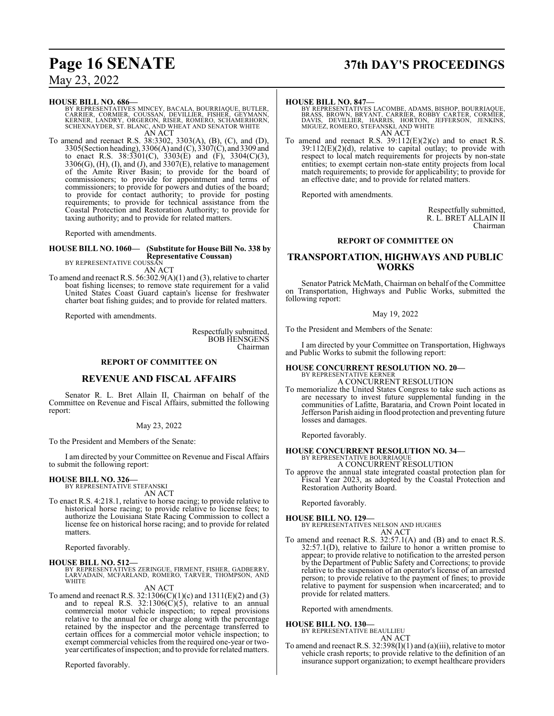#### **HOUSE BILL NO. 686—**

BY REPRESENTATIVES MINCEY, BACALA, BOURRIAQUE, BUTLER,<br>CARRIER, CORMIER, COUSSAN, DEVILLIER, FISHER, GEYMANN,<br>KERNER, LANDRY, ORGERON, RISER, ROMERO, SCHAMERHORN,<br>SCHEXNAYDER, ST. BLANC, AND WHEAT AND SENATOR WHITE AN ACT

To amend and reenact R.S. 38:3302, 3303(A), (B), (C), and (D), 3305(Section heading), 3306(A) and (C), 3307(C), and 3309 and to enact R.S. 38:3301(C), 3303(E) and (F), 3304(C)(3),  $3306(G)$ , (H), (I), and (J), and  $3307(E)$ , relative to management of the Amite River Basin; to provide for the board of commissioners; to provide for appointment and terms of commissioners; to provide for powers and duties of the board; to provide for contact authority; to provide for posting requirements; to provide for technical assistance from the Coastal Protection and Restoration Authority; to provide for taxing authority; and to provide for related matters.

Reported with amendments.

#### **HOUSE BILL NO. 1060— (Substitute for House Bill No. 338 by Representative Coussan)** BY REPRESENTATIVE COUSSAN

AN ACT

To amend and reenact R.S.  $56:302.9(A)(1)$  and (3), relative to charter boat fishing licenses; to remove state requirement for a valid United States Coast Guard captain's license for freshwater charter boat fishing guides; and to provide for related matters.

Reported with amendments.

Respectfully submitted, BOB HENSGENS Chairman

#### **REPORT OF COMMITTEE ON**

#### **REVENUE AND FISCAL AFFAIRS**

Senator R. L. Bret Allain II, Chairman on behalf of the Committee on Revenue and Fiscal Affairs, submitted the following report:

#### May 23, 2022

To the President and Members of the Senate:

I am directed by your Committee on Revenue and Fiscal Affairs to submit the following report:

#### **HOUSE BILL NO. 326—**

BY REPRESENTATIVE STEFANSKI AN ACT

To enact R.S. 4:218.1, relative to horse racing; to provide relative to historical horse racing; to provide relative to license fees; to authorize the Louisiana State Racing Commission to collect a license fee on historical horse racing; and to provide for related matters.

Reported favorably.

#### **HOUSE BILL NO. 512—**

BY REPRESENTATIVES ZERINGUE, FIRMENT, FISHER, GADBERRY,<br>LARVADAIN, MCFARLAND, ROMERO, TARVER, THOMPSON, AND<br>WHITE

#### AN ACT

To amend and reenact R.S. 32:1306(C)(1)(c) and 1311(E)(2) and (3) and to repeal R.S.  $32:1306(C)(5)$ , relative to an annual commercial motor vehicle inspection; to repeal provisions relative to the annual fee or charge along with the percentage retained by the inspector and the percentage transferred to certain offices for a commercial motor vehicle inspection; to exempt commercial vehicles from the required one-year or twoyear certificates ofinspection; and to provide for related matters.

Reported favorably.

# **Page 16 SENATE 37th DAY'S PROCEEDINGS**

#### **HOUSE BILL NO. 847—**

BY REPRESENTATIVES LACOMBE, ADAMS, BISHOP, BOURRIAQUE,<br>BRASS, BROWN, BRYANT, CARRIER, ROBBY CARTER, CORMIER,<br>DAVIS, DEVILLIER, HARRIS, HORTON, JEFFERSON, JENKINS,<br>MIGUEZ, ROMERO, ŠTEFANSKI, AND WHITE AN ACT

To amend and reenact R.S.  $39:112(E)(2)(c)$  and to enact R.S.  $39:112(E)(2)(d)$ , relative to capital outlay; to provide with respect to local match requirements for projects by non-state entities; to exempt certain non-state entity projects from local match requirements; to provide for applicability; to provide for an effective date; and to provide for related matters.

Reported with amendments.

Respectfully submitted, R. L. BRET ALLAIN II Chairman

#### **REPORT OF COMMITTEE ON**

#### **TRANSPORTATION, HIGHWAYS AND PUBLIC WORKS**

Senator Patrick McMath, Chairman on behalf of the Committee on Transportation, Highways and Public Works, submitted the following report:

#### May 19, 2022

To the President and Members of the Senate:

I am directed by your Committee on Transportation, Highways and Public Works to submit the following report:

## **HOUSE CONCURRENT RESOLUTION NO. 20—** BY REPRESENTATIVE KERNER A CONCURRENT RESOLUTION

To memorialize the United States Congress to take such actions as are necessary to invest future supplemental funding in the communities of Lafitte, Barataria, and Crown Point located in Jefferson Parish aiding in flood protection and preventing future losses and damages.

Reported favorably.

# **HOUSE CONCURRENT RESOLUTION NO. 34—** BY REPRESENTATIVE BOURRIAQUE

A CONCURRENT RESOLUTION

To approve the annual state integrated coastal protection plan for Fiscal Year 2023, as adopted by the Coastal Protection and Restoration Authority Board.

Reported favorably.

#### **HOUSE BILL NO. 129—**

BY REPRESENTATIVES NELSON AND HUGHES AN ACT

To amend and reenact R.S. 32:57.1(A) and (B) and to enact R.S. 32:57.1(D), relative to failure to honor a written promise to appear; to provide relative to notification to the arrested person by the Department of Public Safety and Corrections; to provide relative to the suspension of an operator's license of an arrested person; to provide relative to the payment of fines; to provide relative to payment for suspension when incarcerated; and to provide for related matters.

Reported with amendments.

#### **HOUSE BILL NO. 130—**

BY REPRESENTATIVE BEAULLIEU AN ACT

To amend and reenact R.S.  $32:398(I)(1)$  and (a)(iii), relative to motor vehicle crash reports; to provide relative to the definition of an insurance support organization; to exempt healthcare providers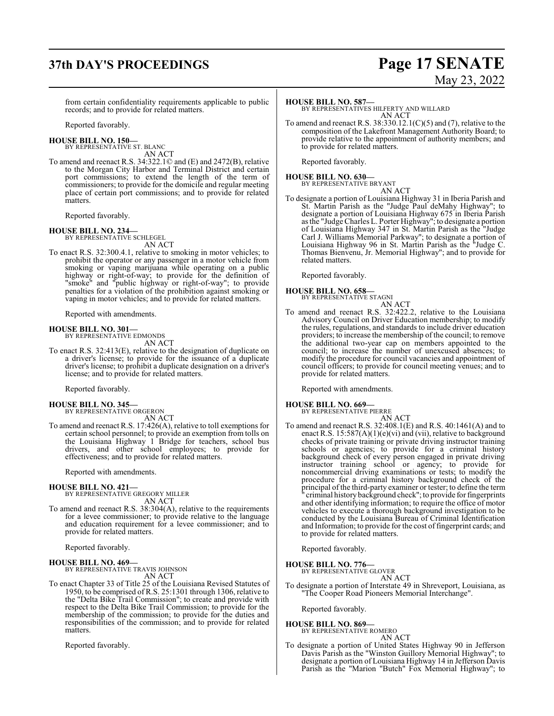# **37th DAY'S PROCEEDINGS Page 17 SENATE**

# May 23, 2022

from certain confidentiality requirements applicable to public records; and to provide for related matters.

Reported favorably.

**HOUSE BILL NO. 150—** BY REPRESENTATIVE ST. BLANC

AN ACT

To amend and reenact R.S. 34:322.1© and (E) and 2472(B), relative to the Morgan City Harbor and Terminal District and certain port commissions; to extend the length of the term of commissioners; to provide for the domicile and regular meeting place of certain port commissions; and to provide for related matters.

Reported favorably.

#### **HOUSE BILL NO. 234—**

BY REPRESENTATIVE SCHLEGEL AN ACT

To enact R.S. 32:300.4.1, relative to smoking in motor vehicles; to prohibit the operator or any passenger in a motor vehicle from smoking or vaping marijuana while operating on a public highway or right-of-way; to provide for the definition of "smoke" and "public highway or right-of-way"; to provide penalties for a violation of the prohibition against smoking or vaping in motor vehicles; and to provide for related matters.

Reported with amendments.

#### **HOUSE BILL NO. 301—**

BY REPRESENTATIVE EDMONDS AN ACT

To enact R.S. 32:413(E), relative to the designation of duplicate on a driver's license; to provide for the issuance of a duplicate driver's license; to prohibit a duplicate designation on a driver's license; and to provide for related matters.

Reported favorably.

# **HOUSE BILL NO. 345—** BY REPRESENTATIVE ORGERON

- AN ACT
- To amend and reenact R.S. 17:426(A), relative to toll exemptions for certain school personnel; to provide an exemption from tolls on the Louisiana Highway 1 Bridge for teachers, school bus drivers, and other school employees; to provide for effectiveness; and to provide for related matters.

Reported with amendments.

# **HOUSE BILL NO. 421—** BY REPRESENTATIVE GREGORY MILLER

AN ACT

To amend and reenact R.S. 38:304(A), relative to the requirements for a levee commissioner; to provide relative to the language and education requirement for a levee commissioner; and to provide for related matters.

Reported favorably.

**HOUSE BILL NO. 469—** BY REPRESENTATIVE TRAVIS JOHNSON

AN ACT

To enact Chapter 33 of Title 25 of the Louisiana Revised Statutes of 1950, to be comprised of R.S. 25:1301 through 1306, relative to the "Delta Bike Trail Commission"; to create and provide with respect to the Delta Bike Trail Commission; to provide for the membership of the commission; to provide for the duties and responsibilities of the commission; and to provide for related matters.

Reported favorably.

#### **HOUSE BILL NO. 587—**

BY REPRESENTATIVES HILFERTY AND WILLARD AN ACT

To amend and reenact R.S. 38:330.12.1(C)(5) and (7), relative to the composition of the Lakefront Management Authority Board; to provide relative to the appointment of authority members; and to provide for related matters.

Reported favorably.

#### **HOUSE BILL NO. 630—** BY REPRESENTATIVE BRYANT AN ACT

To designate a portion of Louisiana Highway 31 in Iberia Parish and St. Martin Parish as the "Judge Paul deMahy Highway"; to designate a portion of Louisiana Highway 675 in Iberia Parish as the "Judge Charles L. Porter Highway"; to designate a portion of Louisiana Highway 347 in St. Martin Parish as the "Judge Carl J. Williams Memorial Parkway"; to designate a portion of Louisiana Highway 96 in St. Martin Parish as the "Judge C. Thomas Bienvenu, Jr. Memorial Highway"; and to provide for related matters.

Reported favorably.

#### **HOUSE BILL NO. 658—**

BY REPRESENTATIVE STAGNI AN ACT

To amend and reenact R.S. 32:422.2, relative to the Louisiana Advisory Council on Driver Education membership; to modify the rules, regulations, and standards to include driver education providers; to increase the membership of the council; to remove the additional two-year cap on members appointed to the council; to increase the number of unexcused absences; to modify the procedure for council vacancies and appointment of council officers; to provide for council meeting venues; and to provide for related matters.

Reported with amendments.

#### **HOUSE BILL NO. 669—**

BY REPRESENTATIVE PIERRE

AN ACT To amend and reenact R.S. 32:408.1(E) and R.S. 40:1461(A) and to enact R.S.  $15:587(A)(1)(e)(vi)$  and (vii), relative to background checks of private training or private driving instructor training schools or agencies; to provide for a criminal history background check of every person engaged in private driving instructor training school or agency; to provide for noncommercial driving examinations or tests; to modify the procedure for a criminal history background check of the principal of the third-party examiner or tester; to define the term " criminal history background check"; to provide for fingerprints and other identifying information; to require the office of motor vehicles to execute a thorough background investigation to be conducted by the Louisiana Bureau of Criminal Identification and Information; to provide for the cost of fingerprint cards; and to provide for related matters.

Reported favorably.

#### **HOUSE BILL NO. 776—** BY REPRESENTATIVE GLOVER

AN ACT

To designate a portion of Interstate 49 in Shreveport, Louisiana, as "The Cooper Road Pioneers Memorial Interchange".

Reported favorably.

## **HOUSE BILL NO. 869—**

- BY REPRESENTATIVE ROMERO AN ACT
- To designate a portion of United States Highway 90 in Jefferson Davis Parish as the "Winston Guillory Memorial Highway"; to designate a portion of Louisiana Highway 14 in Jefferson Davis Parish as the "Marion "Butch" Fox Memorial Highway"; to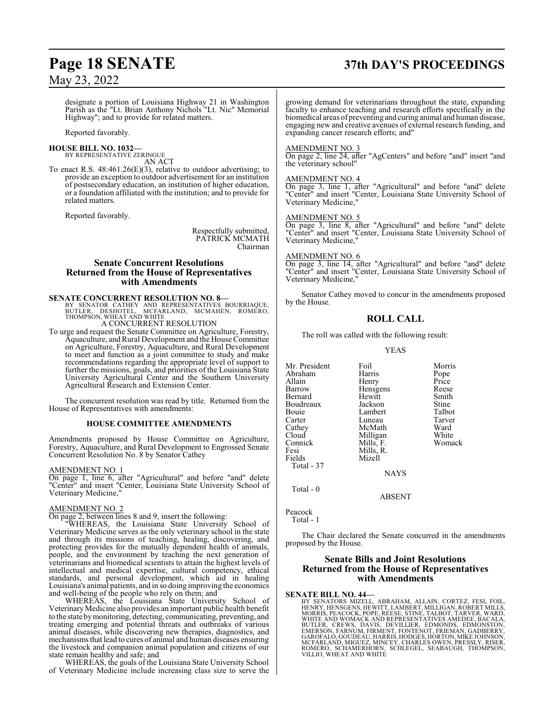# **Page 18 SENATE 37th DAY'S PROCEEDINGS**

designate a portion of Louisiana Highway 21 in Washington Parish as the "Lt. Brian Anthony Nichols "Lt. Nic" Memorial Highway"; and to provide for related matters.

Reported favorably.

#### **HOUSE BILL NO. 1032—** BY REPRESENTATIVE ZERINGUE

AN ACT

To enact R.S. 48:461.26(E)(3), relative to outdoor advertising; to provide an exception to outdoor advertisement for an institution of postsecondary education, an institution of higher education, or a foundation affiliated with the institution; and to provide for related matters.

Reported favorably.

Respectfully submitted, PATRICK MCMATH Chairman

#### **Senate Concurrent Resolutions Returned from the House of Representatives with Amendments**

**SENATE CONCURRENT RESOLUTION NO. 8—**<br>
BY SENATOR CATHEY AND REPRESENTATIVES BOURRIAQUE,<br>
BUTLER, DESHOTEL, MCFARLAND, MCMAHEN, ROMERO,<br>
THOMPSON, WHEAT AND WHITE<br>
A CONCURRENT RESOLUTION

To urge and request the Senate Committee on Agriculture, Forestry, Aquaculture, and Rural Development and the House Committee on Agriculture, Forestry, Aquaculture, and Rural Development to meet and function as a joint committee to study and make recommendations regarding the appropriate level of support to further the missions, goals, and priorities of the Louisiana State University Agricultural Center and the Southern University Agricultural Research and Extension Center.

The concurrent resolution was read by title. Returned from the House of Representatives with amendments:

#### **HOUSE COMMITTEE AMENDMENTS**

Amendments proposed by House Committee on Agriculture, Forestry, Aquaculture, and Rural Development to Engrossed Senate Concurrent Resolution No. 8 by Senator Cathey

#### AMENDMENT NO. 1

On page 1, line 6, after "Agricultural" and before "and" delete "Center" and insert "Center, Louisiana State University School of Veterinary Medicine,"

#### AMENDMENT NO. 2

On page 2, between lines 8 and 9, insert the following:

"WHEREAS, the Louisiana State University School of Veterinary Medicine serves as the only veterinary school in the state and through its missions of teaching, healing, discovering, and protecting provides for the mutually dependent health of animals, people, and the environment by teaching the next generation of veterinarians and biomedical scientists to attain the highest levels of intellectual and medical expertise, cultural competency, ethical standards, and personal development, which aid in healing Louisiana's animal patients, and in so doing improving the economics and well-being of the people who rely on them; and

WHEREAS, the Louisiana State University School of Veterinary Medicine also provides an important public health benefit to the state bymonitoring, detecting, communicating, preventing, and treating emerging and potential threats and outbreaks of various animal diseases, while discovering new therapies, diagnostics, and mechanismsthat lead to cures of animal and human diseases ensuring the livestock and companion animal population and citizens of our state remain healthy and safe; and

WHEREAS, the goals of the Louisiana State University School of Veterinary Medicine include increasing class size to serve the growing demand for veterinarians throughout the state, expanding faculty to enhance teaching and research efforts specifically in the biomedical areas of preventing and curing animal and human disease, engaging new and creative avenues of external research funding, and expanding cancer research efforts; and"

#### AMENDMENT NO. 3

On page 2, line 24, after "AgCenters" and before "and" insert "and the veterinary school"

#### AMENDMENT NO. 4

On page 3, line 1, after "Agricultural" and before "and" delete "Center" and insert "Center, Louisiana State University School of Veterinary Medicine,"

#### AMENDMENT NO. 5

On page 3, line 8, after "Agricultural" and before "and" delete "Center" and insert "Center, Louisiana State University School of Veterinary Medicine,"

#### AMENDMENT NO. 6

On page 3, line 14, after "Agricultural" and before "and" delete "Center" and insert "Center, Louisiana State University School of Veterinary Medicine,"

Senator Cathey moved to concur in the amendments proposed by the House.

#### **ROLL CALL**

The roll was called with the following result:

YEAS

| Mr. President | Foil        | Morris |
|---------------|-------------|--------|
| Abraham       | Harris      | Pope   |
| Allain        | Henry       | Price  |
| Barrow        | Hensgens    | Reese  |
| Bernard       | Hewitt      | Smith  |
| Boudreaux     | Jackson     | Stine  |
| Bouie         | Lambert     | Talbot |
| Carter        | Luneau      | Tarver |
| Cathey        | McMath      | Ward   |
| Cloud         | Milligan    | White  |
| Connick       | Mills, F.   | Womack |
| Fesi          | Mills, R.   |        |
| Fields        | Mizell      |        |
| Total - 37    |             |        |
|               | <b>NAYS</b> |        |
|               |             |        |

Total - 0

ABSENT

Peacock Total - 1

The Chair declared the Senate concurred in the amendments proposed by the House.

#### **Senate Bills and Joint Resolutions Returned from the House of Representatives with Amendments**

#### **SENATE BILL NO. 44—**

BY SENATORS MIZELL, ABRAHAM, ALLAIN, CORTEZ, FESI, FOIL,<br>HENRY, HENSGENS, HEWITT,LAMBERT, MILLIGAN, ROBERT MILLS,<br>MORRIS, PEACOCK, POPE, REESE, STINE, TALBOT, TARVER, WARD,<br>WHITE AND WOMACK AND REPRESENTATIVES AMEDEE, BACA BUTLER, CREWS, DAVIS, DEVILLIER, EDMONDS, EDMONSTON,<br>EMERSON, FARNÚM, FIRMENT, FONTENOT, FRIEMÁN, GADBERRY,<br>GAROFALO,GOUDEAU,HARRIS,HODGES,HORTON,MIKEJOHNSON,<br>MCFARLAND,MIGUEZ,MINCEY,CHARLES OWEN,PRESSLY,RISER,<br>ROMERO, SCH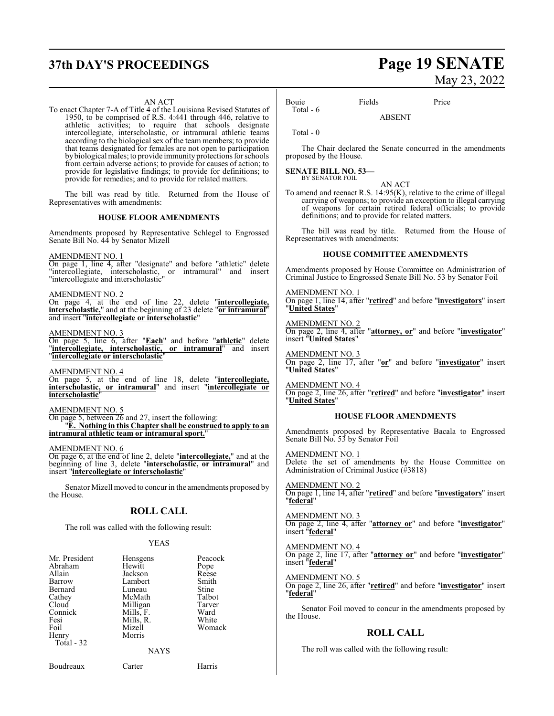#### AN ACT

To enact Chapter 7-A of Title 4 of the Louisiana Revised Statutes of 1950, to be comprised of R.S. 4:441 through 446, relative to athletic activities; to require that schools designate intercollegiate, interscholastic, or intramural athletic teams according to the biological sex of the team members; to provide that teams designated for females are not open to participation bybiological males; to provide immunity protections for schools from certain adverse actions; to provide for causes of action; to provide for legislative findings; to provide for definitions; to provide for remedies; and to provide for related matters.

The bill was read by title. Returned from the House of Representatives with amendments:

#### **HOUSE FLOOR AMENDMENTS**

Amendments proposed by Representative Schlegel to Engrossed Senate Bill No. 44 by Senator Mizell

#### AMENDMENT NO. 1

On page 1, line 4, after "designate" and before "athletic" delete "intercollegiate, interscholastic, or intramural" and insert "intercollegiate and interscholastic"

#### AMENDMENT NO. 2

On page 4, at the end of line 22, delete "**intercollegiate, interscholastic,**" and at the beginning of 23 delete "**or intramural**" and insert "**intercollegiate or interscholastic**"

#### AMENDMENT NO. 3

On page 5, line 6, after "**Each**" and before "**athletic**" delete "**intercollegiate, interscholastic, or intramural**" and insert "**intercollegiate or interscholastic**"

AMENDMENT NO. 4 On page 5, at the end of line 18, delete "**intercollegiate, interscholastic, or intramural**" and insert "**intercollegiate or interscholastic**"

#### AMENDMENT NO. 5

On page 5, between 26 and 27, insert the following: "**E. Nothing in this Chapter shall be construed to apply to an intramural athletic team or intramural sport.**"

AMENDMENT NO. 6

On page 6, at the end of line 2, delete "**intercollegiate,**" and at the beginning of line 3, delete "**interscholastic, or intramural**" and insert "**intercollegiate or interscholastic**"

Senator Mizell moved to concur in the amendments proposed by the House.

#### **ROLL CALL**

The roll was called with the following result:

#### YEAS

| Mr. President | Hensgens  | Peacock |
|---------------|-----------|---------|
| Abraham       | Hewitt    | Pope    |
| Allain        | Jackson   | Reese   |
| Barrow        | Lambert   | Smith   |
| Bernard       | Luneau    | Stine   |
| Cathey        | McMath    | Talbot  |
| Cloud         | Milligan  | Tarver  |
| Connick       | Mills, F. | Ward    |
| Fesi          | Mills, R. | White   |
| Foil          | Mizell    | Womack  |
| Henry         | Morris    |         |
| Total - 32    |           |         |
|               | NAYS      |         |

Boudreaux Carter Harris

# **37th DAY'S PROCEEDINGS Page 19 SENATE** May 23, 2022

Bouie Fields Price Total - 6

ABSENT

Total - 0

The Chair declared the Senate concurred in the amendments proposed by the House.

#### **SENATE BILL NO. 53—** BY SENATOR FOIL

AN ACT

To amend and reenact R.S. 14:95(K), relative to the crime of illegal carrying of weapons; to provide an exception to illegal carrying of weapons for certain retired federal officials; to provide definitions; and to provide for related matters.

The bill was read by title. Returned from the House of Representatives with amendments:

#### **HOUSE COMMITTEE AMENDMENTS**

Amendments proposed by House Committee on Administration of Criminal Justice to Engrossed Senate Bill No. 53 by Senator Foil

#### AMENDMENT NO. 1

On page 1, line 14, after "**retired**" and before "**investigators**" insert "**United States**"

AMENDMENT NO. 2

On page 2, line 4, after "**attorney, or**" and before "**investigator**" insert "**United States**"

AMENDMENT NO. 3 On page 2, line 17, after "**or**" and before "**investigator**" insert "**United States**"

AMENDMENT NO. 4 On page 2, line 26, after "**retired**" and before "**investigator**" insert "**United States**"

#### **HOUSE FLOOR AMENDMENTS**

Amendments proposed by Representative Bacala to Engrossed Senate Bill No. 53 by Senator Foil

AMENDMENT NO. 1 Delete the set of amendments by the House Committee on Administration of Criminal Justice (#3818)

AMENDMENT NO. 2 On page 1, line 14, after "**retired**" and before "**investigators**" insert "**federal**"

AMENDMENT NO. 3 On page 2, line 4, after "**attorney or**" and before "**investigator**" insert "**federal**"

#### AMENDMENT NO. 4

On page 2, line 17, after "**attorney or**" and before "**investigator**" insert "**federal**"

#### AMENDMENT NO. 5

On page 2, line 26, after "**retired**" and before "**investigator**" insert "**federal**"

Senator Foil moved to concur in the amendments proposed by the House.

#### **ROLL CALL**

The roll was called with the following result: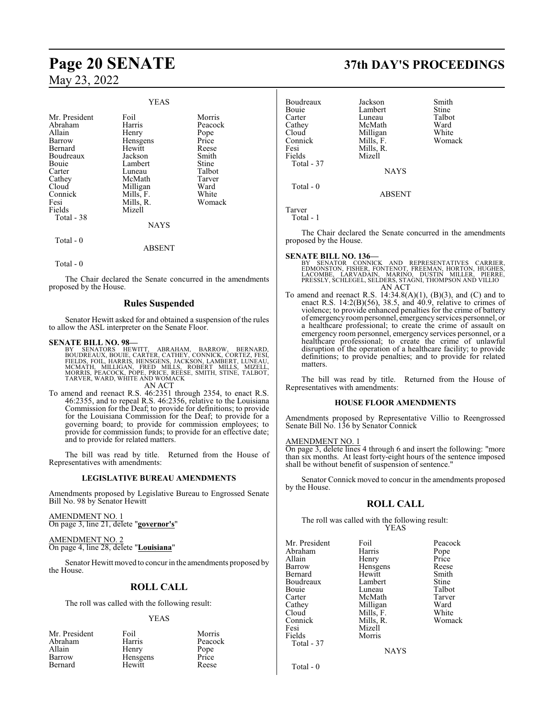|                                                                                                                                                       | <b>YEAS</b>                                                                                                                             |                                                                                                              |
|-------------------------------------------------------------------------------------------------------------------------------------------------------|-----------------------------------------------------------------------------------------------------------------------------------------|--------------------------------------------------------------------------------------------------------------|
| Mr. President<br>Abraham<br>Allain<br>Barrow<br>Bernard<br>Boudreaux<br>Bouie<br>Carter<br>Cathey<br>Cloud<br>Connick<br>Fesi<br>Fields<br>Total - 38 | Foil<br>Harris<br>Henry<br>Hensgens<br>Hewitt<br>Jackson<br>Lambert<br>Luneau<br>McMath<br>Milligan<br>Mills, F.<br>Mills, R.<br>Mizell | Morris<br>Peacock<br>Pope<br>Price<br>Reese<br>Smith<br>Stine<br>Talbot<br>Tarver<br>Ward<br>White<br>Womack |
|                                                                                                                                                       | <b>NAYS</b>                                                                                                                             |                                                                                                              |
| Total - 0                                                                                                                                             | ABSENT                                                                                                                                  |                                                                                                              |

Total - 0

The Chair declared the Senate concurred in the amendments proposed by the House.

#### **Rules Suspended**

Senator Hewitt asked for and obtained a suspension of the rules to allow the ASL interpreter on the Senate Floor.

#### **SENATE BILL NO. 98—**

BY SENATORS HEWITT, ABRAHAM, BARROW, BERNARD,<br>BOUDREAUX,BOUIE,CARTER,CATHEY,CONNICK,CORTEZ,FESI,<br>FIELDS,FOIL,HARRIS,HENSGENS,JACKSON,LAMBERT,LUNEAU,<br>MCMATH, MILLIGAN, FRED MILLS,RRESET MILLS, MIZELL,<br>MORRIS,PEACOCK,POPE,PR AN ACT

To amend and reenact R.S. 46:2351 through 2354, to enact R.S. 46:2355, and to repeal R.S. 46:2356, relative to the Louisiana Commission for the Deaf; to provide for definitions; to provide for the Louisiana Commission for the Deaf; to provide for a governing board; to provide for commission employees; to provide for commission funds; to provide for an effective date; and to provide for related matters.

The bill was read by title. Returned from the House of Representatives with amendments:

#### **LEGISLATIVE BUREAU AMENDMENTS**

Amendments proposed by Legislative Bureau to Engrossed Senate Bill No. 98 by Senator Hewitt

AMENDMENT NO. 1 On page 3, line 21, delete "**governor's**"

AMENDMENT NO. 2 On page 4, line 28, delete "**Louisiana**"

Senator Hewitt moved to concur in the amendments proposed by the House.

## **ROLL CALL**

The roll was called with the following result:

#### YEAS

| Mr. President | Foil     | Morris  |
|---------------|----------|---------|
| Abraham       | Harris   | Peacock |
| Allain        | Henry    | Pope    |
| Barrow        | Hensgens | Price   |
| Bernard       | Hewitt   | Reese   |

# **Page 20 SENATE 37th DAY'S PROCEEDINGS**

| <b>Boudreaux</b><br>Bouie<br>Carter<br>Cathey<br>Cloud<br>Connick<br>Fesi<br>Fields<br>Total - 37 | Jackson<br>Lambert<br>Luneau<br>McMath<br>Milligan<br>Mills, F.<br>Mills, R.<br>Mizell<br><b>NAYS</b> | Smith<br>Stine<br>Talbot<br>Ward<br>White<br>Womack |
|---------------------------------------------------------------------------------------------------|-------------------------------------------------------------------------------------------------------|-----------------------------------------------------|
| Total $-0$                                                                                        | <b>ABSENT</b>                                                                                         |                                                     |

Tarver Total - 1

The Chair declared the Senate concurred in the amendments proposed by the House.

## **SENATE BILL NO. 136—**

BY SENATOR CONNICK AND REPRESENTATIVES CARRIER,<br>EDMONSTON, FISHER, FONTENOT, FREEMAN, HORTON, HUGHES,<br>LACOMBE, LARVADAIN, MARINO, DUSTIN MILLER, PIERRE,<br>PRESSLY, SCHLEGEL, SELDERS, STAGNI, THOMPSON AND VILLIO AN ACT

To amend and reenact R.S.  $14:34.8(A)(1)$ ,  $(B)(3)$ , and  $(C)$  and to enact R.S. 14:2(B)(56), 38.5, and 40.9, relative to crimes of violence; to provide enhanced penalties for the crime of battery of emergencyroompersonnel, emergency services personnel, or a healthcare professional; to create the crime of assault on emergency room personnel, emergency services personnel, or a healthcare professional; to create the crime of unlawful disruption of the operation of a healthcare facility; to provide definitions; to provide penalties; and to provide for related matters.

The bill was read by title. Returned from the House of Representatives with amendments:

#### **HOUSE FLOOR AMENDMENTS**

Amendments proposed by Representative Villio to Reengrossed Senate Bill No. 136 by Senator Connick

#### AMENDMENT NO. 1

On page 3, delete lines 4 through 6 and insert the following: "more than six months. At least forty-eight hours of the sentence imposed shall be without benefit of suspension of sentence."

Senator Connick moved to concur in the amendments proposed by the House.

#### **ROLL CALL**

The roll was called with the following result: YEAS

Morris

Mr. President Foil Peacock<br>Abraham Harris Pope Abraham Harris Pope<br>Allain Henry Price Allain Henry Price Barrow Hensgens Reese<br>Bernard Hewitt Smith Boudreaux Lambert Stine<br>
Bouie Luneau Talbot Bouie Luneau Talbot<br>Carter McMath Tarver Carter McMath Tarve<br>Cathey Milligan Ward Cathey Milligan Ward<br>Cloud Mills, F. White Cloud Mills, F.<br>Connick Mills, R. Connick Mills, R. Womack Fesi Mizell<br>Fields Morris Total - 37

Hewitt Smith<br>Lambert Stine

NAYS

Total - 0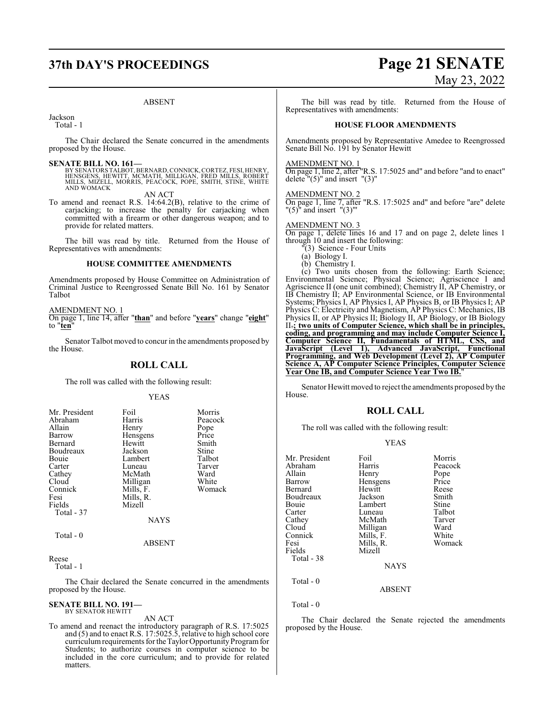# **37th DAY'S PROCEEDINGS Page 21 SENATE**

#### ABSENT

Jackson

Total - 1

The Chair declared the Senate concurred in the amendments proposed by the House.

**SENATE BILL NO. 161—**<br>BY SENATORS TALBOT, BERNARD, CONNICK, CORTEZ, FESI, HENRY, HENSGENS, HEWITT, MCMATH, MILLIGAN, FRED MILLS, ROBERT<br>MILLS, MIZELL, MORRIS, PEACOCK, POPE, SMITH, STINE, WHITE<br>AND WOMACK

AN ACT

To amend and reenact R.S. 14:64.2(B), relative to the crime of carjacking; to increase the penalty for carjacking when committed with a firearm or other dangerous weapon; and to provide for related matters.

The bill was read by title. Returned from the House of Representatives with amendments:

#### **HOUSE COMMITTEE AMENDMENTS**

Amendments proposed by House Committee on Administration of Criminal Justice to Reengrossed Senate Bill No. 161 by Senator Talbot

AMENDMENT NO. 1

On page 1, line 14, after "**than**" and before "**years**" change "**eight**" to "**ten**"

Senator Talbot moved to concur in the amendments proposed by the House.

#### **ROLL CALL**

The roll was called with the following result:

#### YEAS

| Mr. President | Foil        | Morris  |
|---------------|-------------|---------|
| Abraham       | Harris      | Peacock |
|               |             |         |
| Allain        | Henry       | Pope    |
| Barrow        | Hensgens    | Price   |
| Bernard       | Hewitt      | Smith   |
| Boudreaux     | Jackson     | Stine   |
| Bouie         | Lambert     | Talbot  |
| Carter        | Luneau      | Tarver  |
| Cathey        | McMath      | Ward    |
| Cloud         | Milligan    | White   |
| Connick       | Mills, F.   | Womack  |
| Fesi          | Mills, R.   |         |
| Fields        | Mizell      |         |
| Total - 37    |             |         |
|               | <b>NAYS</b> |         |
| Total - 0     |             |         |
|               | ABSENT      |         |

Reese

Total - 1

The Chair declared the Senate concurred in the amendments proposed by the House.

# **SENATE BILL NO. 191—** BY SENATOR HEWITT

AN ACT

To amend and reenact the introductory paragraph of R.S. 17:5025 and (5) and to enact R.S. 17:5025.5, relative to high school core curriculum requirements for the Taylor Opportunity Program for Students; to authorize courses in computer science to be included in the core curriculum; and to provide for related matters.

# May 23, 2022

The bill was read by title. Returned from the House of Representatives with amendments:

#### **HOUSE FLOOR AMENDMENTS**

Amendments proposed by Representative Amedee to Reengrossed Senate Bill No. 191 by Senator Hewitt

#### AMENDMENT NO. 1

On page 1, line 2, after "R.S. 17:5025 and" and before "and to enact" delete  $"(5)"$  and insert  $"(3)"$ 

#### AMENDMENT NO. 2

On page 1, line 7, after "R.S. 17:5025 and" and before "are" delete  $"$ (5) $"$  and insert  $"$ (3)"'

## AMENDMENT NO. 3

On page 1, delete lines 16 and 17 and on page 2, delete lines 1 through 10 and insert the following:

#### "(3) Science - Four Units (a) Biology I.

(b) Chemistry I.

(c) Two units chosen from the following: Earth Science; Environmental Science; Physical Science; Agriscience I and Agriscience II (one unit combined); Chemistry II, AP Chemistry, or IB Chemistry II; AP Environmental Science, or IB Environmental Systems; Physics I, AP Physics I, AP Physics B, or IB Physics I; AP Physics C: Electricity and Magnetism, AP Physics C: Mechanics, IB Physics II, or AP Physics II; Biology II, AP Biology, or IB Biology II.**; two units of Computer Science, which shall be in principles, coding, and programming and may include Computer Science I, Computer Science II, Fundamentals of HTML, CSS, and JavaScript (Level 1), Advanced JavaScript, Functional Programming, and Web Development (Level 2), AP Computer Science A, AP Computer Science Principles, Computer Science Year One IB, and Computer Science Year Two IB.**"

Senator Hewitt moved to reject the amendments proposed by the House.

#### **ROLL CALL**

The roll was called with the following result:

#### YEAS

| Mr. President | Foil        | Morris  |
|---------------|-------------|---------|
| Abraham       | Harris      | Peacock |
| Allain        | Henry       | Pope    |
| Barrow        | Hensgens    | Price   |
| Bernard       | Hewitt      | Reese   |
| Boudreaux     | Jackson     | Smith   |
| Bouie         | Lambert     | Stine   |
| Carter        | Luneau      | Talbot  |
| Cathey        | McMath      | Tarver  |
| Cloud         | Milligan    | Ward    |
| Connick       | Mills, F.   | White   |
| Fesi          | Mills, R.   | Womack  |
| Fields        | Mizell      |         |
| Total - 38    |             |         |
|               | <b>NAYS</b> |         |
| Total $-0$    |             |         |
|               | ABSENT      |         |

Total - 0

The Chair declared the Senate rejected the amendments proposed by the House.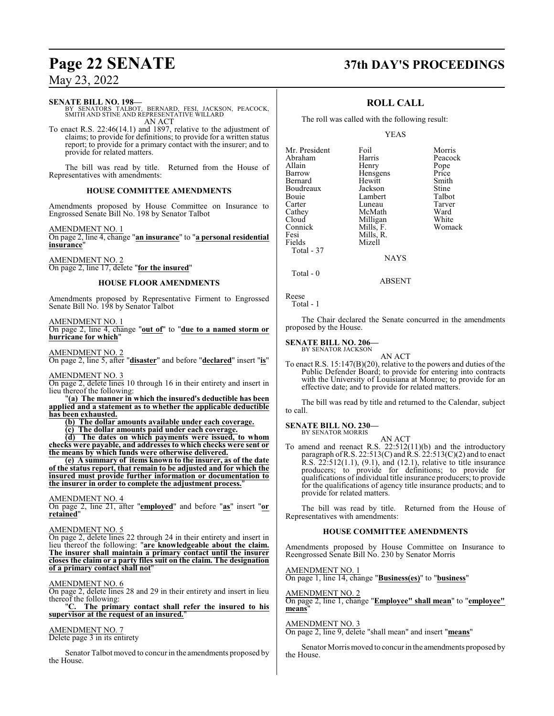#### **SENATE BILL NO. 198—**

BY SENATORS TALBOT, BERNARD, FESI, JACKSON, PEACOCK, SMITH AND STINE AND REPRESENTATIVE WILLARD AN ACT

To enact R.S. 22:46(14.1) and 1897, relative to the adjustment of claims; to provide for definitions; to provide for a written status report; to provide for a primary contact with the insurer; and to provide for related matters.

The bill was read by title. Returned from the House of Representatives with amendments:

#### **HOUSE COMMITTEE AMENDMENTS**

Amendments proposed by House Committee on Insurance to Engrossed Senate Bill No. 198 by Senator Talbot

AMENDMENT NO. 1

On page 2, line 4, change "**an insurance**" to "**a personal residential insurance**"

AMENDMENT NO. 2 On page 2, line 17, delete "**for the insured**"

#### **HOUSE FLOOR AMENDMENTS**

Amendments proposed by Representative Firment to Engrossed Senate Bill No. 198 by Senator Talbot

#### AMENDMENT NO. 1

On page 2, line 4, change "**out of**" to "**due to a named storm or hurricane for which**"

AMENDMENT NO. 2

On page 2, line 5, after "**disaster**" and before "**declared**" insert "**is**"

AMENDMENT NO. 3

On page 2, delete lines 10 through 16 in their entirety and insert in lieu thereof the following:

"**(a) The manner in which the insured's deductible has been applied and a statement as to whether the applicable deductible has been exhausted.**

**(b) The dollar amounts available under each coverage.**

**(c) The dollar amounts paid under each coverage.**

**(d) The dates on which payments were issued, to whom checks were payable, and addresses to which checks were sent or the means by which funds were otherwise delivered.**

**(e) A summary of items known to the insurer, as of the date of the status report, that remain to be adjusted and for which the insured must provide further information or documentation to the insurer in order to complete the adjustment process.**"

#### AMENDMENT NO. 4

On page 2, line 21, after "**employed**" and before "**as**" insert "**or retained**"

#### AMENDMENT NO. 5

On page 2, delete lines 22 through 24 in their entirety and insert in lieu thereof the following: "**are knowledgeable about the claim. The insurer shall maintain a primary contact until the insurer closes the claim or a party files suit on the claim. The designation of a primary contact shall not**"

#### AMENDMENT NO. 6

On page 2, delete lines 28 and 29 in their entirety and insert in lieu thereof the following:

"**C. The primary contact shall refer the insured to his supervisor at the request of an insured.**"

#### AMENDMENT NO. 7

Delete page 3 in its entirety

Senator Talbot moved to concur in the amendments proposed by the House.

# **Page 22 SENATE 37th DAY'S PROCEEDINGS**

### **ROLL CALL**

The roll was called with the following result:

#### YEAS

| Mr. President | Foil        | Morris  |
|---------------|-------------|---------|
| Abraham       | Harris      | Peacock |
| Allain        | Henry       | Pope    |
| Barrow        | Hensgens    | Price   |
| Bernard       | Hewitt      | Smith   |
| Boudreaux     | Jackson     | Stine   |
| Bouie         | Lambert     | Talbot  |
| Carter        | Luneau      | Tarver  |
| Cathey        | McMath      | Ward    |
| Cloud         | Milligan    | White   |
| Connick       | Mills, F.   | Womack  |
| Fesi          | Mills, R.   |         |
| Fields        | Mizell      |         |
| Total - 37    |             |         |
|               | <b>NAYS</b> |         |
|               |             |         |

Reese Total - 1

Total - 0

The Chair declared the Senate concurred in the amendments proposed by the House.

ABSENT

#### **SENATE BILL NO. 206—**

BY SENATOR JACKSON AN ACT

To enact R.S. 15:147(B)(20), relative to the powers and duties of the Public Defender Board; to provide for entering into contracts with the University of Louisiana at Monroe; to provide for an effective date; and to provide for related matters.

The bill was read by title and returned to the Calendar, subject to call.

# **SENATE BILL NO. 230—** BY SENATOR MORRIS

AN ACT To amend and reenact R.S. 22:512(11)(b) and the introductory paragraph of R.S. 22:513(C) and R.S. 22:513(C)(2) and to enact R.S. 22:512(1.1), (9.1), and (12.1), relative to title insurance producers; to provide for definitions; to provide for qualifications ofindividual title insurance producers; to provide for the qualifications of agency title insurance products; and to provide for related matters.

The bill was read by title. Returned from the House of Representatives with amendments:

#### **HOUSE COMMITTEE AMENDMENTS**

Amendments proposed by House Committee on Insurance to Reengrossed Senate Bill No. 230 by Senator Morris

AMENDMENT NO. 1 On page 1, line 14, change "**Business(es)**" to "**business**"

AMENDMENT NO. 2 On page 2, line 1, change "**Employee" shall mean**" to "**employee" means**"

#### AMENDMENT NO. 3

On page 2, line 9, delete "shall mean" and insert "**means**"

Senator Morris moved to concur in the amendments proposed by the House.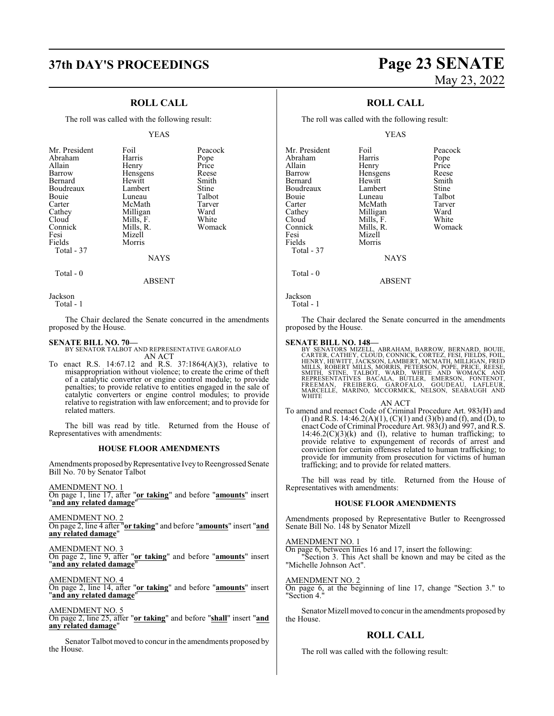### **ROLL CALL**

The roll was called with the following result:

#### YEAS

| Mr. President<br>Abraham<br>Allain<br>Barrow<br>Bernard<br>Boudreaux<br>Bouie<br>Carter<br>Cathey<br>Cloud<br>Connick<br>Fesi<br>Fields<br>Total - 37 | Foil<br>Harris<br>Henry<br>Hensgens<br>Hewitt<br>Lambert<br>Luneau<br>McMath<br>Milligan<br>Mills, F.<br>Mills, R.<br>Mizell<br>Morris<br>NAYS | Peacock<br>Pope<br>Price<br>Reese<br>Smith<br>Stine<br>Talbot<br>Tarver<br>Ward<br>White<br>Womack |
|-------------------------------------------------------------------------------------------------------------------------------------------------------|------------------------------------------------------------------------------------------------------------------------------------------------|----------------------------------------------------------------------------------------------------|
|                                                                                                                                                       |                                                                                                                                                |                                                                                                    |

 $Total - 0$ 

ABSENT

Jackson

Total - 1

The Chair declared the Senate concurred in the amendments proposed by the House.

#### **SENATE BILL NO. 70—**

BY SENATOR TALBOT AND REPRESENTATIVE GAROFALO AN ACT

To enact R.S. 14:67.12 and R.S. 37:1864(A)(3), relative to misappropriation without violence; to create the crime of theft of a catalytic converter or engine control module; to provide penalties; to provide relative to entities engaged in the sale of catalytic converters or engine control modules; to provide relative to registration with law enforcement; and to provide for related matters.

The bill was read by title. Returned from the House of Representatives with amendments:

#### **HOUSE FLOOR AMENDMENTS**

Amendments proposed by Representative Ivey to Reengrossed Senate Bill No. 70 by Senator Talbot

AMENDMENT NO. 1

On page 1, line 17, after "**or taking**" and before "**amounts**" insert "**and any related damage**"

AMENDMENT NO. 2 On page 2, line 4 after "**or taking**" and before "**amounts**" insert "**and any related damage**"

AMENDMENT NO. 3 On page 2, line 9, after "**or taking**" and before "**amounts**" insert "**and any related damage**"

AMENDMENT NO. 4 On page 2, line 14, after "**or taking**" and before "**amounts**" insert "**and any related damage**"

AMENDMENT NO. 5 On page 2, line 25, after "**or taking**" and before "**shall**" insert "**and any related damage**"

Senator Talbot moved to concur in the amendments proposed by the House.

# **37th DAY'S PROCEEDINGS Page 23 SENATE** May 23, 2022

## **ROLL CALL**

The roll was called with the following result:

YEAS

| Mr. President | Foil        | Peacock |
|---------------|-------------|---------|
| Abraham       | Harris      |         |
|               |             | Pope    |
| Allain        | Henry       | Price   |
| Barrow        | Hensgens    | Reese   |
| Bernard       | Hewitt      | Smith   |
| Boudreaux     | Lambert     | Stine   |
| Bouie         | Luneau      | Talbot  |
| Carter        | McMath      | Tarver  |
| Cathey        | Milligan    | Ward    |
| Cloud         | Mills, F.   | White   |
| Connick       | Mills, R.   | Womack  |
| Fesi          | Mizell      |         |
| Fields        | Morris      |         |
| Total - 37    |             |         |
|               | <b>NAYS</b> |         |
| Total - 0     |             |         |

ABSENT

Jackson

Total - 1

The Chair declared the Senate concurred in the amendments proposed by the House.

#### **SENATE BILL NO. 148—**

BY SENATORS MIZELL, ABRAHAM, BARROW, BERNARD, BOUIE,<br>CARTER, CATHEY, CLOUD, CONNICK, CORTEZ, FESI, FIELDS, FOIL,<br>HENRY, HEWITT, JACKSON, LAMBERT, MCMATH, MILLIGAN, FRED<br>SMITH, STINE, TALLS, MORRIS, PETERSON, POPE, PRICE, R **WHITE** 

AN ACT

To amend and reenact Code of Criminal Procedure Art. 983(H) and (I) and R.S. 14:46.2(A)(1), (C)(1) and (3)(b) and (f), and (D), to enact Code of Criminal Procedure Art.  $983(J)$  and  $997$ , and R.S.  $14:46.2(C)(3)(k)$  and (l), relative to human trafficking; to provide relative to expungement of records of arrest and conviction for certain offenses related to human trafficking; to provide for immunity from prosecution for victims of human trafficking; and to provide for related matters.

The bill was read by title. Returned from the House of Representatives with amendments:

#### **HOUSE FLOOR AMENDMENTS**

Amendments proposed by Representative Butler to Reengrossed Senate Bill No. 148 by Senator Mizell

#### AMENDMENT NO. 1

On page 6, between lines 16 and 17, insert the following:

"Section 3. This Act shall be known and may be cited as the "Michelle Johnson Act".

#### AMENDMENT NO. 2

On page 6, at the beginning of line 17, change "Section 3." to Section 4."

Senator Mizell moved to concur in the amendments proposed by the House.

#### **ROLL CALL**

The roll was called with the following result: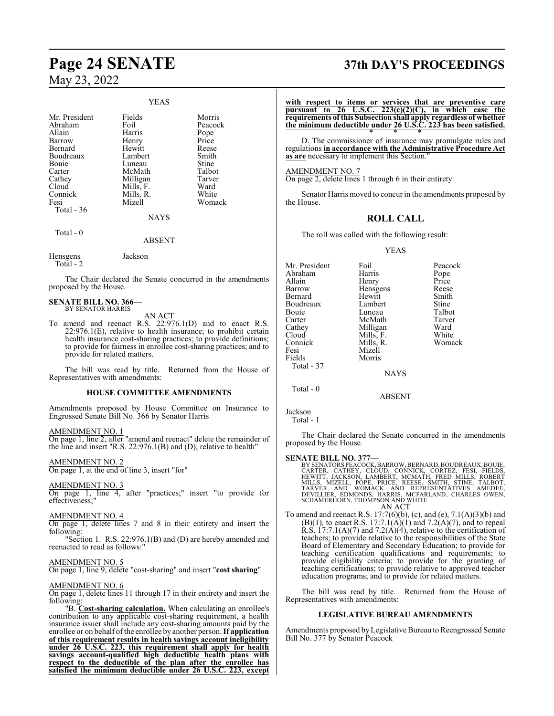#### YEAS

| Mr. President | Fields        | Morris  |
|---------------|---------------|---------|
| Abraham       | Foil          | Peacock |
| Allain        | Harris        | Pope    |
| Barrow        | Henry         | Price   |
| Bernard       | Hewitt        | Reese   |
| Boudreaux     | Lambert       | Smith   |
| Bouie         | Luneau        | Stine   |
| Carter        | McMath        | Talbot  |
| Cathey        | Milligan      | Tarver  |
| Cloud         | Mills, F.     | Ward    |
| Connick       | Mills, R.     | White   |
| Fesi          | Mizell        | Womack  |
| Total - 36    |               |         |
|               | <b>NAYS</b>   |         |
| Total $-0$    |               |         |
|               | <b>ABSENT</b> |         |
| Hensgens      | Jackson       |         |

The Chair declared the Senate concurred in the amendments proposed by the House.

#### **SENATE BILL NO. 366—** BY SENATOR HARRIS

Total - 2

AN ACT

To amend and reenact R.S. 22:976.1(D) and to enact R.S.  $22:976.1(E)$ , relative to health insurance; to prohibit certain health insurance cost-sharing practices; to provide definitions; to provide for fairness in enrollee cost-sharing practices; and to provide for related matters.

The bill was read by title. Returned from the House of Representatives with amendments:

#### **HOUSE COMMITTEE AMENDMENTS**

Amendments proposed by House Committee on Insurance to Engrossed Senate Bill No. 366 by Senator Harris

#### AMENDMENT NO. 1

On page 1, line 2, after "amend and reenact" delete the remainder of the line and insert "R.S. 22:976.1(B) and (D), relative to health"

#### AMENDMENT NO. 2

On page 1, at the end of line 3, insert "for"

#### AMENDMENT NO. 3

On page 1, line 4, after "practices;" insert "to provide for effectiveness;"

#### AMENDMENT NO. 4

On page 1, delete lines 7 and 8 in their entirety and insert the following:

"Section 1. R.S. 22:976.1(B) and (D) are hereby amended and reenacted to read as follows:"

#### AMENDMENT NO. 5

On page 1, line 9, delete "cost-sharing" and insert "**cost sharing**"

#### AMENDMENT NO. 6

On page 1, delete lines 11 through 17 in their entirety and insert the following:

"B. **Cost-sharing calculation.** When calculating an enrollee's contribution to any applicable cost-sharing requirement, a health insurance issuer shall include any cost-sharing amounts paid by the enrollee or on behalf ofthe enrollee by another person. **If application of this requirement results in health savings account ineligibility under 26 U.S.C. 223, this requirement shall apply for health savings account-qualified high deductible health plans with respect to the deductible of the plan after the enrollee has satisfied the minimum deductible under 26 U.S.C. 223, except**

# **Page 24 SENATE 37th DAY'S PROCEEDINGS**

**with respect to items or services that are preventive care pursuant to 26 U.S.C. 223(c)(2)(C), in which case the requirements of this Subsection shall apply regardless of whether the minimum deductible under 26 U.S.C. 223 has been satisfied.** \* \* \*

D. The commissioner of insurance may promulgate rules and regulations **in accordance with the Administrative Procedure Act** as are necessary to implement this Section.

#### AMENDMENT NO. 7

On page 2, delete lines 1 through 6 in their entirety

Senator Harris moved to concur in the amendments proposed by the House.

### **ROLL CALL**

The roll was called with the following result:

#### YEAS

|             | Peacock                                                          |
|-------------|------------------------------------------------------------------|
|             | Pope                                                             |
| Henry       | Price                                                            |
|             | Reese                                                            |
| Hewitt      | Smith                                                            |
| Lambert     | Stine                                                            |
| Luneau      | Talbot                                                           |
| McMath      | Tarver                                                           |
|             | Ward                                                             |
|             | White                                                            |
|             | Womack                                                           |
| Mizell      |                                                                  |
| Morris      |                                                                  |
|             |                                                                  |
| <b>NAYS</b> |                                                                  |
|             |                                                                  |
| ARSENT      |                                                                  |
|             | Foil<br>Harris<br>Hensgens<br>Milligan<br>Mills, F.<br>Mills, R. |

Jackson Total - 1

The Chair declared the Senate concurred in the amendments proposed by the House.

#### **SENATE BILL NO. 377—**

BY SENATORS PEACOCK, BARROW, BERNARD, BOUDREAUX, BOUIE, CARTER, CATHEY, CLOUD, CONNICK, CORTEZ, FESI, FIELDS, HELLOS, HELLOS, HELLOS, MILLS, MIZELL, PÓPE, PRICE, REESE, SMITH, STINE, TALBOT, TARVER AND WOMACK AND REPRESENT

To amend and reenact R.S. 17:7(6)(b), (c), and (e), 7.1(A)(3)(b) and  $(B)(1)$ , to enact R.S. 17:7.1(A)(1) and 7.2(A)(7), and to repeal R.S.  $17:7.1(A)(7)$  and  $7.2(A)(4)$ , relative to the certification of teachers; to provide relative to the responsibilities of the State Board of Elementary and Secondary Education; to provide for teaching certification qualifications and requirements; to provide eligibility criteria; to provide for the granting of teaching certifications; to provide relative to approved teacher education programs; and to provide for related matters.

The bill was read by title. Returned from the House of Representatives with amendments:

#### **LEGISLATIVE BUREAU AMENDMENTS**

Amendments proposed byLegislative Bureau to Reengrossed Senate Bill No. 377 by Senator Peacock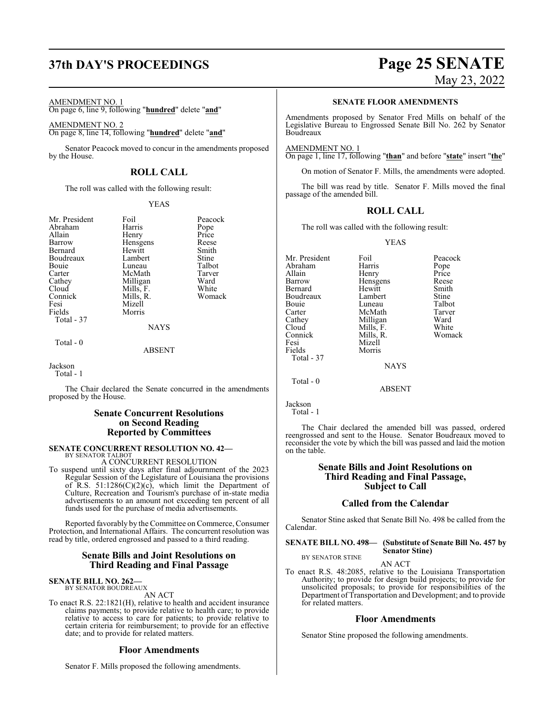# **37th DAY'S PROCEEDINGS Page 25 SENATE**

#### AMENDMENT NO. 1

On page 6, line 9, following "**hundred**" delete "**and**"

AMENDMENT NO. 2 On page 8, line 14, following "**hundred**" delete "**and**"

Senator Peacock moved to concur in the amendments proposed by the House.

### **ROLL CALL**

The roll was called with the following result:

#### YEAS

| Mr. President | Foil      | Peaco       |
|---------------|-----------|-------------|
| Abraham       | Harris    | Pope        |
| Allain        | Henry     | Price       |
| Barrow        | Hensgens  | Rees        |
| Bernard       | Hewitt    | Smitl       |
| Boudreaux     | Lambert   | Stine       |
| Bouie         | Luneau    | Talbo       |
| Carter        | McMath    | <b>Tarv</b> |
| Cathey        | Milligan  | Ward        |
| Cloud         | Mills, F. | Whit        |
| Connick       | Mills, R. | Wom         |
| Fesi          | Mizell    |             |
| Fields        | Morris    |             |
| Total - 37    |           |             |
|               |           |             |

Foil Peacock<br>
Harris Pope Hensgens Reese<br>Hewitt Smith Hewitt Smith<br>Lambert Stine Lambert Stine<br>
Luneau Talbot Luneau Talbot<br>McMath Tarver McMath Tarve<br>
Milligan Ward Milligan Ward<br>
Mills, F. White Mills, F. White<br>Mills, R. Womack Mills, R.

NAYS

#### Total - 0

ABSENT

### Jackson

Total - 1

The Chair declared the Senate concurred in the amendments proposed by the House.

#### **Senate Concurrent Resolutions on Second Reading Reported by Committees**

#### **SENATE CONCURRENT RESOLUTION NO. 42—**

BY SENATOR TALBOT A CONCURRENT RESOLUTION

To suspend until sixty days after final adjournment of the 2023 Regular Session of the Legislature of Louisiana the provisions of R.S. 51:1286(C)(2)( $c$ ), which limit the Department of Culture, Recreation and Tourism's purchase of in-state media advertisements to an amount not exceeding ten percent of all funds used for the purchase of media advertisements.

Reported favorably by the Committee on Commerce, Consumer Protection, and International Affairs. The concurrent resolution was read by title, ordered engrossed and passed to a third reading.

#### **Senate Bills and Joint Resolutions on Third Reading and Final Passage**

## **SENATE BILL NO. 262—**

BY SENATOR BOUDREAUX AN ACT

To enact R.S. 22:1821(H), relative to health and accident insurance claims payments; to provide relative to health care; to provide relative to access to care for patients; to provide relative to certain criteria for reimbursement; to provide for an effective date; and to provide for related matters.

#### **Floor Amendments**

Senator F. Mills proposed the following amendments.

# May 23, 2022

**SENATE FLOOR AMENDMENTS**

Amendments proposed by Senator Fred Mills on behalf of the Legislative Bureau to Engrossed Senate Bill No. 262 by Senator Boudreaux

AMENDMENT NO. 1 On page 1, line 17, following "**than**" and before "**state**" insert "**the**"

On motion of Senator F. Mills, the amendments were adopted.

The bill was read by title. Senator F. Mills moved the final passage of the amended bill.

## **ROLL CALL**

The roll was called with the following result:

#### YEAS

Mr. President Foil Peacock<br>Abraham Harris Pope Abraham Harris Pope<br>
Allain Henry Price Allain Henry Price<br>
Barrow Hensgens Reese Hensgens Reese<br>Hewitt Smith Bernard Hewitt Smith Boudreaux Lambert Stine<br>Bouie Luneau Talbot Bouie Luneau Talbot Carter McMath Tarve<br>Cathey Milligan Ward Cathey Milligan Ward<br>Cloud Mills, F. White Cloud Mills, F. White<br>Connick Mills, R. Womack Connick Mills, R.<br>Fesi Mizell Fesi Mizell<br>Fields Morris Morris Total - 37 NAYS Total - 0

ABSENT

Jackson

Total - 1

The Chair declared the amended bill was passed, ordered reengrossed and sent to the House. Senator Boudreaux moved to reconsider the vote by which the bill was passed and laid the motion on the table.

#### **Senate Bills and Joint Resolutions on Third Reading and Final Passage, Subject to Call**

#### **Called from the Calendar**

Senator Stine asked that Senate Bill No. 498 be called from the Calendar.

**SENATE BILL NO. 498— (Substitute of Senate Bill No. 457 by Senator Stine)**

BY SENATOR STINE

AN ACT To enact R.S. 48:2085, relative to the Louisiana Transportation Authority; to provide for design build projects; to provide for unsolicited proposals; to provide for responsibilities of the Department of Transportation and Development; and to provide for related matters.

#### **Floor Amendments**

Senator Stine proposed the following amendments.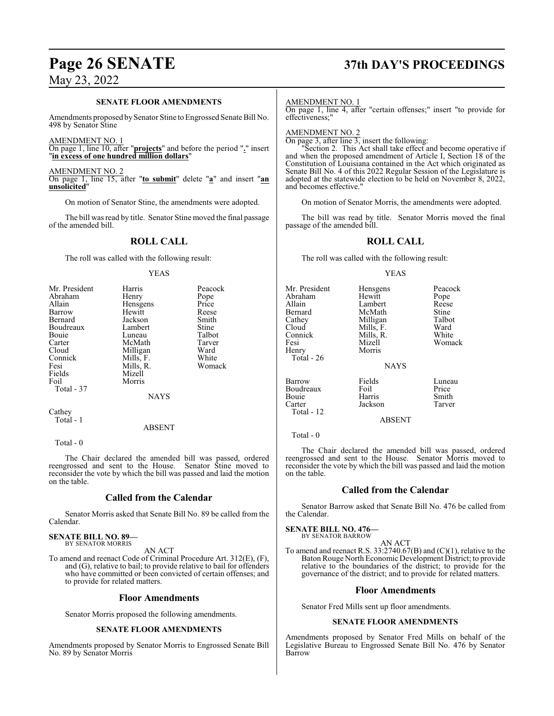#### **SENATE FLOOR AMENDMENTS**

Amendments proposed by Senator Stine to Engrossed Senate Bill No. 498 by Senator Stine

AMENDMENT NO. 1

On page 1, line 10, after "**projects**" and before the period "**.**" insert "**in excess of one hundred million dollars**"

AMENDMENT NO. 2 On page 1, line 15, after "**to submit**" delete "**a**" and insert "**an unsolicited**"

On motion of Senator Stine, the amendments were adopted.

The bill was read by title. Senator Stine moved the final passage of the amended bill.

#### **ROLL CALL**

The roll was called with the following result:

#### YEAS

| Mr. President<br>Abraham<br>Allain<br>Barrow<br>Bernard<br>Boudreaux<br>Bouie<br>Carter<br>Cloud<br>Connick<br>Fesi<br>Fields<br>Foil | Harris<br>Henry<br>Hensgens<br>Hewitt<br>Jackson<br>Lambert<br>Luneau<br>McMath<br>Milligan<br>Mills, F.<br>Mills, R.<br>Mizell<br>Morris | Peacock<br>Pope<br>Price<br>Reese<br>Smith<br>Stine<br>Talbot<br>Tarver<br>Ward<br>White<br>Womack |
|---------------------------------------------------------------------------------------------------------------------------------------|-------------------------------------------------------------------------------------------------------------------------------------------|----------------------------------------------------------------------------------------------------|
| Total - 37<br>Cathey                                                                                                                  | <b>NAYS</b>                                                                                                                               |                                                                                                    |

Total - 1

ABSENT

Total - 0

The Chair declared the amended bill was passed, ordered reengrossed and sent to the House. Senator Stine moved to reconsider the vote by which the bill was passed and laid the motion on the table.

#### **Called from the Calendar**

Senator Morris asked that Senate Bill No. 89 be called from the Calendar.

**SENATE BILL NO. 89—** BY SENATOR MORRIS

AN ACT

To amend and reenact Code of Criminal Procedure Art. 312(E), (F), and (G), relative to bail; to provide relative to bail for offenders who have committed or been convicted of certain offenses; and to provide for related matters.

#### **Floor Amendments**

Senator Morris proposed the following amendments.

#### **SENATE FLOOR AMENDMENTS**

Amendments proposed by Senator Morris to Engrossed Senate Bill No. 89 by Senator Morris

# **Page 26 SENATE 37th DAY'S PROCEEDINGS**

AMENDMENT NO. 1

On page 1, line 4, after "certain offenses;" insert "to provide for effectiveness;"

#### AMENDMENT NO. 2

On page 3, after line 3, insert the following:

Section 2. This Act shall take effect and become operative if and when the proposed amendment of Article I, Section 18 of the Constitution of Louisiana contained in the Act which originated as Senate Bill No. 4 of this 2022 Regular Session of the Legislature is adopted at the statewide election to be held on November 8, 2022, and becomes effective."

On motion of Senator Morris, the amendments were adopted.

The bill was read by title. Senator Morris moved the final passage of the amended bill.

#### **ROLL CALL**

The roll was called with the following result:

#### YEAS

| Mr. President<br>Abraham<br>Allain<br>Bernard<br>Cathey<br>Cloud<br>Connick<br>Fesi<br>Henry<br>Total - 26 | Hensgens<br>Hewitt<br>Lambert<br>McMath<br>Milligan<br>Mills, F.<br>Mills, R.<br>Mizell<br>Morris<br><b>NAYS</b> | Peacock<br>Pope<br>Reese<br>Stine<br>Talbot<br>Ward<br>White<br>Womack |
|------------------------------------------------------------------------------------------------------------|------------------------------------------------------------------------------------------------------------------|------------------------------------------------------------------------|
| Barrow<br>Boudreaux<br>Bouie<br>Carter<br>Total - 12                                                       | Fields<br>Foil<br>Harris<br>Jackson<br>ABSENT                                                                    | Luneau<br>Price<br>Smith<br>Tarver                                     |

Total - 0

The Chair declared the amended bill was passed, ordered reengrossed and sent to the House. Senator Morris moved to reconsider the vote by which the bill was passed and laid the motion on the table.

#### **Called from the Calendar**

Senator Barrow asked that Senate Bill No. 476 be called from the Calendar.

#### **SENATE BILL NO. 476—**

BY SENATOR BARROW AN ACT

To amend and reenact R.S. 33:2740.67(B) and (C)(1), relative to the Baton Rouge North Economic Development District; to provide relative to the boundaries of the district; to provide for the governance of the district; and to provide for related matters.

#### **Floor Amendments**

Senator Fred Mills sent up floor amendments.

#### **SENATE FLOOR AMENDMENTS**

Amendments proposed by Senator Fred Mills on behalf of the Legislative Bureau to Engrossed Senate Bill No. 476 by Senator Barrow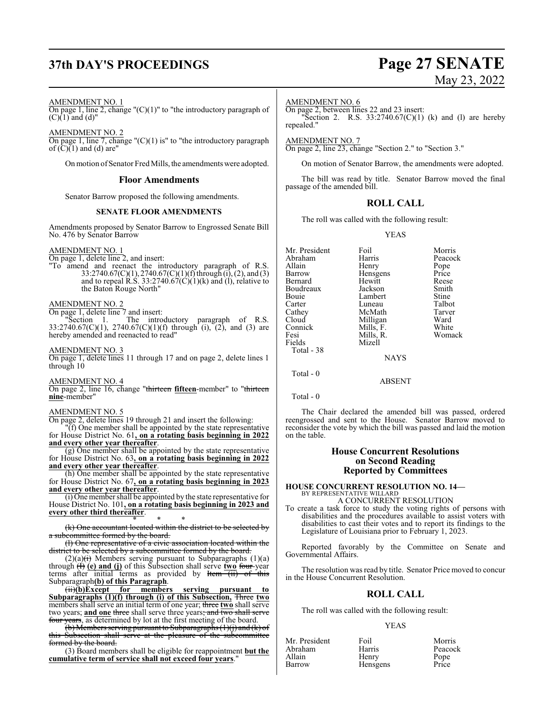# **37th DAY'S PROCEEDINGS Page 27 SENATE**

# May 23, 2022

AMENDMENT NO. 1

On page 1, line 2, change " $(C)(1)$ " to "the introductory paragraph of  $(C)(1)$  and  $(d)$ "

AMENDMENT NO. 2 On page 1, line 7, change " $(C)(1)$  is" to "the introductory paragraph of  $\left(\overline{C}\right)\left(1\right)$  and (d) are"

On motion of Senator Fred Mills, the amendments were adopted.

#### **Floor Amendments**

Senator Barrow proposed the following amendments.

#### **SENATE FLOOR AMENDMENTS**

Amendments proposed by Senator Barrow to Engrossed Senate Bill No. 476 by Senator Barrow

AMENDMENT NO. 1

On page 1, delete line 2, and insert:

"To amend and reenact the introductory paragraph of R.S. 33:2740.67(C)(1), 2740.67(C)(1)(f) through (i), (2), and (3) and to repeal R.S. 33:2740.67 $(C)(1)(k)$  and  $(l)$ , relative to the Baton Rouge North"

#### AMENDMENT NO. 2

On page 1, delete line 7 and insert:

"Section 1. The introductory paragraph of R.S. 33:2740.67(C)(1), 2740.67(C)(1)(f) through (i), (2), and (3) are hereby amended and reenacted to read"

#### AMENDMENT NO. 3

On page 1, delete lines 11 through 17 and on page 2, delete lines 1 through 10

#### AMENDMENT NO. 4

On page 2, line 16, change "thirteen **fifteen**-member" to "thirteen **nine**-member"

#### AMENDMENT NO. 5

On page 2, delete lines 19 through 21 and insert the following:

"(f) One member shall be appointed by the state representative for House District No. 61**, on a rotating basis beginning in 2022 and every other year thereafter**.

(g) One member shall be appointed by the state representative for House District No. 63**, on a rotating basis beginning in 2022 and every other year thereafter**.

(h) One member shall be appointed by the state representative for House District No. 67**, on a rotating basis beginning in 2023 and every other year thereafter**.

(i) One member shall be appointed by the state representative for House District No. 101**, on a rotating basis beginning in 2023 and every other third thereafter**.

\* \* \* (k) One accountant located within the district to be selected by a subcommittee formed by the board.

(l) One representative of a civic association located within the strict to be selected by a subcommittee formed by the board.

 $(2)(a)$  (i) Members serving pursuant to Subparagraphs  $(1)(a)$ through (I) **(e) and (j)** of this Subsection shall serve **two** four-year terms after initial terms as provided by  $H<sub>cm</sub>$  (ii) of this Subparagraph**(b) of this Paragraph**.

(ii)**(b)Except for members serving pursuant to Subparagraphs (1)(f) through (i) of this Subsection,** Three **two** members shall serve an initial term of one year; three **two** shall serve two years; **and one** three shall serve three years; and two shall ser  $\frac{1}{\sqrt{1-\frac{1}{\sqrt{1-\frac{1}{\sqrt{1-\frac{1}{\sqrt{1-\frac{1}{\sqrt{1-\frac{1}{\sqrt{1-\frac{1}{\sqrt{1-\frac{1}{\sqrt{1-\frac{1}{\sqrt{1-\frac{1}{\sqrt{1-\frac{1}{\sqrt{1-\frac{1}{\sqrt{1-\frac{1}{\sqrt{1-\frac{1}{\sqrt{1-\frac{1}{\sqrt{1-\frac{1}{\sqrt{1-\frac{1}{\sqrt{1-\frac{1}{\sqrt{1-\frac{1}{\sqrt{1-\frac{1}{\sqrt{1-\frac{1}{\sqrt{1-\frac{1}{\sqrt{1-\frac{1}{\sqrt{1-\frac{1}{\sqrt{1-\frac{1$ 

(b) Members serving pursuant to Subparagraphs (1)(j) and (k) of this Subsection shall serve at the pleasure of the subcommittee formed by the board.

(3) Board members shall be eligible for reappointment **but the cumulative term of service shall not exceed four years**."

#### AMENDMENT NO. 6

On page 2, between lines 22 and 23 insert:

"Section 2. R.S.  $33:2740.67(C)(1)$  (k) and (l) are hereby repealed."

AMENDMENT NO. 7

On page 2, line 23, change "Section 2." to "Section 3."

On motion of Senator Barrow, the amendments were adopted.

The bill was read by title. Senator Barrow moved the final passage of the amended bill.

#### **ROLL CALL**

The roll was called with the following result:

YEAS

| Mr. President | Foil        | Morris  |
|---------------|-------------|---------|
| Abraham       | Harris      | Peacock |
| Allain        | Henry       | Pope    |
| Barrow        | Hensgens    | Price   |
| Bernard       | Hewitt      | Reese   |
| Boudreaux     | Jackson     | Smith   |
| Bouie         | Lambert     | Stine   |
| Carter        | Luneau      | Talbot  |
| Cathey        | McMath      | Tarver  |
| Cloud         | Milligan    | Ward    |
| Connick       | Mills, F.   | White   |
| Fesi          | Mills, R.   | Womack  |
| Fields        | Mizell      |         |
| Total - 38    |             |         |
|               | <b>NAYS</b> |         |
| Total - 0     |             |         |

Total - 0

The Chair declared the amended bill was passed, ordered reengrossed and sent to the House. Senator Barrow moved to reconsider the vote by which the bill was passed and laid the motion on the table.

ABSENT

#### **House Concurrent Resolutions on Second Reading Reported by Committees**

#### **HOUSE CONCURRENT RESOLUTION NO. 14—** BY REPRESENTATIVE WILLARD

A CONCURRENT RESOLUTION

To create a task force to study the voting rights of persons with disabilities and the procedures available to assist voters with disabilities to cast their votes and to report its findings to the Legislature of Louisiana prior to February 1, 2023.

Reported favorably by the Committee on Senate and Governmental Affairs.

The resolution was read by title. Senator Price moved to concur in the House Concurrent Resolution.

#### **ROLL CALL**

The roll was called with the following result:

#### YEAS

| Mr. President | Foil     | Morris        |
|---------------|----------|---------------|
| Abraham       | Harris   | Peacock       |
| Allain        | Henry    | Pope<br>Price |
| Barrow        | Hensgens |               |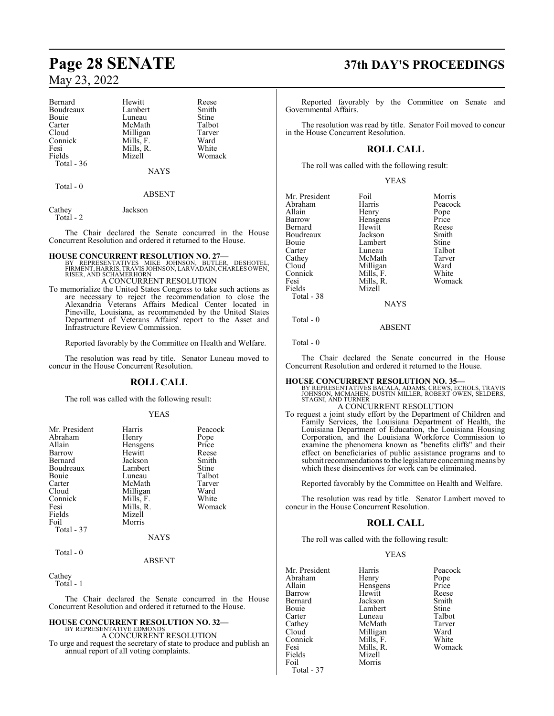| Bernard     | Hewitt      | Reese  |
|-------------|-------------|--------|
| Boudreaux   | Lambert     | Smith  |
| Bouie       | Luneau      | Stine  |
| Carter      | McMath      | Talbot |
| Cloud       | Milligan    | Tarver |
| Connick     | Mills, F.   | Ward   |
| Fesi        | Mills, R.   | White  |
| Fields      | Mizell      | Womack |
| Total $-36$ |             |        |
|             | <b>NAYS</b> |        |
| Total - 0   |             |        |
|             | ABSENT      |        |

Cathey Jackson

Total - 2

The Chair declared the Senate concurred in the House Concurrent Resolution and ordered it returned to the House.

- **HOUSE CONCURRENT RESOLUTION NO. 27—**<br>BY REPRESENTATIVES MIKE JOHNSON, BUTLER, DESHOTEL,<br>FIRMENT, HARRIS, TRAVIS JOHNSON, LARVADAIN, CHARLES OWEN,<br>RISER, AND SCHAMERHORN A CONCURRENT RESOLUTION
- To memorialize the United States Congress to take such actions as are necessary to reject the recommendation to close the Alexandria Veterans Affairs Medical Center located in Pineville, Louisiana, as recommended by the United States Department of Veterans Affairs' report to the Asset and Infrastructure Review Commission.

Reported favorably by the Committee on Health and Welfare.

The resolution was read by title. Senator Luneau moved to concur in the House Concurrent Resolution.

## **ROLL CALL**

The roll was called with the following result:

#### YEAS

| Mr. President | Harris      | Peacock |
|---------------|-------------|---------|
| Abraham       | Henry       | Pope    |
| Allain        | Hensgens    | Price   |
| Barrow        | Hewitt      | Reese   |
| Bernard       | Jackson     | Smith   |
| Boudreaux     | Lambert     | Stine   |
| <b>Bouje</b>  | Luneau      | Talbot  |
| Carter        | McMath      | Tarver  |
| Cloud         | Milligan    | Ward    |
| Connick       | Mills, F.   | White   |
| Fesi          | Mills, R.   | Womack  |
| Fields        | Mizell      |         |
| Foil          | Morris      |         |
| Total - 37    |             |         |
|               | <b>NAYS</b> |         |
| Total - 0     |             |         |
|               | ABSENT      |         |

Cathey

Total - 1

The Chair declared the Senate concurred in the House Concurrent Resolution and ordered it returned to the House.

#### **HOUSE CONCURRENT RESOLUTION NO. 32—** BY REPRESENTATIVE EDMONDS

A CONCURRENT RESOLUTION

To urge and request the secretary of state to produce and publish an annual report of all voting complaints.

# **Page 28 SENATE 37th DAY'S PROCEEDINGS**

Reported favorably by the Committee on Senate and Governmental Affairs.

The resolution was read by title. Senator Foil moved to concur in the House Concurrent Resolution.

## **ROLL CALL**

The roll was called with the following result:

|--|

| Mr. President | Foil        | Morris  |
|---------------|-------------|---------|
| Abraham       | Harris      | Peacock |
| Allain        | Henry       | Pope    |
| Barrow        | Hensgens    | Price   |
| Bernard       | Hewitt      | Reese   |
| Boudreaux     | Jackson     | Smith   |
| Bouie         | Lambert     | Stine   |
| Carter        | Luneau      | Talbot  |
| Cathey        | McMath      | Tarver  |
| Cloud         | Milligan    | Ward    |
| Connick       | Mills, F.   | White   |
| Fesi          | Mills, R.   | Womack  |
| Fields        | Mizell      |         |
| Total - 38    |             |         |
|               | <b>NAYS</b> |         |
| Total - 0     |             |         |

Total - 0

The Chair declared the Senate concurred in the House Concurrent Resolution and ordered it returned to the House.

ABSENT

#### **HOUSE CONCURRENT RESOLUTION NO. 35—**

BY REPRESENTATIVES BACALA, ADAMS, CREWS, ECHOLS, TRAVIS JOHNSON, MCMAHEN, DUSTIN MILLER, ROBERT OWEN, SELDERS, STAGNI, AND TURNER

## A CONCURRENT RESOLUTION

To request a joint study effort by the Department of Children and Family Services, the Louisiana Department of Health, the Louisiana Department of Education, the Louisiana Housing Corporation, and the Louisiana Workforce Commission to examine the phenomena known as "benefits cliffs" and their effect on beneficiaries of public assistance programs and to submit recommendations to the legislature concerning means by which these disincentives for work can be eliminated.

Reported favorably by the Committee on Health and Welfare.

The resolution was read by title. Senator Lambert moved to concur in the House Concurrent Resolution.

#### **ROLL CALL**

The roll was called with the following result:

| Mr. President | Harris    | Peacock |
|---------------|-----------|---------|
| Abraham       | Henry     | Pope    |
| Allain        | Hensgens  | Price   |
| Barrow        | Hewitt    | Reese   |
| Bernard       | Jackson   | Smith   |
| Bouie         | Lambert   | Stine   |
| Carter        | Luneau    | Talbot  |
| Cathey        | McMath    | Tarver  |
| Cloud         | Milligan  | Ward    |
| Connick       | Mills, F. | White   |
| Fesi          | Mills, R. | Womack  |
| Fields        | Mizell    |         |
| Foil          | Morris    |         |
| Total - 37    |           |         |
|               |           |         |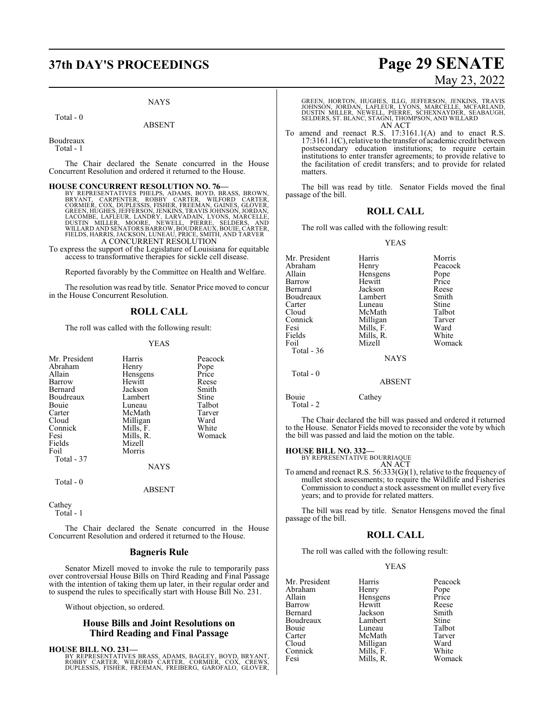#### NAYS

Total - 0

#### ABSENT

Boudreaux

Total - 1

The Chair declared the Senate concurred in the House Concurrent Resolution and ordered it returned to the House.

HOUSE CONCURRENT RESOLUTION NO. 76<br>BY REPRESENTATIVES PHELPS, ADAMS, BOYD, BRASS, BROWN,<br>BRYANT, CARPENTER, ROBBY CARTER, WILFORD CARTER,<br>CORMIER, COX, DUPLESSIS, FISHER, FREEMAN, GAINES, GLOVER,<br>GREEN, HUGHES, JEFFERSON, A CONCURRENT RESOLUTION

To express the support of the Legislature of Louisiana for equitable access to transformative therapies for sickle cell disease.

Reported favorably by the Committee on Health and Welfare.

The resolution was read by title. Senator Price moved to concur in the House Concurrent Resolution.

## **ROLL CALL**

The roll was called with the following result:

#### YEAS

| Mr. President | Harris      | Peacock |
|---------------|-------------|---------|
| Abraham       | Henry       | Pope    |
| Allain        | Hensgens    | Price   |
| Barrow        | Hewitt      | Reese   |
| Bernard       | Jackson     | Smith   |
| Boudreaux     | Lambert     | Stine   |
| Bouie         | Luneau      | Talbot  |
| Carter        | McMath      | Tarver  |
| Cloud         | Milligan    | Ward    |
| Connick       | Mills, F.   | White   |
| Fesi          | Mills, R.   | Womack  |
| Fields        | Mizell      |         |
| Foil          | Morris      |         |
| Total - 37    |             |         |
|               | <b>NAYS</b> |         |
| Total - 0     |             |         |
|               | ABSENT      |         |

Cathey Total - 1

The Chair declared the Senate concurred in the House Concurrent Resolution and ordered it returned to the House.

#### **Bagneris Rule**

Senator Mizell moved to invoke the rule to temporarily pass over controversial House Bills on Third Reading and Final Passage with the intention of taking them up later, in their regular order and to suspend the rules to specifically start with House Bill No. 231.

Without objection, so ordered.

#### **House Bills and Joint Resolutions on Third Reading and Final Passage**

**HOUSE BILL NO. 231—**

BY REPRESENTATIVES BRASS, ADAMS, BAGLEY, BOYD, BRYANT,<br>ROBBY CARTER, WILFORD CARTER, CORMIER, COX, CREWS,<br>DUPLESSIS, FISHER, FREEMAN, FREIBERG, GAROFALO, GLOVER,

# **37th DAY'S PROCEEDINGS Page 29 SENATE** May 23, 2022

GREEN, HORTON, HUGHES, ILLG, JEFFERSON, JENKINS, TRAVIS JOHNSON, JORDAN, LAFLEUR, LYONS, MARCELLE, MCFARLAND, DUSTIN MILLER, NEWELL, PIERRE, SCHEXNAYDER, SEABAUGH, SELDERS, ST. BLANC, STAGNI, THOMPSON, AND WILLARD AN ACT

To amend and reenact R.S. 17:3161.1(A) and to enact R.S. 17:3161.1(C), relative to the transfer of academic credit between postsecondary education institutions; to require certain institutions to enter transfer agreements; to provide relative to the facilitation of credit transfers; and to provide for related matters.

The bill was read by title. Senator Fields moved the final passage of the bill.

## **ROLL CALL**

The roll was called with the following result:

#### YEAS

| Mr. President<br>Abraham<br>Allain<br>Barrow<br>Bernard<br>Boudreaux<br>Carter<br>Cloud<br>Connick<br>Fesi | Harris<br>Henry<br>Hensgens<br>Hewitt<br>Jackson<br>Lambert<br>Luneau<br>McMath<br>Milligan<br>Mills, F. | Morris<br>Peacock<br>Pope<br>Price<br>Reese<br>Smith<br><b>Stine</b><br>Talbot<br>Tarver<br>Ward |
|------------------------------------------------------------------------------------------------------------|----------------------------------------------------------------------------------------------------------|--------------------------------------------------------------------------------------------------|
| Foil<br>Total - 36                                                                                         | Mizell<br><b>NAYS</b>                                                                                    | Womack                                                                                           |
| Total $-0$                                                                                                 | <b>ABSENT</b>                                                                                            |                                                                                                  |
| Bouie                                                                                                      | Cathey                                                                                                   |                                                                                                  |

Total - 2

The Chair declared the bill was passed and ordered it returned to the House. Senator Fields moved to reconsider the vote by which the bill was passed and laid the motion on the table.

#### **HOUSE BILL NO. 332—**

BY REPRESENTATIVE BOURRIAQUE AN ACT

To amend and reenact R.S. 56:333(G)(1), relative to the frequency of mullet stock assessments; to require the Wildlife and Fisheries Commission to conduct a stock assessment on mullet every five years; and to provide for related matters.

The bill was read by title. Senator Hensgens moved the final passage of the bill.

#### **ROLL CALL**

The roll was called with the following result:

#### YEAS

| Mr. President | Harris    | Peacock       |
|---------------|-----------|---------------|
| Abraham       | Henry     |               |
| Allain        | Hensgens  | Pope<br>Price |
| Barrow        | Hewitt    | Reese         |
| Bernard       | Jackson   | Smith         |
| Boudreaux     | Lambert   | <b>Stine</b>  |
| Bouie         | Luneau    | Talbot        |
| Carter        | McMath    | Tarver        |
| Cloud         | Milligan  | Ward          |
| Connick       | Mills, F. | White         |
| Fesi          | Mills, R. | Womack        |
|               |           |               |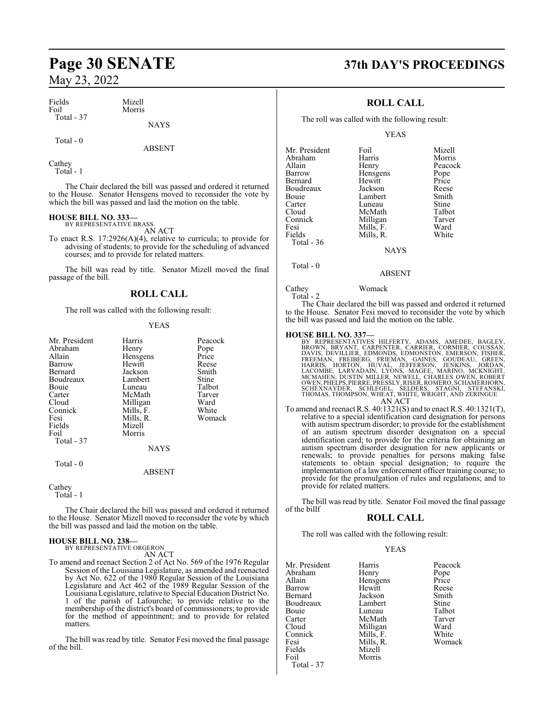| Fields     | Mizell      |
|------------|-------------|
| Foil       | Morris      |
| Total - 37 |             |
|            | <b>NAVS</b> |

Total - 0

ABSENT

Cathey Total - 1

The Chair declared the bill was passed and ordered it returned to the House. Senator Hensgens moved to reconsider the vote by which the bill was passed and laid the motion on the table.

# **HOUSE BILL NO. 333—** BY REPRESENTATIVE BRASS

AN ACT

To enact R.S. 17:2926(A)(4), relative to curricula; to provide for advising of students; to provide for the scheduling of advanced courses; and to provide for related matters.

The bill was read by title. Senator Mizell moved the final passage of the bill.

## **ROLL CALL**

The roll was called with the following result:

#### YEAS

| Mr. President | Harris      | Peacock |
|---------------|-------------|---------|
| Abraham       | Henry       | Pope    |
| Allain        | Hensgens    | Price   |
| Barrow        | Hewitt      | Reese   |
| Bernard       | Jackson     | Smith   |
| Boudreaux     | Lambert     | Stine   |
| Bouie         | Luneau      | Talbot  |
| Carter        | McMath      | Tarver  |
| Cloud         | Milligan    | Ward    |
| Connick       | Mills, F.   | White   |
| Fesi          | Mills, R.   | Womack  |
| Fields        | Mizell      |         |
| Foil          | Morris      |         |
| Total $-37$   |             |         |
|               | <b>NAYS</b> |         |
| Total - 0     |             |         |
|               | ABSENT      |         |

#### Cathey

Total - 1

The Chair declared the bill was passed and ordered it returned to the House. Senator Mizell moved to reconsider the vote by which the bill was passed and laid the motion on the table.

# **HOUSE BILL NO. 238—** BY REPRESENTATIVE ORGERON

AN ACT

To amend and reenact Section 2 of Act No. 569 of the 1976 Regular Session of the Louisiana Legislature, as amended and reenacted by Act No. 622 of the 1980 Regular Session of the Louisiana Legislature and Act 462 of the 1989 Regular Session of the LouisianaLegislature, relative to Special Education District No. 1 of the parish of Lafourche; to provide relative to the membership of the district's board of commissioners; to provide for the method of appointment; and to provide for related matters.

The bill was read by title. Senator Fesi moved the final passage of the bill.

# **Page 30 SENATE 37th DAY'S PROCEEDINGS**

## **ROLL CALL**

The roll was called with the following result:

#### YEAS

| Mr. President | Foil        | Mizell  |
|---------------|-------------|---------|
| Abraham       | Harris      | Morris  |
| Allain        | Henry       | Peacock |
| Barrow        | Hensgens    | Pope    |
| Bernard       | Hewitt      | Price   |
| Boudreaux     | Jackson     | Reese   |
| Bouie         | Lambert     | Smith   |
| Carter        | Luneau      | Stine   |
| Cloud         | McMath      | Talbot  |
| Connick       | Milligan    | Tarver  |
| Fesi          | Mills, F.   | Ward    |
| Fields        | Mills, R.   | White   |
| Total - 36    |             |         |
|               | <b>NAYS</b> |         |
| Total - 0     |             |         |

#### ABSENT

#### Cathey Womack

Total - 2

The Chair declared the bill was passed and ordered it returned to the House. Senator Fesi moved to reconsider the vote by which the bill was passed and laid the motion on the table.

- HOUSE BILL NO. 337—<br>
BY REPRESENTATIVES HILFERTY, ADAMS, AMEDEE, BAGLEY,<br>
BROWN, BRYANT, CARPENTER, CARRIER, CORMIER, COUSSAN,<br>
DAVIS, DEVILLIER, EDMONDS, EDMONSTON, JEMERSON, FISHER,<br>
FREEMAN, FREIBERG, FRIEMAN, GAINES, G AN ACT
- To amend and reenact R.S. 40:1321(S) and to enact R.S. 40:1321(T), relative to a special identification card designation for persons with autism spectrum disorder; to provide for the establishment of an autism spectrum disorder designation on a special identification card; to provide for the criteria for obtaining an autism spectrum disorder designation for new applicants or renewals; to provide penalties for persons making false statements to obtain special designation; to require the implementation of a law enforcement officer training course; to provide for the promulgation of rules and regulations; and to provide for related matters.

The bill was read by title. Senator Foil moved the final passage of the billf

#### **ROLL CALL**

The roll was called with the following result:

#### YEAS

| Mr. President | Harris    | Peacock |
|---------------|-----------|---------|
| Abraham       | Henry     | Pope    |
| Allain        | Hensgens  | Price   |
| Barrow        | Hewitt    | Reese   |
| Bernard       | Jackson   | Smith   |
| Boudreaux     | Lambert   | Stine   |
| Bouie         | Luneau    | Talbot  |
| Carter        | McMath    | Tarver  |
| Cloud         | Milligan  | Ward    |
| Connick       | Mills, F. | White   |
| Fesi          | Mills, R. | Womack  |
| Fields        | Mizell    |         |
| Foil          | Morris    |         |
| Total - 37    |           |         |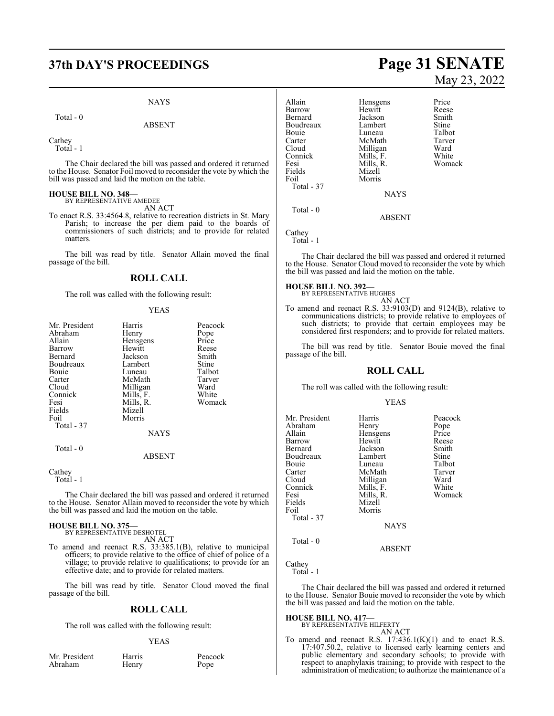# **37th DAY'S PROCEEDINGS Page 31 SENATE**

#### NAYS

ABSENT

Total - 0

Cathey

Total - 1

The Chair declared the bill was passed and ordered it returned to the House. Senator Foil moved to reconsider the vote by which the bill was passed and laid the motion on the table.

# **HOUSE BILL NO. 348—** BY REPRESENTATIVE AMEDEE

AN ACT

To enact R.S. 33:4564.8, relative to recreation districts in St. Mary Parish; to increase the per diem paid to the boards of commissioners of such districts; and to provide for related matters.

The bill was read by title. Senator Allain moved the final passage of the bill.

#### **ROLL CALL**

The roll was called with the following result:

#### YEAS

| Mr. President | Harris      | Peacock |
|---------------|-------------|---------|
| Abraham       | Henry       | Pope    |
| Allain        | Hensgens    | Price   |
| Barrow        | Hewitt      | Reese   |
| Bernard       | Jackson     | Smith   |
| Boudreaux     | Lambert     | Stine   |
| Bouie         | Luneau      | Talbot  |
| Carter        | McMath      | Tarver  |
| Cloud         | Milligan    | Ward    |
| Connick       | Mills, F.   | White   |
| Fesi          | Mills, R.   | Womack  |
| Fields        | Mizell      |         |
| Foil          | Morris      |         |
| Total - 37    |             |         |
|               | <b>NAYS</b> |         |
| Total - 0     |             |         |
|               | ARSENT      |         |

Cathey

Total - 1

The Chair declared the bill was passed and ordered it returned to the House. Senator Allain moved to reconsider the vote by which the bill was passed and laid the motion on the table.

#### **HOUSE BILL NO. 375—**

BY REPRESENTATIVE DESHOTEL AN ACT

To amend and reenact R.S. 33:385.1(B), relative to municipal officers; to provide relative to the office of chief of police of a village; to provide relative to qualifications; to provide for an effective date; and to provide for related matters.

The bill was read by title. Senator Cloud moved the final passage of the bill.

#### **ROLL CALL**

The roll was called with the following result:

Henry

#### YEAS

|         | Mr. President |  |
|---------|---------------|--|
| Abraham |               |  |

Harris Peacock<br>
Henry Pope

# May 23, 2022

Allain Hensgens Price Hewitt Reese<br>Jackson Smith Bernard Jackson Smith Boudreaux Lambert Stine<br>
Bouie Luneau Talbot Bouie Luneau Talbot<br>Carter McMath Tarver Carter McMath Tarve<br>Cloud Milligan Ward Cloud Milligan Ward<br>Connick Mills. F. White Connick Mills, F.<br>Fesi Mills, R. Mills, R. Womack<br>Mizell Fields<br>Foil Morris Total - 37 **NAYS**  Total - 0 ABSENT

Cathey Total - 1

The Chair declared the bill was passed and ordered it returned to the House. Senator Cloud moved to reconsider the vote by which the bill was passed and laid the motion on the table.

#### **HOUSE BILL NO. 392—**

BY REPRESENTATIVE HUGHES AN ACT

To amend and reenact R.S. 33:9103(D) and 9124(B), relative to communications districts; to provide relative to employees of such districts; to provide that certain employees may be considered first responders; and to provide for related matters.

The bill was read by title. Senator Bouie moved the final passage of the bill.

#### **ROLL CALL**

The roll was called with the following result:

#### YEAS

| Mr. President | Harris      | Peacock |
|---------------|-------------|---------|
| Abraham       | Henry       | Pope    |
| Allain        | Hensgens    | Price   |
| Barrow        | Hewitt      | Reese   |
| Bernard       | Jackson     | Smith   |
| Boudreaux     | Lambert     | Stine   |
| Bouie         | Luneau      | Talbot  |
| Carter        | McMath      | Tarver  |
| Cloud         | Milligan    | Ward    |
| Connick       | Mills, F.   | White   |
| Fesi          | Mills, R.   | Womack  |
| Fields        | Mizell      |         |
| Foil          | Morris      |         |
| Total - 37    |             |         |
|               | <b>NAYS</b> |         |
| Total - 0     |             |         |

ABSENT

#### Cathey

Total - 1

The Chair declared the bill was passed and ordered it returned to the House. Senator Bouie moved to reconsider the vote by which the bill was passed and laid the motion on the table.

#### **HOUSE BILL NO. 417—**

BY REPRESENTATIVE HILFERTY AN ACT

To amend and reenact R.S.  $17:436.1(K)(1)$  and to enact R.S. 17:407.50.2, relative to licensed early learning centers and public elementary and secondary schools; to provide with respect to anaphylaxis training; to provide with respect to the administration of medication; to authorize the maintenance of a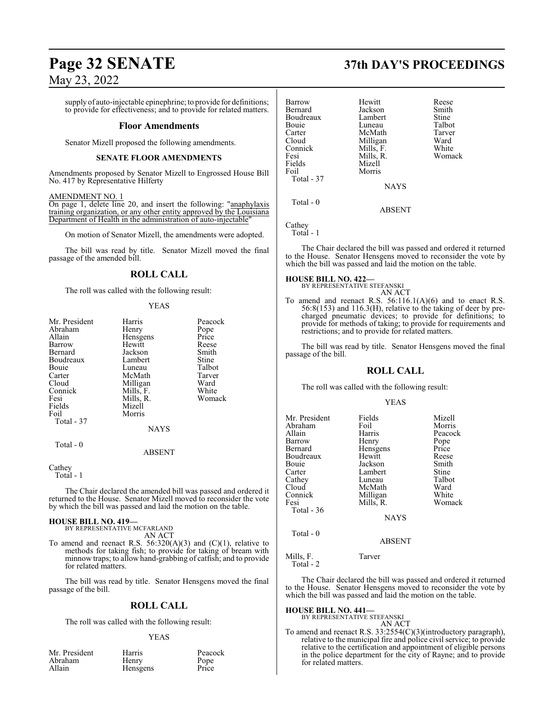# **Page 32 SENATE 37th DAY'S PROCEEDINGS**

May 23, 2022

supply of auto-injectable epinephrine; to provide for definitions; to provide for effectiveness; and to provide for related matters.

#### **Floor Amendments**

Senator Mizell proposed the following amendments.

#### **SENATE FLOOR AMENDMENTS**

Amendments proposed by Senator Mizell to Engrossed House Bill No. 417 by Representative Hilferty

#### AMENDMENT NO. 1

On page 1, delete line 20, and insert the following: "anaphylaxis training organization, or any other entity approved by the Louisiana Department of Health in the administration of auto-injectable"

On motion of Senator Mizell, the amendments were adopted.

The bill was read by title. Senator Mizell moved the final passage of the amended bill.

#### **ROLL CALL**

The roll was called with the following result:

#### YEAS

| Harris        | Peacock                            |
|---------------|------------------------------------|
| Henry         | Pope                               |
|               | Price                              |
| Hewitt        | Reese                              |
| Jackson       | Smith                              |
| Lambert       | Stine                              |
| Luneau        | Talbot                             |
| McMath        | Tarver                             |
| Milligan      | Ward                               |
|               | White                              |
|               | Womack                             |
| Mizell        |                                    |
| Morris        |                                    |
|               |                                    |
| <b>NAYS</b>   |                                    |
|               |                                    |
| <b>ABSENT</b> |                                    |
|               | Hensgens<br>Mills, F.<br>Mills, R. |

Cathey

Total - 1

The Chair declared the amended bill was passed and ordered it returned to the House. Senator Mizell moved to reconsider the vote by which the bill was passed and laid the motion on the table.

#### **HOUSE BILL NO. 419—**

BY REPRESENTATIVE MCFARLAND AN ACT

To amend and reenact R.S.  $56:320(A)(3)$  and  $(C)(1)$ , relative to methods for taking fish; to provide for taking of bream with minnow traps; to allow hand-grabbing of catfish; and to provide for related matters.

The bill was read by title. Senator Hensgens moved the final passage of the bill.

#### **ROLL CALL**

The roll was called with the following result:

#### YEAS

| Mr. President |  |
|---------------|--|
| Abraham       |  |
| Allain        |  |

Harris Peacock<br>
Henry Pope Henry Pope<br>
Hensgens Price Hensgens

| Barrow     | Hewitt      | Reese  |
|------------|-------------|--------|
| Bernard    | Jackson     | Smith  |
| Boudreaux  | Lambert     | Stine  |
| Bouie      | Luneau      | Talbot |
| Carter     | McMath      | Tarver |
| Cloud      | Milligan    | Ward   |
| Connick    | Mills, F.   | White  |
| Fesi       | Mills, R.   | Womack |
| Fields     | Mizell      |        |
| Foil       | Morris      |        |
| Total - 37 |             |        |
|            | <b>NAYS</b> |        |
| Total $-0$ |             |        |
|            | ABSENT      |        |

Cathey Total - 1

The Chair declared the bill was passed and ordered it returned to the House. Senator Hensgens moved to reconsider the vote by which the bill was passed and laid the motion on the table.

#### **HOUSE BILL NO. 422—**

BY REPRESENTATIVE STEFANSKI AN ACT

To amend and reenact R.S.  $56:116.1(A)(6)$  and to enact R.S. 56:8(153) and 116.3(H), relative to the taking of deer by precharged pneumatic devices; to provide for definitions; to provide for methods of taking; to provide for requirements and restrictions; and to provide for related matters.

The bill was read by title. Senator Hensgens moved the final passage of the bill.

## **ROLL CALL**

The roll was called with the following result:

#### YEAS

| Mr. President<br>Abraham<br>Allain<br>Barrow<br>Bernard<br>Boudreaux<br>Bouie<br>Carter<br>Cathey<br>Cloud<br>Connick<br>Fesi<br>Total - 36 | Fields<br>Foil<br>Harris<br>Henry<br>Hensgens<br>Hewitt<br>Jackson<br>Lambert<br>Luneau<br>McMath<br>Milligan<br>Mills, R.<br><b>NAYS</b> | Mizell<br>Morris<br>Peacock<br>Pope<br>Price<br>Reese<br>Smith<br>Stine<br>Talbot<br>Ward<br>White<br>Womack |
|---------------------------------------------------------------------------------------------------------------------------------------------|-------------------------------------------------------------------------------------------------------------------------------------------|--------------------------------------------------------------------------------------------------------------|
| Total $-0$                                                                                                                                  | ABSENT                                                                                                                                    |                                                                                                              |
|                                                                                                                                             |                                                                                                                                           |                                                                                                              |

Mills, F. Tarver Total - 2

The Chair declared the bill was passed and ordered it returned to the House. Senator Hensgens moved to reconsider the vote by which the bill was passed and laid the motion on the table.

#### **HOUSE BILL NO. 441—**

BY REPRESENTATIVE STEFANSKI AN ACT

To amend and reenact R.S. 33:2554(C)(3)(introductory paragraph), relative to the municipal fire and police civil service; to provide relative to the certification and appointment of eligible persons in the police department for the city of Rayne; and to provide for related matters.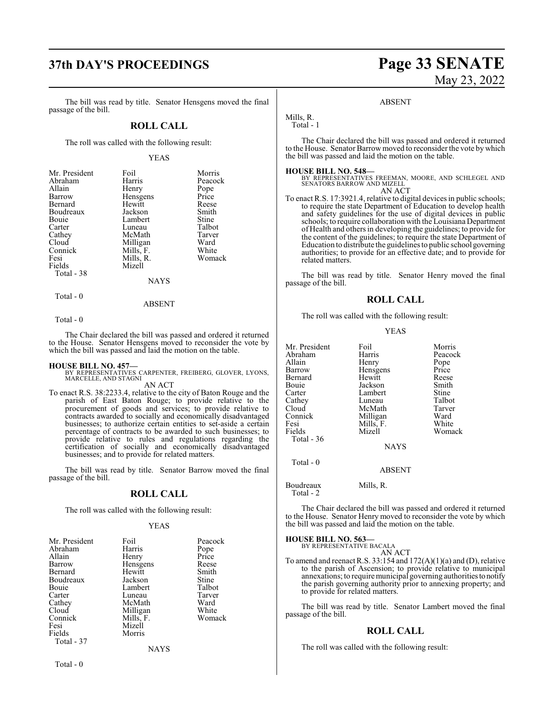# **37th DAY'S PROCEEDINGS Page 33 SENATE**

The bill was read by title. Senator Hensgens moved the final passage of the bill.

#### **ROLL CALL**

The roll was called with the following result:

#### YEAS

| Mr. President | Foil            | Morris  |
|---------------|-----------------|---------|
| Abraham       | Harris          | Peacock |
| Allain        | Henry           | Pope    |
| Barrow        | Hensgens        | Price   |
| Bernard       | Hewitt          | Reese   |
| Boudreaux     | Jackson         | Smith   |
| <b>Bouje</b>  | Lambert         | Stine   |
| Carter        | Luneau          | Talbot  |
| Cathey        | McMath          | Tarver  |
| Cloud         | Milligan        | Ward    |
| Connick       | Mills, F.       | White   |
| Fesi          | Mills, R.       | Womack  |
| Fields        | Mizell          |         |
| Total - 38    |                 |         |
|               | <b>NI A VZC</b> |         |

NAYS

#### ABSENT

Total - 0

Total - 0

The Chair declared the bill was passed and ordered it returned to the House. Senator Hensgens moved to reconsider the vote by which the bill was passed and laid the motion on the table.

**HOUSE BILL NO. 457—** BY REPRESENTATIVES CARPENTER, FREIBERG, GLOVER, LYONS, MARCELLE, AND STAGNI AN ACT

To enact R.S. 38:2233.4, relative to the city of Baton Rouge and the parish of East Baton Rouge; to provide relative to the procurement of goods and services; to provide relative to contracts awarded to socially and economically disadvantaged businesses; to authorize certain entities to set-aside a certain percentage of contracts to be awarded to such businesses; to provide relative to rules and regulations regarding the certification of socially and economically disadvantaged businesses; and to provide for related matters.

The bill was read by title. Senator Barrow moved the final passage of the bill.

#### **ROLL CALL**

The roll was called with the following result:

#### YEAS

| Mr. President | Foil      | Peacock |
|---------------|-----------|---------|
| Abraham       | Harris    | Pope    |
| Allain        | Henry     | Price   |
| Barrow        | Hensgens  | Reese   |
| Bernard       | Hewitt    | Smith   |
| Boudreaux     | Jackson   | Stine   |
| Bouie         | Lambert   | Talbot  |
| Carter        | Luneau    | Tarver  |
| Cathey        | McMath    | Ward    |
| Cloud         | Milligan  | White   |
| Connick       | Mills, F. | Womack  |
| Fesi          | Mizell    |         |
| Fields        | Morris    |         |
| Total - 37    |           |         |
|               | NAYS      |         |

# May 23, 2022

#### ABSENT

Mills, R. Total - 1

The Chair declared the bill was passed and ordered it returned to the House. Senator Barrow moved to reconsider the vote by which the bill was passed and laid the motion on the table.

#### **HOUSE BILL NO. 548—**

BY REPRESENTATIVES FREEMAN, MOORE, AND SCHLEGEL AND SENATORS BARROW AND MIZELL AN ACT

To enact R.S. 17:3921.4, relative to digital devices in public schools; to require the state Department of Education to develop health and safety guidelines for the use of digital devices in public schools; to require collaboration with the Louisiana Department of Health and others in developing the guidelines; to provide for the content of the guidelines; to require the state Department of Education to distribute the guidelines to public school governing authorities; to provide for an effective date; and to provide for related matters.

The bill was read by title. Senator Henry moved the final passage of the bill.

#### **ROLL CALL**

The roll was called with the following result:

#### YEAS

| Mr. President | Foil          | Morris  |
|---------------|---------------|---------|
| Abraham       | Harris        | Peacock |
| Allain        | Henry         | Pope    |
| Barrow        | Hensgens      | Price   |
| Bernard       | Hewitt        | Reese   |
| Bouie         | Jackson       | Smith   |
| Carter        | Lambert       | Stine   |
| Cathey        | Luneau        | Talbot  |
| Cloud         | McMath        | Tarver  |
| Connick       | Milligan      | Ward    |
| Fesi          | Mills, F.     | White   |
| Fields        | Mizell        | Womack  |
| Total $-36$   |               |         |
|               | <b>NAYS</b>   |         |
| Total $-0$    | <b>ABSENT</b> |         |

Boudreaux Mills, R. Total - 2

The Chair declared the bill was passed and ordered it returned to the House. Senator Henry moved to reconsider the vote by which the bill was passed and laid the motion on the table.

**HOUSE BILL NO. 563—** BY REPRESENTATIVE BACALA AN ACT

To amend and reenact R.S. 33:154 and 172(A)(1)(a) and (D), relative to the parish of Ascension; to provide relative to municipal annexations; to require municipal governing authoritiesto notify the parish governing authority prior to annexing property; and to provide for related matters.

The bill was read by title. Senator Lambert moved the final passage of the bill.

#### **ROLL CALL**

The roll was called with the following result: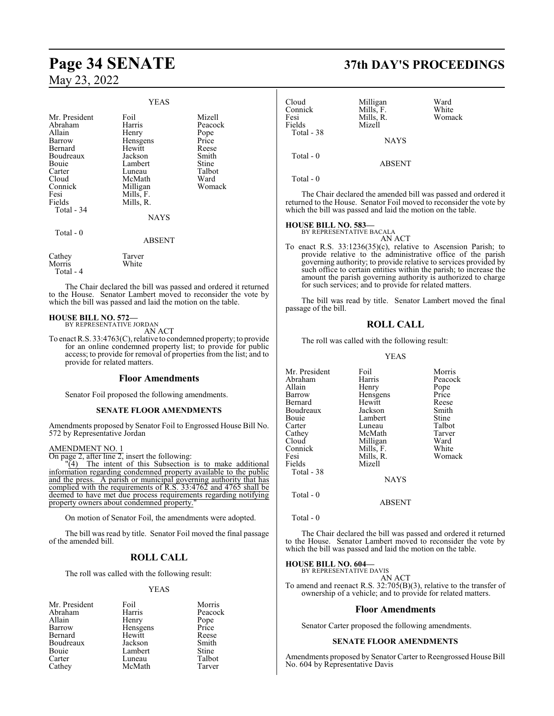|                                                                                                                                             | <b>YEAS</b>                                                                                                                           |                                                                                           |
|---------------------------------------------------------------------------------------------------------------------------------------------|---------------------------------------------------------------------------------------------------------------------------------------|-------------------------------------------------------------------------------------------|
| Mr. President<br>Abraham<br>Allain<br>Barrow<br>Bernard<br>Boudreaux<br>Bouie<br>Carter<br>Cloud<br>Connick<br>Fesi<br>Fields<br>Total - 34 | Foil<br>Harris<br>Henry<br>Hensgens<br>Hewitt<br>Jackson<br>Lambert<br>Luneau<br>McMath<br>Milligan<br>Mills, F.<br>Mills, R.<br>NAYS | Mizell<br>Peacock<br>Pope<br>Price<br>Reese<br>Smith<br>Stine<br>Talbot<br>Ward<br>Womack |
| Total - 0                                                                                                                                   | ABSENT                                                                                                                                |                                                                                           |
| Cathey<br>Morris<br>Total - 4                                                                                                               | Tarver<br>White                                                                                                                       |                                                                                           |

The Chair declared the bill was passed and ordered it returned to the House. Senator Lambert moved to reconsider the vote by which the bill was passed and laid the motion on the table.

#### **HOUSE BILL NO. 572—**

BY REPRESENTATIVE JORDAN AN ACT

To enact R.S. 33:4763(C), relative to condemned property; to provide for an online condemned property list; to provide for public access; to provide for removal of properties from the list; and to provide for related matters.

#### **Floor Amendments**

Senator Foil proposed the following amendments.

#### **SENATE FLOOR AMENDMENTS**

Amendments proposed by Senator Foil to Engrossed House Bill No. 572 by Representative Jordan

#### AMENDMENT NO. 1

 $\overline{\text{On page 2, after line 2, insert the following:}}$ <br>  $\frac{1}{2}$  The intent of this Subsection

The intent of this Subsection is to make additional information regarding condemned property available to the public and the press. A parish or municipal governing authority that has complied with the requirements of R.S. 33:4762 and 4765 shall be deemed to have met due process requirements regarding notifying property owners about condemned property."

On motion of Senator Foil, the amendments were adopted.

The bill was read by title. Senator Foil moved the final passage of the amended bill.

## **ROLL CALL**

The roll was called with the following result:

#### YEAS

| Mr. President | Foil     | Morris  |
|---------------|----------|---------|
| Abraham       | Harris   | Peacock |
| Allain        | Henry    | Pope    |
| Barrow        | Hensgens | Price   |
| Bernard       | Hewitt   | Reese   |
| Boudreaux     | Jackson  | Smith   |
| Bouie         | Lambert  | Stine   |
| Carter        | Luneau   | Talbot  |
| Cathey        | McMath   | Tarver  |

# **Page 34 SENATE 37th DAY'S PROCEEDINGS**

| Cloud<br>Connick<br>Fesi<br>Fields | Milligan<br>Mills, F.<br>Mills, R.<br>Mizell | Ward<br>White<br>Womack |
|------------------------------------|----------------------------------------------|-------------------------|
| Total - 38                         | <b>NAYS</b>                                  |                         |
| Total $-0$                         | <b>ABSENT</b>                                |                         |

Total - 0

The Chair declared the amended bill was passed and ordered it returned to the House. Senator Foil moved to reconsider the vote by which the bill was passed and laid the motion on the table.

# **HOUSE BILL NO. 583—** BY REPRESENTATIVE BACALA

AN ACT

To enact R.S. 33:1236(35)(c), relative to Ascension Parish; to provide relative to the administrative office of the parish governing authority; to provide relative to services provided by such office to certain entities within the parish; to increase the amount the parish governing authority is authorized to charge for such services; and to provide for related matters.

The bill was read by title. Senator Lambert moved the final passage of the bill.

#### **ROLL CALL**

The roll was called with the following result:

#### YEAS

| Mr. President | Foil        | Morris  |
|---------------|-------------|---------|
| Abraham       | Harris      | Peacock |
| Allain        | Henry       | Pope    |
| Barrow        | Hensgens    | Price   |
| Bernard       | Hewitt      | Reese   |
| Boudreaux     | Jackson     | Smith   |
| Bouie         | Lambert     | Stine   |
| Carter        | Luneau      | Talbot  |
| Cathey        | McMath      | Tarver  |
| Cloud         | Milligan    | Ward    |
| Connick       | Mills, F.   | White   |
| Fesi          | Mills, R.   | Womack  |
| Fields        | Mizell      |         |
| Total - 38    |             |         |
|               | <b>NAYS</b> |         |
| $Total - 0$   |             |         |

Total - 0

The Chair declared the bill was passed and ordered it returned to the House. Senator Lambert moved to reconsider the vote by which the bill was passed and laid the motion on the table.

ABSENT

# **HOUSE BILL NO. 604—** BY REPRESENTATIVE DAVIS

AN ACT

To amend and reenact R.S. 32:705(B)(3), relative to the transfer of ownership of a vehicle; and to provide for related matters.

#### **Floor Amendments**

Senator Carter proposed the following amendments.

#### **SENATE FLOOR AMENDMENTS**

Amendments proposed by Senator Carter to Reengrossed House Bill No. 604 by Representative Davis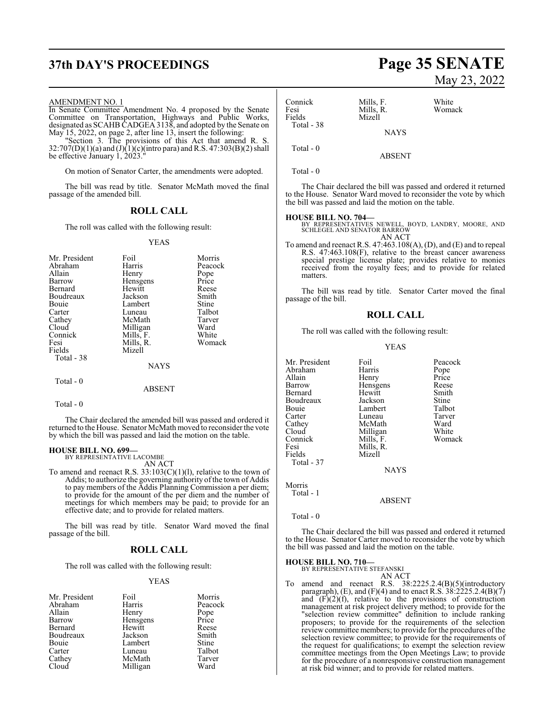# **37th DAY'S PROCEEDINGS Page 35 SENATE**

#### AMENDMENT NO. 1

In Senate Committee Amendment No. 4 proposed by the Senate Committee on Transportation, Highways and Public Works, designated as SCAHB CADGEA 3138, and adopted by the Senate on May 15, 2022, on page 2, after line 13, insert the following:

"Section 3. The provisions of this Act that amend R. S.  $32:707(D)(1)(a)$  and  $(J)(1)(c)($ intro para) and R.S. 47:303(B)(2) shall be effective January 1, 2023."

On motion of Senator Carter, the amendments were adopted.

The bill was read by title. Senator McMath moved the final passage of the amended bill.

### **ROLL CALL**

The roll was called with the following result:

#### YEAS

| Mr. President<br>Abraham<br>Allain<br>Barrow<br>Bernard<br>Boudreaux<br><b>Bouje</b><br>Carter<br>Cathey<br>Cloud<br>Connick<br>Fesi<br>Fields<br>Total - 38 | Foil<br>Harris<br>Henry<br>Hensgens<br>Hewitt<br>Jackson<br>Lambert<br>Luneau<br>McMath<br>Milligan<br>Mills, F.<br>Mills, R.<br>Mizell<br><b>NAYS</b> | Morris<br>Peacock<br>Pope<br>Price<br>Reese<br>Smith<br>Stine<br>Talbot<br>Tarver<br>Ward<br>White<br>Womack |
|--------------------------------------------------------------------------------------------------------------------------------------------------------------|--------------------------------------------------------------------------------------------------------------------------------------------------------|--------------------------------------------------------------------------------------------------------------|
| Total - 0                                                                                                                                                    |                                                                                                                                                        |                                                                                                              |
|                                                                                                                                                              |                                                                                                                                                        |                                                                                                              |

ABSENT

```
 Total - 0
```
The Chair declared the amended bill was passed and ordered it returned to the House. Senator McMath moved to reconsider the vote by which the bill was passed and laid the motion on the table.

#### **HOUSE BILL NO. 699—**

BY REPRESENTATIVE LACOMBE AN ACT

To amend and reenact R.S.  $33:103(C)(1)(1)$ , relative to the town of Addis; to authorize the governing authority of the town of Addis to pay members of the Addis Planning Commission a per diem; to provide for the amount of the per diem and the number of meetings for which members may be paid; to provide for an effective date; and to provide for related matters.

The bill was read by title. Senator Ward moved the final passage of the bill.

#### **ROLL CALL**

The roll was called with the following result:

#### YEAS

| Mr. President | Foil     | Morris  |
|---------------|----------|---------|
| Abraham       | Harris   | Peacock |
| Allain        | Henry    | Pope    |
| Barrow        | Hensgens | Price   |
| Bernard       | Hewitt   | Reese   |
| Boudreaux     | Jackson  | Smith   |
| Bouie         | Lambert  | Stine   |
| Carter        | Luneau   | Talbot  |
| Cathey        | McMath   | Tarver  |
| Cloud         | Milligan | Ward    |

# May 23, 2022

| Connick<br>Fesi<br>Fields<br>Total - 38 | Mills, F.<br>Mills, R.<br>Mizell | White<br>Womack                                                |
|-----------------------------------------|----------------------------------|----------------------------------------------------------------|
|                                         | <b>NAYS</b>                      |                                                                |
| Total $-0$                              | <b>ABSENT</b>                    |                                                                |
| Total - 0                               |                                  |                                                                |
|                                         |                                  | The Chair declared the bill was passed and ordered it returned |

#### **HOUSE BILL NO. 704—**

BY REPRESENTATIVES NEWELL, BOYD, LANDRY, MOORE, AND SCHLEGEL AND SENATOR BARROW AN ACT

to the House. Senator Ward moved to reconsider the vote by which

the bill was passed and laid the motion on the table.

To amend and reenact R.S. 47:463.108(A), (D), and (E) and to repeal R.S. 47:463.108(F), relative to the breast cancer awareness special prestige license plate; provides relative to monies received from the royalty fees; and to provide for related matters.

The bill was read by title. Senator Carter moved the final passage of the bill.

#### **ROLL CALL**

The roll was called with the following result:

#### YEAS

| Mr. President | Foil        | Peacock |
|---------------|-------------|---------|
| Abraham       | Harris      | Pope    |
| Allain        | Henry       | Price   |
| Barrow        | Hensgens    | Reese   |
| Bernard       | Hewitt      | Smith   |
| Boudreaux     | Jackson     | Stine   |
| Bouie         | Lambert     | Talbot  |
| Carter        | Luneau      | Tarver  |
| Cathey        | McMath      | Ward    |
| Cloud         | Milligan    | White   |
| Connick       | Mills, F.   | Womack  |
| Fesi          | Mills, R.   |         |
| Fields        | Mizell      |         |
| Total - 37    |             |         |
|               | <b>NAYS</b> |         |
| $M_{\odot}$   |             |         |

Morris Total - 1

ABSENT

Total - 0

The Chair declared the bill was passed and ordered it returned to the House. Senator Carter moved to reconsider the vote by which the bill was passed and laid the motion on the table.

#### **HOUSE BILL NO. 710—**

BY REPRESENTATIVE STEFANSKI AN ACT

To amend and reenact R.S. 38:2225.2.4(B)(5)(introductory paragraph), (E), and (F)(4) and to enact R.S.  $38:2225.2.4(B)(7)$ and  $(F)(2)(f)$ , relative to the provisions of construction management at risk project delivery method; to provide for the "selection review committee" definition to include ranking proposers; to provide for the requirements of the selection review committee members; to provide for the procedures of the selection review committee; to provide for the requirements of the request for qualifications; to exempt the selection review committee meetings from the Open Meetings Law; to provide for the procedure of a nonresponsive construction management at risk bid winner; and to provide for related matters.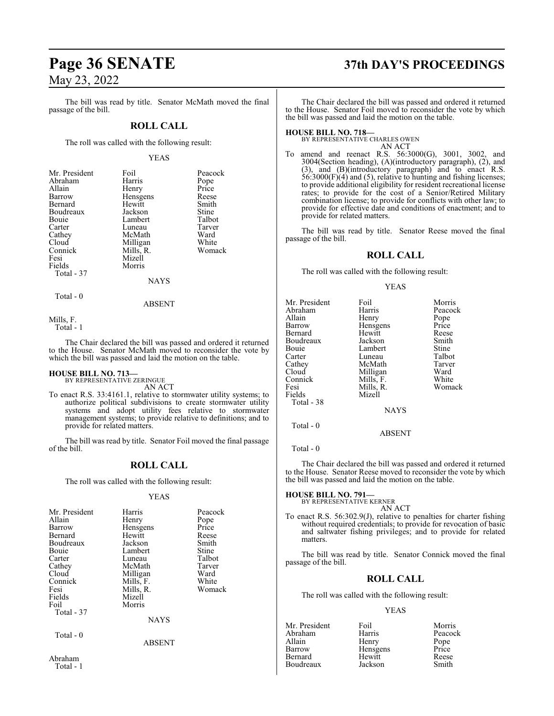The bill was read by title. Senator McMath moved the final passage of the bill.

#### **ROLL CALL**

The roll was called with the following result:

#### YEAS

| Mr. President | Foil      | Peacock       |
|---------------|-----------|---------------|
| Abraham       | Harris    |               |
| Allain        | Henry     | Pope<br>Price |
| Barrow        | Hensgens  | Reese         |
| Bernard       | Hewitt    | Smith         |
| Boudreaux     | Jackson   | Stine         |
| Bouie         | Lambert   | Talbot        |
| Carter        | Luneau    | Tarver        |
| Cathey        | McMath    | Ward          |
| Cloud         | Milligan  | White         |
| Connick       | Mills, R. | Womack        |
| Fesi          | Mizell    |               |
| Fields        | Morris    |               |
| Total - 37    |           |               |
|               | NAVC      |               |

NAYS

Total - 0

ABSENT

Mills, F.

Total - 1

The Chair declared the bill was passed and ordered it returned to the House. Senator McMath moved to reconsider the vote by which the bill was passed and laid the motion on the table.

# **HOUSE BILL NO. 713—** BY REPRESENTATIVE ZERINGUE

AN ACT

To enact R.S. 33:4161.1, relative to stormwater utility systems; to authorize political subdivisions to create stormwater utility systems and adopt utility fees relative to stormwater management systems; to provide relative to definitions; and to provide for related matters.

The bill was read by title. Senator Foil moved the final passage of the bill.

#### **ROLL CALL**

The roll was called with the following result:

#### YEAS

| Mr. President<br>Allain<br>Barrow<br>Bernard<br>Boudreaux<br>Bouie<br>Carter<br>Cathey<br>Cloud<br>Connick<br>Fesi<br>Fields<br>Foil<br>Total - 37 | Harris<br>Henry<br>Hensgens<br>Hewitt<br>Jackson<br>Lambert<br>Luneau<br>McMath<br>Milligan<br>Mills, F.<br>Mills, R.<br>Mizell<br>Morris | Peacock<br>Pope<br>Price<br>Reese<br>Smith<br>Stine<br>Talbot<br>Tarver<br>Ward<br>White<br>Womack |
|----------------------------------------------------------------------------------------------------------------------------------------------------|-------------------------------------------------------------------------------------------------------------------------------------------|----------------------------------------------------------------------------------------------------|
|                                                                                                                                                    | <b>NAYS</b>                                                                                                                               |                                                                                                    |
| Total - 0<br>Abraham                                                                                                                               | <b>ABSENT</b>                                                                                                                             |                                                                                                    |

Total - 1

# **Page 36 SENATE 37th DAY'S PROCEEDINGS**

The Chair declared the bill was passed and ordered it returned to the House. Senator Foil moved to reconsider the vote by which the bill was passed and laid the motion on the table.

### **HOUSE BILL NO. 718—**

BY REPRESENTATIVE CHARLES OWEN AN ACT

To amend and reenact R.S. 56:3000(G), 3001, 3002, and 3004(Section heading), (A)(introductory paragraph), (2), and (3), and (B)(introductory paragraph) and to enact R.S. 56:3000(F)(4) and (5), relative to hunting and fishing licenses; to provide additional eligibility for resident recreational license rates; to provide for the cost of a Senior/Retired Military combination license; to provide for conflicts with other law; to provide for effective date and conditions of enactment; and to provide for related matters.

The bill was read by title. Senator Reese moved the final passage of the bill.

#### **ROLL CALL**

The roll was called with the following result:

#### YEAS

| Mr. President<br>Abraham<br>Allain<br>Barrow<br>Bernard<br>Boudreaux<br>Bouie | Foil<br>Harris<br>Henry<br>Hensgens<br>Hewitt<br>Jackson<br>Lambert | Morris<br>Peacock<br>Pope<br>Price<br>Reese<br>Smith<br>Stine |
|-------------------------------------------------------------------------------|---------------------------------------------------------------------|---------------------------------------------------------------|
| Carter<br>Cathey<br>Cloud<br>Connick<br>Fesi<br>Fields<br>Total - 38          | Luneau<br>McMath<br>Milligan<br>Mills, F.<br>Mills, R.<br>Mizell    | Talbot<br>Tarver<br>Ward<br>White<br>Womack                   |
| Total $-0$                                                                    | <b>NAYS</b><br>ABSENT                                               |                                                               |

Total - 0

The Chair declared the bill was passed and ordered it returned to the House. Senator Reese moved to reconsider the vote by which the bill was passed and laid the motion on the table.

**HOUSE BILL NO. 791—** BY REPRESENTATIVE KERNER

AN ACT

To enact R.S. 56:302.9(J), relative to penalties for charter fishing without required credentials; to provide for revocation of basic and saltwater fishing privileges; and to provide for related matters.

The bill was read by title. Senator Connick moved the final passage of the bill.

#### **ROLL CALL**

The roll was called with the following result:

YEAS

Mr. President Foil Morris<br>Abraham Harris Peacoc Abraham Harris Peacock<br>Allain Henry Pope Allain **Henry** Pope<br>
Barrow Hensgens Price Bernard Hewitt Reese Boudreaux

Hensgens Price<br>Hewitt Reese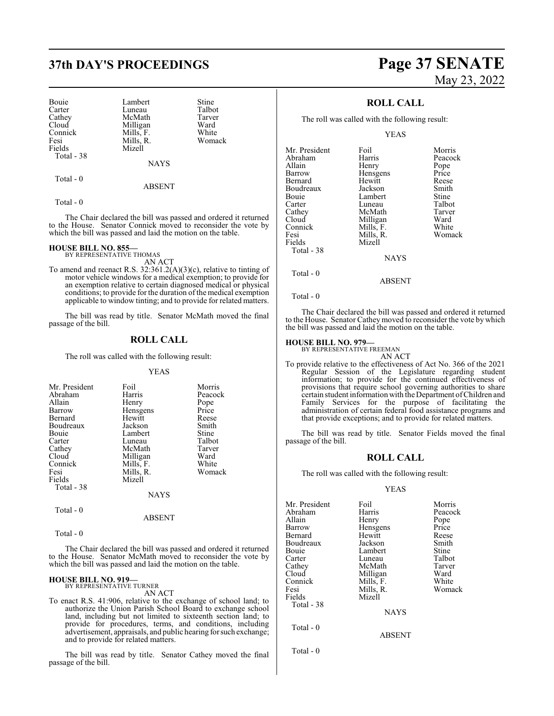Bouie Lambert Stine<br>
Carter Luneau Talbot Carter Luneau Talbot<br>Cathev McMath Tarver Cathey McMath Tarve<br>Cloud Milligan Ward Cloud Milligan Ward<br>
Connick Mills, F. White Connick Mills, F. White<br>
Fesi Mills, R. Womack Fesi Mills, R.<br>Fields Mizell Total - 38

Mizell

**NAYS** 

ABSENT

Total - 0

Total - 0

The Chair declared the bill was passed and ordered it returned to the House. Senator Connick moved to reconsider the vote by which the bill was passed and laid the motion on the table.

#### **HOUSE BILL NO. 855—**

BY REPRESENTATIVE THOMAS AN ACT

To amend and reenact R.S. 32:361.2(A)(3)(c), relative to tinting of motor vehicle windows for a medical exemption; to provide for an exemption relative to certain diagnosed medical or physical conditions; to provide for the duration of the medical exemption applicable to window tinting; and to provide for related matters.

The bill was read by title. Senator McMath moved the final passage of the bill.

#### **ROLL CALL**

The roll was called with the following result:

#### YEAS

| Mr. President<br>Abraham<br>Allain<br>Barrow<br>Bernard<br>Boudreaux<br><b>Bouje</b><br>Carter<br>Cathey<br>Cloud<br>Connick | Foil<br>Harris<br>Henry<br>Hensgens<br>Hewitt<br>Jackson<br>Lambert<br>Luneau<br>McMath<br>Milligan<br>Mills, F. | Morris<br>Peacock<br>Pope<br>Price<br>Reese<br>Smith<br>Stine<br>Talbot<br>Tarver<br>Ward<br>White |
|------------------------------------------------------------------------------------------------------------------------------|------------------------------------------------------------------------------------------------------------------|----------------------------------------------------------------------------------------------------|
| Fesi                                                                                                                         | Mills, R.                                                                                                        | Womack                                                                                             |
| Fields<br>Total - 38                                                                                                         | Mizell<br><b>NAYS</b>                                                                                            |                                                                                                    |

ABSENT

Total - 0

Total - 0

The Chair declared the bill was passed and ordered it returned to the House. Senator McMath moved to reconsider the vote by which the bill was passed and laid the motion on the table.

#### **HOUSE BILL NO. 919—**

BY REPRESENTATIVE TURNER AN ACT

To enact R.S. 41:906, relative to the exchange of school land; to authorize the Union Parish School Board to exchange school land, including but not limited to sixteenth section land; to provide for procedures, terms, and conditions, including advertisement, appraisals, and public hearing forsuch exchange; and to provide for related matters.

The bill was read by title. Senator Cathey moved the final passage of the bill.

# **37th DAY'S PROCEEDINGS Page 37 SENATE** May 23, 2022

### **ROLL CALL**

The roll was called with the following result:

YEAS

| Mr. President | Foil        | Morris  |
|---------------|-------------|---------|
| Abraham       | Harris      | Peacock |
| Allain        | Henry       | Pope    |
| Barrow        | Hensgens    | Price   |
| Bernard       | Hewitt      | Reese   |
| Boudreaux     | Jackson     | Smith   |
| Bouie         | Lambert     | Stine   |
| Carter        | Luneau      | Talbot  |
| Cathey        | McMath      | Tarver  |
| Cloud         | Milligan    | Ward    |
| Connick       | Mills, F.   | White   |
| Fesi          | Mills, R.   | Womack  |
| Fields        | Mizell      |         |
| Total - 38    |             |         |
|               | <b>NAYS</b> |         |
| Total - 0     |             |         |

Total - 0

The Chair declared the bill was passed and ordered it returned to the House. Senator Cathey moved to reconsider the vote by which the bill was passed and laid the motion on the table.

ABSENT

#### **HOUSE BILL NO. 979—**

BY REPRESENTATIVE FREEMAN AN ACT

To provide relative to the effectiveness of Act No. 366 of the 2021 Regular Session of the Legislature regarding student information; to provide for the continued effectiveness of provisions that require school governing authorities to share certain student information with the Department ofChildren and Family Services for the purpose of facilitating the administration of certain federal food assistance programs and that provide exceptions; and to provide for related matters.

The bill was read by title. Senator Fields moved the final passage of the bill.

#### **ROLL CALL**

The roll was called with the following result:

#### YEAS

| Mr. President | Foil          | Morris  |
|---------------|---------------|---------|
| Abraham       | Harris        | Peacock |
| Allain        | Henry         | Pope    |
| Barrow        | Hensgens      | Price   |
| Bernard       | Hewitt        | Reese   |
| Boudreaux     | Jackson       | Smith   |
| Bouie         | Lambert       | Stine   |
| Carter        | Luneau        | Talbot  |
| Cathey        | McMath        | Tarver  |
| Cloud         | Milligan      | Ward    |
| Connick       | Mills, F.     | White   |
| Fesi          | Mills, R.     | Womack  |
| Fields        | Mizell        |         |
| Total - 38    |               |         |
|               | <b>NAYS</b>   |         |
| Total $-0$    |               |         |
|               | <b>ABSENT</b> |         |
| Total - 0     |               |         |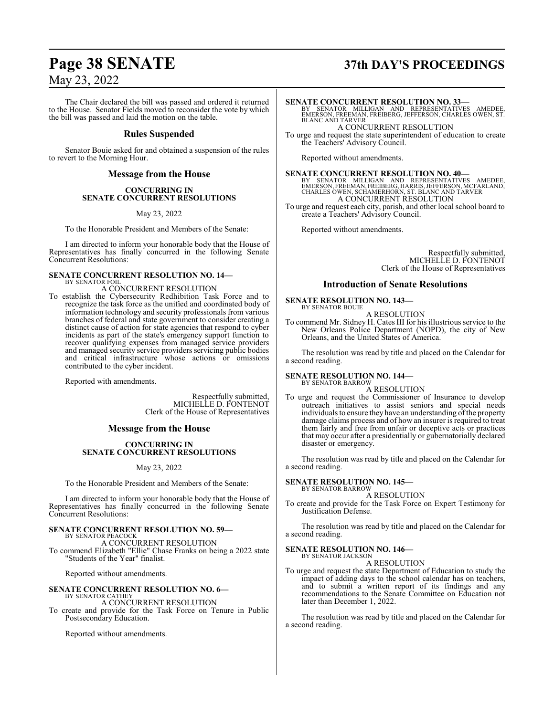The Chair declared the bill was passed and ordered it returned to the House. Senator Fields moved to reconsider the vote by which the bill was passed and laid the motion on the table.

#### **Rules Suspended**

Senator Bouie asked for and obtained a suspension of the rules to revert to the Morning Hour.

#### **Message from the House**

#### **CONCURRING IN SENATE CONCURRENT RESOLUTIONS**

May 23, 2022

To the Honorable President and Members of the Senate:

I am directed to inform your honorable body that the House of Representatives has finally concurred in the following Senate Concurrent Resolutions:

#### **SENATE CONCURRENT RESOLUTION NO. 14—** BY SENATOR FOIL

A CONCURRENT RESOLUTION

To establish the Cybersecurity Redhibition Task Force and to recognize the task force as the unified and coordinated body of information technology and security professionals from various branches of federal and state government to consider creating a distinct cause of action for state agencies that respond to cyber incidents as part of the state's emergency support function to recover qualifying expenses from managed service providers and managed security service providers servicing public bodies and critical infrastructure whose actions or omissions contributed to the cyber incident.

Reported with amendments.

Respectfully submitted, MICHELLE D. FONTENOT Clerk of the House of Representatives

#### **Message from the House**

#### **CONCURRING IN SENATE CONCURRENT RESOLUTIONS**

#### May 23, 2022

To the Honorable President and Members of the Senate:

I am directed to inform your honorable body that the House of Representatives has finally concurred in the following Senate Concurrent Resolutions:

#### **SENATE CONCURRENT RESOLUTION NO. 59—** BY SENATOR PEACOCK

A CONCURRENT RESOLUTION To commend Elizabeth "Ellie" Chase Franks on being a 2022 state "Students of the Year" finalist.

Reported without amendments.

#### **SENATE CONCURRENT RESOLUTION NO. 6—** BY SENATOR CATHEY

A CONCURRENT RESOLUTION

To create and provide for the Task Force on Tenure in Public Postsecondary Education.

Reported without amendments.

# **Page 38 SENATE 37th DAY'S PROCEEDINGS**

#### **SENATE CONCURRENT RESOLUTION NO. 33—**

BY SENATOR MILLIGAN AND REPRESENTATIVES AMEDEE, EMERSON, FREEMAN, FREIBERG, JEFFERSON, CHARLES OWEN, ST. BLANC AND TARVER A CONCURRENT RESOLUTION

To urge and request the state superintendent of education to create

the Teachers' Advisory Council.

Reported without amendments.

**SENATE CONCURRENT RESOLUTION NO. 40—**<br>
BY SENATOR MILLIGAN AND REPRESENTATIVES AMEDEE,<br>
EMERSON, FREEMAN, FREIBERG, HARRIS, JEFFERSON, MCFARLAND,<br>
CHARLES OWEN, SCHAMERHORN, ST. BLANC AND TARVER<br>
A CONCURRENT RESOLUTION

To urge and request each city, parish, and other local school board to create a Teachers' Advisory Council.

Reported without amendments.

Respectfully submitted, MICHELLE D. FONTENOT Clerk of the House of Representatives

#### **Introduction of Senate Resolutions**

#### **SENATE RESOLUTION NO. 143—**

BY SENATOR BOUIE A RESOLUTION

To commend Mr. Sidney H. Cates III for his illustrious service to the New Orleans Police Department (NOPD), the city of New Orleans, and the United States of America.

The resolution was read by title and placed on the Calendar for a second reading.

#### **SENATE RESOLUTION NO. 144—** BY SENATOR BARROW

#### A RESOLUTION

To urge and request the Commissioner of Insurance to develop outreach initiatives to assist seniors and special needs individuals to ensure they have an understanding of the property damage claims process and of how an insurer is required to treat them fairly and free from unfair or deceptive acts or practices that may occur after a presidentially or gubernatorially declared disaster or emergency.

The resolution was read by title and placed on the Calendar for a second reading.

#### **SENATE RESOLUTION NO. 145—** BY SENATOR BARROW

A RESOLUTION

To create and provide for the Task Force on Expert Testimony for Justification Defense.

The resolution was read by title and placed on the Calendar for a second reading.

#### **SENATE RESOLUTION NO. 146—**

BY SENATOR JACKSON A RESOLUTION

To urge and request the state Department of Education to study the impact of adding days to the school calendar has on teachers, and to submit a written report of its findings and any recommendations to the Senate Committee on Education not later than December 1, 2022.

The resolution was read by title and placed on the Calendar for a second reading.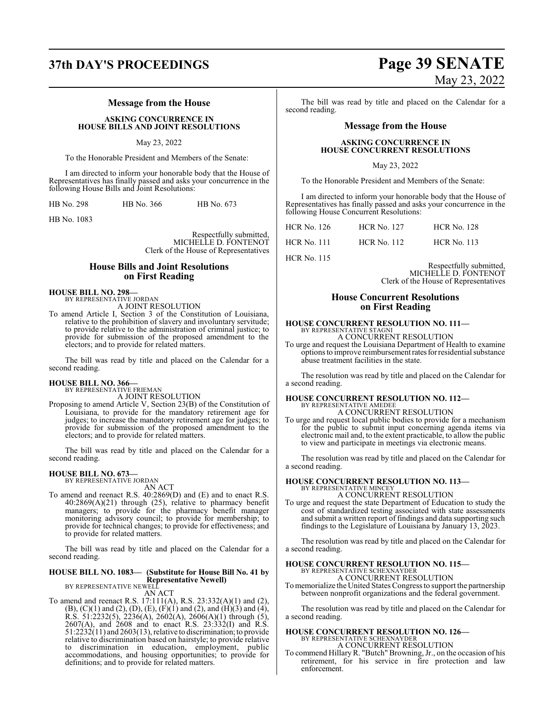#### **Message from the House**

**ASKING CONCURRENCE IN HOUSE BILLS AND JOINT RESOLUTIONS**

#### May 23, 2022

To the Honorable President and Members of the Senate:

I am directed to inform your honorable body that the House of Representatives has finally passed and asks your concurrence in the following House Bills and Joint Resolutions:

| HB No. 298 | HB No. 366 | HB No. 673 |
|------------|------------|------------|
|            |            |            |

HB No. 1083

Respectfully submitted, MICHELLE D. FONTENOT Clerk of the House of Representatives

#### **House Bills and Joint Resolutions on First Reading**

**HOUSE BILL NO. 298—** BY REPRESENTATIVE JORDAN

A JOINT RESOLUTION

To amend Article I, Section 3 of the Constitution of Louisiana, relative to the prohibition of slavery and involuntary servitude; to provide relative to the administration of criminal justice; to provide for submission of the proposed amendment to the electors; and to provide for related matters.

The bill was read by title and placed on the Calendar for a second reading.

# **HOUSE BILL NO. 366—** BY REPRESENTATIVE FRIEMAN

A JOINT RESOLUTION

Proposing to amend Article V, Section 23(B) of the Constitution of Louisiana, to provide for the mandatory retirement age for judges; to increase the mandatory retirement age for judges; to provide for submission of the proposed amendment to the electors; and to provide for related matters.

The bill was read by title and placed on the Calendar for a second reading.

#### **HOUSE BILL NO. 673—**

BY REPRESENTATIVE JORDAN AN ACT

To amend and reenact R.S. 40:2869(D) and (E) and to enact R.S. 40:2869(A)(21) through (25), relative to pharmacy benefit managers; to provide for the pharmacy benefit manager monitoring advisory council; to provide for membership; to provide for technical changes; to provide for effectiveness; and to provide for related matters.

The bill was read by title and placed on the Calendar for a second reading.

## **HOUSE BILL NO. 1083— (Substitute for House Bill No. 41 by Representative Newell)** BY REPRESENTATIVE NEWELL

AN ACT

To amend and reenact R.S. 17:111(A), R.S. 23:332(A)(1) and (2),  $(B)$ ,  $(C)(1)$  and  $(2)$ ,  $(D)$ ,  $(E)$ ,  $(F)(1)$  and  $(2)$ , and  $(H)(3)$  and  $(4)$ , R.S. 51:2232(5), 2236(A), 2602(A), 2606(A)(1) through (5), 2607(A), and 2608 and to enact R.S. 23:332(I) and R.S.  $51:2232(11)$  and  $2603(13)$ , relative to discrimination; to provide relative to discrimination based on hairstyle; to provide relative to discrimination in education, employment, public accommodations, and housing opportunities; to provide for definitions; and to provide for related matters.

# **37th DAY'S PROCEEDINGS Page 39 SENATE** May 23, 2022

The bill was read by title and placed on the Calendar for a second reading.

#### **Message from the House**

#### **ASKING CONCURRENCE IN HOUSE CONCURRENT RESOLUTIONS**

May 23, 2022

To the Honorable President and Members of the Senate:

I am directed to inform your honorable body that the House of Representatives has finally passed and asks your concurrence in the following House Concurrent Resolutions:

| HCR No. 126 | <b>HCR No. 127</b> | <b>HCR No. 128</b> |
|-------------|--------------------|--------------------|
| HCR No. 111 | <b>HCR No. 112</b> | <b>HCR No. 113</b> |

HCR No. 115

Respectfully submitted, MICHELLE D. FONTENOT Clerk of the House of Representatives

#### **House Concurrent Resolutions on First Reading**

#### **HOUSE CONCURRENT RESOLUTION NO. 111—** BY REPRESENTATIVE STAGNI

A CONCURRENT RESOLUTION To urge and request the Louisiana Department of Health to examine options to improve reimbursement rates for residential substance abuse treatment facilities in the state.

The resolution was read by title and placed on the Calendar for a second reading.

## **HOUSE CONCURRENT RESOLUTION NO. 112—** BY REPRESENTATIVE AMEDEE A CONCURRENT RESOLUTION

To urge and request local public bodies to provide for a mechanism for the public to submit input concerning agenda items via electronic mail and, to the extent practicable, to allow the public to view and participate in meetings via electronic means.

The resolution was read by title and placed on the Calendar for a second reading.

## **HOUSE CONCURRENT RESOLUTION NO. 113—** BY REPRESENTATIVE MINCEY A CONCURRENT RESOLUTION

To urge and request the state Department of Education to study the cost of standardized testing associated with state assessments and submit a written report of findings and data supporting such findings to the Legislature of Louisiana by January 13, 2023.

The resolution was read by title and placed on the Calendar for a second reading.

# **HOUSE CONCURRENT RESOLUTION NO. 115—** BY REPRESENTATIVE SCHEXNAYDER

A CONCURRENT RESOLUTION

To memorialize the United States Congress to support the partnership between nonprofit organizations and the federal government.

The resolution was read by title and placed on the Calendar for a second reading.

## **HOUSE CONCURRENT RESOLUTION NO. 126—** BY REPRESENTATIVE SCHEXNAYDER A CONCURRENT RESOLUTION

To commend HillaryR. "Butch"Browning, Jr., on the occasion of his retirement, for his service in fire protection and law enforcement.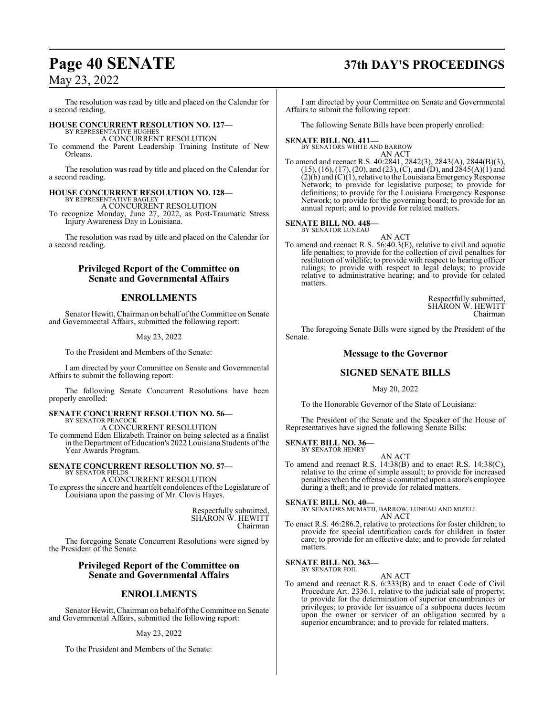The resolution was read by title and placed on the Calendar for a second reading.

# **HOUSE CONCURRENT RESOLUTION NO. 127—** BY REPRESENTATIVE HUGHES

A CONCURRENT RESOLUTION

To commend the Parent Leadership Training Institute of New Orleans.

The resolution was read by title and placed on the Calendar for a second reading.

#### **HOUSE CONCURRENT RESOLUTION NO. 128—** BY REPRESENTATIVE BAGLEY

A CONCURRENT RESOLUTION

To recognize Monday, June 27, 2022, as Post-Traumatic Stress Injury Awareness Day in Louisiana.

The resolution was read by title and placed on the Calendar for a second reading.

## **Privileged Report of the Committee on Senate and Governmental Affairs**

## **ENROLLMENTS**

Senator Hewitt, Chairman on behalf ofthe Committee on Senate and Governmental Affairs, submitted the following report:

#### May 23, 2022

To the President and Members of the Senate:

I am directed by your Committee on Senate and Governmental Affairs to submit the following report:

The following Senate Concurrent Resolutions have been properly enrolled:

#### **SENATE CONCURRENT RESOLUTION NO. 56—** BY SENATOR PEACOCK

A CONCURRENT RESOLUTION

To commend Eden Elizabeth Trainor on being selected as a finalist in the Department of Education's 2022 Louisiana Students of the Year Awards Program.

#### **SENATE CONCURRENT RESOLUTION NO. 57—** BY SENATOR FIELDS

A CONCURRENT RESOLUTION To express the sincere and heartfelt condolences ofthe Legislature of Louisiana upon the passing of Mr. Clovis Hayes.

> Respectfully submitted, SHARON W. HEWITT Chairman

The foregoing Senate Concurrent Resolutions were signed by the President of the Senate.

#### **Privileged Report of the Committee on Senate and Governmental Affairs**

## **ENROLLMENTS**

Senator Hewitt, Chairman on behalf of the Committee on Senate and Governmental Affairs, submitted the following report:

#### May 23, 2022

To the President and Members of the Senate:

# **Page 40 SENATE 37th DAY'S PROCEEDINGS**

I am directed by your Committee on Senate and Governmental Affairs to submit the following report:

The following Senate Bills have been properly enrolled:

#### **SENATE BILL NO. 411—** BY SENATORS WHITE AND BARROW

AN ACT

To amend and reenact R.S. 40:2841, 2842(3), 2843(A), 2844(B)(3), (15), (16), (17), (20), and (23), (C), and (D), and 2845(A)(1) and  $(2)(b)$  and  $(C)(1)$ , relative to the Louisiana Emergency Response Network; to provide for legislative purpose; to provide for definitions; to provide for the Louisiana Emergency Response Network; to provide for the governing board; to provide for an annual report; and to provide for related matters.

#### **SENATE BILL NO. 448—**

matters.

BY SENATOR LUNEAU

AN ACT To amend and reenact R.S. 56:40.3(E), relative to civil and aquatic life penalties; to provide for the collection of civil penalties for restitution of wildlife; to provide with respect to hearing officer rulings; to provide with respect to legal delays; to provide relative to administrative hearing; and to provide for related

> Respectfully submitted, SHARON W. HEWITT Chairman

The foregoing Senate Bills were signed by the President of the Senate.

#### **Message to the Governor**

## **SIGNED SENATE BILLS**

May 20, 2022

To the Honorable Governor of the State of Louisiana:

The President of the Senate and the Speaker of the House of Representatives have signed the following Senate Bills:

#### **SENATE BILL NO. 36—** BY SENATOR HENRY

AN ACT

To amend and reenact R.S. 14:38(B) and to enact R.S. 14:38(C), relative to the crime of simple assault; to provide for increased penalties when the offense is committed upon a store's employee during a theft; and to provide for related matters.

#### **SENATE BILL NO. 40—**

BY SENATORS MCMATH, BARROW, LUNEAU AND MIZELL AN ACT

To enact R.S. 46:286.2, relative to protections for foster children; to provide for special identification cards for children in foster care; to provide for an effective date; and to provide for related matters.

#### **SENATE BILL NO. 363—** BY SENATOR FOIL

AN ACT

To amend and reenact R.S. 6:333(B) and to enact Code of Civil Procedure Art. 2336.1, relative to the judicial sale of property; to provide for the determination of superior encumbrances or privileges; to provide for issuance of a subpoena duces tecum upon the owner or servicer of an obligation secured by a superior encumbrance; and to provide for related matters.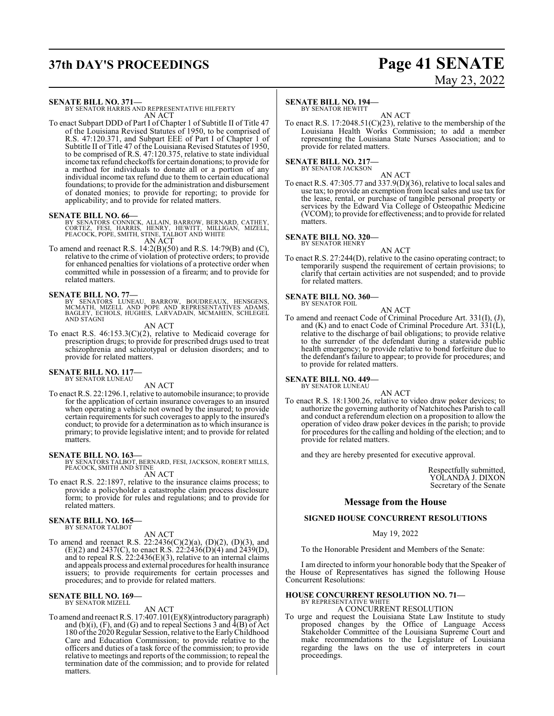# **37th DAY'S PROCEEDINGS Page 41 SENATE**

# May 23, 2022

#### **SENATE BILL NO. 371—**

BY SENATOR HARRIS AND REPRESENTATIVE HILFERTY AN ACT

To enact Subpart DDD of Part I of Chapter 1 of Subtitle II of Title 47 of the Louisiana Revised Statutes of 1950, to be comprised of R.S. 47:120.371, and Subpart EEE of Part I of Chapter 1 of Subtitle II of Title 47 of the Louisiana Revised Statutes of 1950, to be comprised of R.S. 47:120.375, relative to state individual income tax refund checkoffs for certain donations; to provide for a method for individuals to donate all or a portion of any individual income tax refund due to them to certain educational foundations; to provide for the administration and disbursement of donated monies; to provide for reporting; to provide for applicability; and to provide for related matters.

**SENATE BILL NO. 66—**<br>BY SENATORS CONNICK, ALLAIN, BARROW, BERNARD, CATHEY,<br>CORTEZ, FESI, HARRIS, HENRY, HEWITT, MILLIGAN, MIZELL,<br>PEACOCK, POPE, SMITH, STINE, TALBOT AND WHITE AN ACT

To amend and reenact R.S. 14:2(B)(50) and R.S. 14:79(B) and (C), relative to the crime of violation of protective orders; to provide for enhanced penalties for violations of a protective order when committed while in possession of a firearm; and to provide for related matters.

**SENATE BILL NO. 77—**<br>BY SENATORS LUNEAU, BARROW, BOUDREAUX, HENSGENS,<br>MCMATH, MIZELL AND POPE AND REPRESENTATIVES ADAMS,<br>BAGLEY, ECHOLS, HUGHES, LARVADAIN, MCMAHEN, SCHLEGEL AND STAGNI

AN ACT

To enact R.S. 46:153.3(C)(2), relative to Medicaid coverage for prescription drugs; to provide for prescribed drugs used to treat schizophrenia and schizotypal or delusion disorders; and to provide for related matters.

#### **SENATE BILL NO. 117-**BY SENATOR LUNEAU

AN ACT

To enact R.S. 22:1296.1, relative to automobile insurance; to provide for the application of certain insurance coverages to an insured when operating a vehicle not owned by the insured; to provide certain requirements for such coverages to apply to the insured's conduct; to provide for a determination as to which insurance is primary; to provide legislative intent; and to provide for related matters.

#### **SENATE BILL NO. 163—**

BY SENATORS TALBOT, BERNARD, FESI, JACKSON, ROBERT MILLS, PEACOCK, SMITH AND STINE

AN ACT

To enact R.S. 22:1897, relative to the insurance claims process; to provide a policyholder a catastrophe claim process disclosure form; to provide for rules and regulations; and to provide for related matters.

# **SENATE BILL NO. 165—** BY SENATOR TALBOT

AN ACT To amend and reenact R.S. 22:2436(C)(2)(a), (D)(2), (D)(3), and  $(E)(2)$  and 2437(C), to enact R.S. 22:2436(D)(4) and 2439(D), and to repeal R.S. 22:2436(E)(3), relative to an internal claims and appeals process and external procedures for health insurance issuers; to provide requirements for certain processes and procedures; and to provide for related matters.

#### **SENATE BILL NO. 169—** BY SENATOR MIZELL

AN ACT

To amend and reenact R.S. 17:407.101(E)(8)(introductory paragraph) and (b)(i), (F), and (G) and to repeal Sections 3 and  $\overline{4}$ (B) of Act 180 ofthe 2020Regular Session, relative to the EarlyChildhood Care and Education Commission; to provide relative to the officers and duties of a task force of the commission; to provide relative to meetings and reports of the commission; to repeal the termination date of the commission; and to provide for related matters.

#### **SENATE BILL NO. 194—**

BY SENATOR HEWITT AN ACT

To enact R.S. 17:2048.51(C)(23), relative to the membership of the Louisiana Health Works Commission; to add a member representing the Louisiana State Nurses Association; and to provide for related matters.

#### **SENATE BILL NO. 217—**

BY SENATOR JACKSON

AN ACT To enact R.S. 47:305.77 and 337.9(D)(36), relative to local sales and use tax; to provide an exemption from local sales and use tax for the lease, rental, or purchase of tangible personal property or services by the Edward Via College of Osteopathic Medicine (VCOM); to provide for effectiveness; and to provide for related matters.

#### **SENATE BILL NO. 320—**

BY SENATOR HENRY AN ACT

To enact R.S. 27:244(D), relative to the casino operating contract; to temporarily suspend the requirement of certain provisions; to clarify that certain activities are not suspended; and to provide for related matters.

# **SENATE BILL NO. 360—** BY SENATOR FOIL

AN ACT

To amend and reenact Code of Criminal Procedure Art. 331(I), (J), and (K) and to enact Code of Criminal Procedure Art. 331(L), relative to the discharge of bail obligations; to provide relative to the surrender of the defendant during a statewide public health emergency; to provide relative to bond forfeiture due to the defendant's failure to appear; to provide for procedures; and to provide for related matters.

#### **SENATE BILL NO. 449—** BY SENATOR LUNEAU

AN ACT

To enact R.S. 18:1300.26, relative to video draw poker devices; to authorize the governing authority of Natchitoches Parish to call and conduct a referendum election on a proposition to allow the operation of video draw poker devices in the parish; to provide for procedures for the calling and holding of the election; and to provide for related matters.

and they are hereby presented for executive approval.

Respectfully submitted, YOLANDA J. DIXON Secretary of the Senate

#### **Message from the House**

#### **SIGNED HOUSE CONCURRENT RESOLUTIONS**

#### May 19, 2022

To the Honorable President and Members of the Senate:

I am directed to inform your honorable body that the Speaker of the House of Representatives has signed the following House Concurrent Resolutions:

# **HOUSE CONCURRENT RESOLUTION NO. 71—** BY REPRESENTATIVE WHITE

A CONCURRENT RESOLUTION

To urge and request the Louisiana State Law Institute to study proposed changes by the Office of Language Access Stakeholder Committee of the Louisiana Supreme Court and make recommendations to the Legislature of Louisiana regarding the laws on the use of interpreters in court proceedings.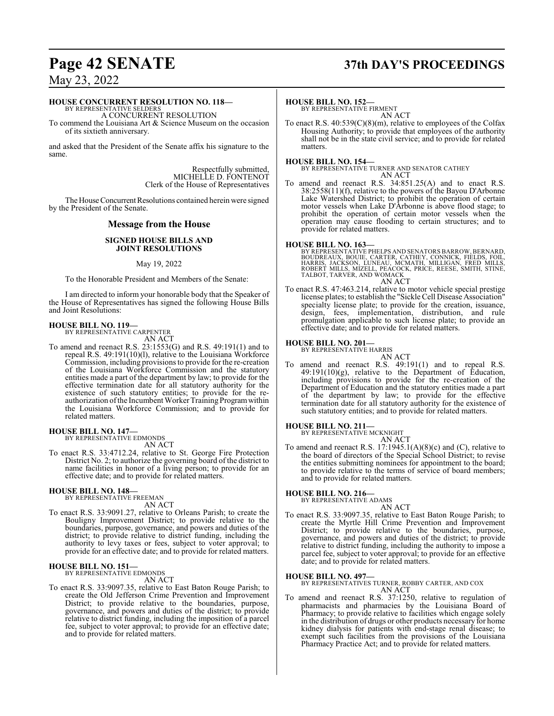# **Page 42 SENATE 37th DAY'S PROCEEDINGS**

May 23, 2022

#### **HOUSE CONCURRENT RESOLUTION NO. 118—**

BY REPRESENTATIVE SELDERS A CONCURRENT RESOLUTION

To commend the Louisiana Art & Science Museum on the occasion of its sixtieth anniversary.

and asked that the President of the Senate affix his signature to the same.

> Respectfully submitted, MICHELLE D. FONTENOT Clerk of the House of Representatives

The House Concurrent Resolutions contained herein were signed by the President of the Senate.

#### **Message from the House**

#### **SIGNED HOUSE BILLS AND JOINT RESOLUTIONS**

#### May 19, 2022

To the Honorable President and Members of the Senate:

I am directed to inform your honorable body that the Speaker of the House of Representatives has signed the following House Bills and Joint Resolutions:

# **HOUSE BILL NO. 119—** BY REPRESENTATIVE CARPENTER

AN ACT

To amend and reenact R.S. 23:1553(G) and R.S. 49:191(1) and to repeal R.S. 49:191(10)(l), relative to the Louisiana Workforce Commission, including provisions to provide for the re-creation of the Louisiana Workforce Commission and the statutory entities made a part of the department by law; to provide for the effective termination date for all statutory authority for the existence of such statutory entities; to provide for the reauthorization of the Incumbent Worker Training Program within the Louisiana Workforce Commission; and to provide for related matters.

**HOUSE BILL NO. 147—** BY REPRESENTATIVE EDMONDS

AN ACT

To enact R.S. 33:4712.24, relative to St. George Fire Protection District No. 2; to authorize the governing board of the district to name facilities in honor of a living person; to provide for an effective date; and to provide for related matters.

#### **HOUSE BILL NO. 148—**

BY REPRESENTATIVE FREEMAN AN ACT

To enact R.S. 33:9091.27, relative to Orleans Parish; to create the Bouligny Improvement District; to provide relative to the boundaries, purpose, governance, and powers and duties of the district; to provide relative to district funding, including the authority to levy taxes or fees, subject to voter approval; to provide for an effective date; and to provide for related matters.

#### **HOUSE BILL NO. 151—**

BY REPRESENTATIVE EDMONDS

AN ACT

To enact R.S. 33:9097.35, relative to East Baton Rouge Parish; to create the Old Jefferson Crime Prevention and Improvement District; to provide relative to the boundaries, purpose, governance, and powers and duties of the district; to provide relative to district funding, including the imposition of a parcel fee, subject to voter approval; to provide for an effective date; and to provide for related matters.

#### **HOUSE BILL NO. 152—**

BY REPRESENTATIVE FIRMENT AN ACT

To enact R.S. 40:539(C)(8)(m), relative to employees of the Colfax Housing Authority; to provide that employees of the authority shall not be in the state civil service; and to provide for related matters.

**HOUSE BILL NO. 154—**

BY REPRESENTATIVE TURNER AND SENATOR CATHEY AN ACT

To amend and reenact R.S. 34:851.25(A) and to enact R.S. 38:2558(11)(f), relative to the powers of the Bayou D'Arbonne Lake Watershed District; to prohibit the operation of certain motor vessels when Lake D'Arbonne is above flood stage; to prohibit the operation of certain motor vessels when the operation may cause flooding to certain structures; and to provide for related matters.

#### **HOUSE BILL NO. 163—**

BY REPRESENTATIVE PHELPS AND SENATORS BARROW, BERNARD, BOUDREAUX, BOUIE, CARTER, CATHEY, CONNICK, FIÈLDS, FOIL,<br>HARRIS, JACKSON, LUNEAU, MCMATH, MILLIGAN, FRED MILLS,<br>ROBERT MILLS, MIZELL, PEACOCK, PRICE, REESE, SMITH, STINE,<br>TALBOT, TARVER, AND WOMACK AN ACT

To enact R.S. 47:463.214, relative to motor vehicle special prestige license plates; to establish the "Sickle Cell Disease Association" specialty license plate; to provide for the creation, issuance, design, fees, implementation, distribution, and rule promulgation applicable to such license plate; to provide an effective date; and to provide for related matters.

#### **HOUSE BILL NO. 201—**

BY REPRESENTATIVE HARRIS

AN ACT

To amend and reenact R.S. 49:191(1) and to repeal R.S. 49:191(10)(g), relative to the Department of Education, including provisions to provide for the re-creation of the Department of Education and the statutory entities made a part of the department by law; to provide for the effective termination date for all statutory authority for the existence of such statutory entities; and to provide for related matters.

#### **HOUSE BILL NO. 211—**

BY REPRESENTATIVE MCKNIGHT AN ACT

To amend and reenact R.S. 17:1945.1(A)(8)(c) and (C), relative to the board of directors of the Special School District; to revise the entities submitting nominees for appointment to the board; to provide relative to the terms of service of board members; and to provide for related matters.

#### **HOUSE BILL NO. 216—**

BY REPRESENTATIVE ADAMS

AN ACT To enact R.S. 33:9097.35, relative to East Baton Rouge Parish; to create the Myrtle Hill Crime Prevention and Improvement District; to provide relative to the boundaries, purpose, governance, and powers and duties of the district; to provide relative to district funding, including the authority to impose a parcel fee, subject to voter approval; to provide for an effective date; and to provide for related matters.

**HOUSE BILL NO. 497—** BY REPRESENTATIVES TURNER, ROBBY CARTER, AND COX AN ACT

To amend and reenact R.S. 37:1250, relative to regulation of pharmacists and pharmacies by the Louisiana Board of Pharmacy; to provide relative to facilities which engage solely in the distribution of drugs or other products necessary for home kidney dialysis for patients with end-stage renal disease; to exempt such facilities from the provisions of the Louisiana Pharmacy Practice Act; and to provide for related matters.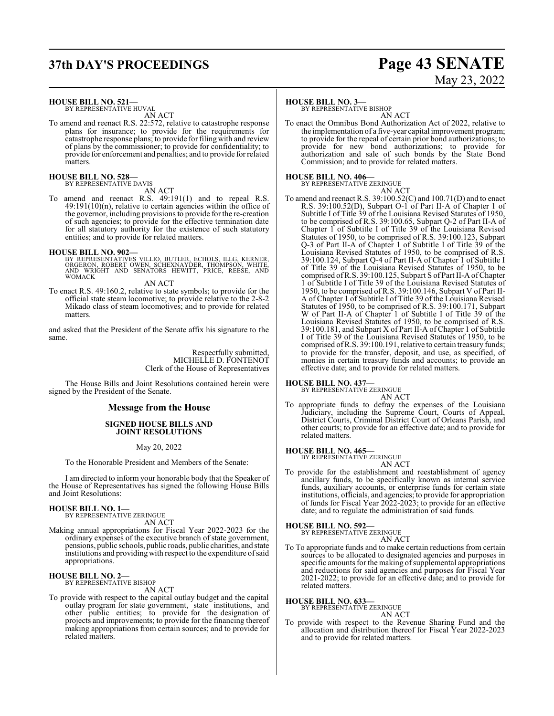# **37th DAY'S PROCEEDINGS Page 43 SENATE** May 23, 2022

**HOUSE BILL NO. 521—** BY REPRESENTATIVE HUVAL AN ACT

To amend and reenact R.S. 22:572, relative to catastrophe response plans for insurance; to provide for the requirements for catastrophe response plans; to provide for filing with and review of plans by the commissioner; to provide for confidentiality; to provide for enforcement and penalties; and to provide for related **matters** 

# **HOUSE BILL NO. 528—** BY REPRESENTATIVE DAVIS

AN ACT

To amend and reenact R.S. 49:191(1) and to repeal R.S. 49:191(10)(n), relative to certain agencies within the office of the governor, including provisions to provide for the re-creation of such agencies; to provide for the effective termination date for all statutory authority for the existence of such statutory entities; and to provide for related matters.

**HOUSE BILL NO. 902—**<br>BY REPRESENTATIVES VILLIO, BUTLER, ECHOLS, ILLG, KERNER, ORGERON, ROBERT OWEN, SCHEXNAYDER, THOMPSON, WHITE,<br>AND WRIGHT AND SENATORS HEWITT, PRICE, REESE, AND<br>WOMACK

AN ACT

To enact R.S. 49:160.2, relative to state symbols; to provide for the official state steam locomotive; to provide relative to the 2-8-2 Mikado class of steam locomotives; and to provide for related matters.

and asked that the President of the Senate affix his signature to the same.

> Respectfully submitted, MICHELLE D. FONTENOT Clerk of the House of Representatives

The House Bills and Joint Resolutions contained herein were signed by the President of the Senate.

#### **Message from the House**

#### **SIGNED HOUSE BILLS AND JOINT RESOLUTIONS**

May 20, 2022

To the Honorable President and Members of the Senate:

I am directed to inform your honorable body that the Speaker of the House of Representatives has signed the following House Bills and Joint Resolutions:

#### **HOUSE BILL NO. 1—**

BY REPRESENTATIVE ZERINGUE AN ACT

Making annual appropriations for Fiscal Year 2022-2023 for the ordinary expenses of the executive branch of state government, pensions, public schools, public roads, public charities, and state institutions and providing with respect to the expenditure of said appropriations.

# **HOUSE BILL NO. 2—** BY REPRESENTATIVE BISHOP

AN ACT

To provide with respect to the capital outlay budget and the capital outlay program for state government, state institutions, and other public entities; to provide for the designation of projects and improvements; to provide for the financing thereof making appropriations from certain sources; and to provide for related matters.

#### **HOUSE BILL NO. 3—**

BY REPRESENTATIVE BISHOP AN ACT

To enact the Omnibus Bond Authorization Act of 2022, relative to the implementation of a five-year capital improvement program; to provide for the repeal of certain prior bond authorizations; to provide for new bond authorizations; to provide for authorization and sale of such bonds by the State Bond Commission; and to provide for related matters.

# **HOUSE BILL NO. 406—** BY REPRESENTATIVE ZERINGUE

AN ACT

To amend and reenact R.S. 39:100.52(C) and 100.71(D) and to enact R.S. 39:100.52(D), Subpart O-1 of Part II-A of Chapter 1 of Subtitle I of Title 39 of the Louisiana Revised Statutes of 1950, to be comprised of R.S. 39:100.65, Subpart Q-2 of Part II-A of Chapter 1 of Subtitle I of Title 39 of the Louisiana Revised Statutes of 1950, to be comprised of R.S. 39:100.123, Subpart Q-3 of Part II-A of Chapter 1 of Subtitle I of Title 39 of the Louisiana Revised Statutes of 1950, to be comprised of R.S. 39:100.124, Subpart Q-4 of Part II-A of Chapter 1 of Subtitle I of Title 39 of the Louisiana Revised Statutes of 1950, to be comprised ofR.S. 39:100.125, Subpart S of Part II-A ofChapter 1 of Subtitle I of Title 39 of the Louisiana Revised Statutes of 1950, to be comprised of R.S. 39:100.146, Subpart V of Part II-A of Chapter 1 of Subtitle I of Title 39 of the Louisiana Revised Statutes of 1950, to be comprised of R.S. 39:100.171, Subpart W of Part II-A of Chapter 1 of Subtitle I of Title 39 of the Louisiana Revised Statutes of 1950, to be comprised of R.S. 39:100.181, and Subpart X of Part II-A of Chapter 1 of Subtitle I of Title 39 of the Louisiana Revised Statutes of 1950, to be comprised ofR.S. 39:100.191, relative to certain treasury funds; to provide for the transfer, deposit, and use, as specified, of monies in certain treasury funds and accounts; to provide an effective date; and to provide for related matters.

# **HOUSE BILL NO. 437—** BY REPRESENTATIVE ZERINGUE

AN ACT

To appropriate funds to defray the expenses of the Louisiana Judiciary, including the Supreme Court, Courts of Appeal, District Courts, Criminal District Court of Orleans Parish, and other courts; to provide for an effective date; and to provide for related matters.

#### **HOUSE BILL NO. 465—**

BY REPRESENTATIVE ZERINGUE AN ACT

To provide for the establishment and reestablishment of agency ancillary funds, to be specifically known as internal service funds, auxiliary accounts, or enterprise funds for certain state institutions, officials, and agencies; to provide for appropriation of funds for Fiscal Year 2022-2023; to provide for an effective date; and to regulate the administration of said funds.

**HOUSE BILL NO. 592—** BY REPRESENTATIVE ZERINGUE

AN ACT

To To appropriate funds and to make certain reductions from certain sources to be allocated to designated agencies and purposes in specific amounts for the making of supplemental appropriations and reductions for said agencies and purposes for Fiscal Year 2021-2022; to provide for an effective date; and to provide for related matters.

#### **HOUSE BILL NO. 633—**

BY REPRESENTATIVE ZERINGUE

## AN ACT

To provide with respect to the Revenue Sharing Fund and the allocation and distribution thereof for Fiscal Year 2022-2023 and to provide for related matters.